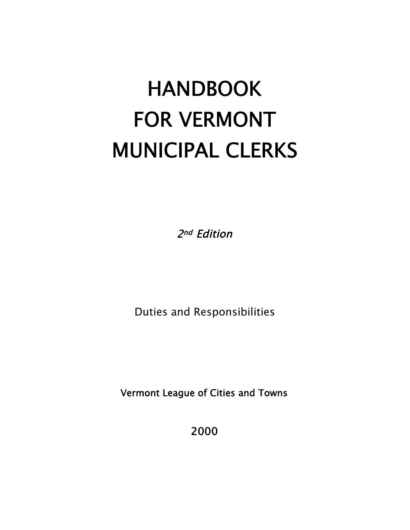# **HANDBOOK** FOR VERMONT MUNICIPAL CLERKS

2nd Edition

Duties and Responsibilities

Vermont League of Cities and Towns

2000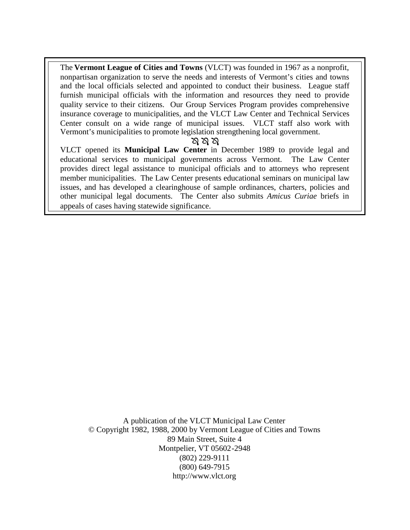The **Vermont League of Cities and Towns** (VLCT) was founded in 1967 as a nonprofit, nonpartisan organization to serve the needs and interests of Vermont's cities and towns and the local officials selected and appointed to conduct their business. League staff furnish municipal officials with the information and resources they need to provide quality service to their citizens. Our Group Services Program provides comprehensive insurance coverage to municipalities, and the VLCT Law Center and Technical Services Center consult on a wide range of municipal issues. VLCT staff also work with Vermont's municipalities to promote legislation strengthening local government.

#### প্ৰ প্ৰ প্ৰ

VLCT opened its **Municipal Law Center** in December 1989 to provide legal and educational services to municipal governments across Vermont. The Law Center provides direct legal assistance to municipal officials and to attorneys who represent member municipalities. The Law Center presents educational seminars on municipal law issues, and has developed a clearinghouse of sample ordinances, charters, policies and other municipal legal documents. The Center also submits *Amicus Curiae* briefs in appeals of cases having statewide significance.

A publication of the VLCT Municipal Law Center © Copyright 1982, 1988, 2000 by Vermont League of Cities and Towns 89 Main Street, Suite 4 Montpelier, VT 05602-2948 (802) 229-9111 (800) 649-7915 http://www.vlct.org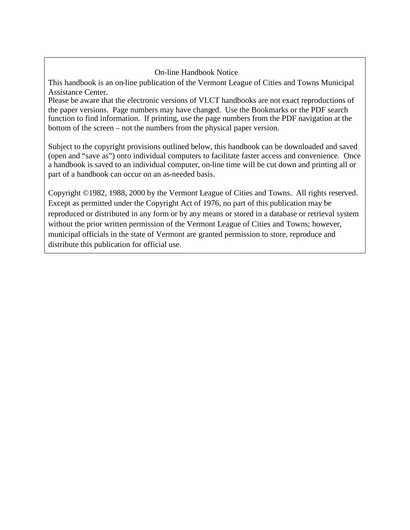#### On-line Handbook Notice

This handbook is an on-line publication of the Vermont League of Cities and Towns Municipal Assistance Center.

Please be aware that the electronic versions of VLCT handbooks are not exact reproductions of the paper versions. Page numbers may have changed. Use the Bookmarks or the PDF search function to find information. If printing, use the page numbers from the PDF navigation at the bottom of the screen – not the numbers from the physical paper version.

Subject to the copyright provisions outlined below, this handbook can be downloaded and saved (open and "save as") onto individual computers to facilitate faster access and convenience. Once a handbook is saved to an individual computer, on-line time will be cut down and printing all or part of a handbook can occur on an as-needed basis.

Copyright ©1982, 1988, 2000 by the Vermont League of Cities and Towns. All rights reserved. Except as permitted under the Copyright Act of 1976, no part of this publication may be reproduced or distributed in any form or by any means or stored in a database or retrieval system without the prior written permission of the Vermont League of Cities and Towns; however, municipal officials in the state of Vermont are granted permission to store, reproduce and distribute this publication for official use.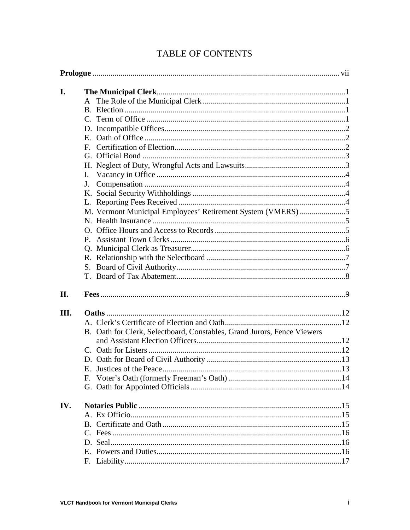| I.  |                                                                         |  |
|-----|-------------------------------------------------------------------------|--|
|     | $\mathsf{A}$                                                            |  |
|     |                                                                         |  |
|     |                                                                         |  |
|     |                                                                         |  |
|     | $E_{\rm{m}}$                                                            |  |
|     | $\mathbf{F}$                                                            |  |
|     |                                                                         |  |
|     |                                                                         |  |
|     | L.                                                                      |  |
|     | $J_{-}$                                                                 |  |
|     |                                                                         |  |
|     |                                                                         |  |
|     |                                                                         |  |
|     |                                                                         |  |
|     |                                                                         |  |
|     | $P_{\cdot}$                                                             |  |
|     |                                                                         |  |
|     |                                                                         |  |
|     | S.                                                                      |  |
|     | T.                                                                      |  |
| II. |                                                                         |  |
| Ш.  |                                                                         |  |
|     |                                                                         |  |
|     | B. Oath for Clerk, Selectboard, Constables, Grand Jurors, Fence Viewers |  |
|     |                                                                         |  |
|     |                                                                         |  |
|     |                                                                         |  |
|     | E. Instices of the Peace                                                |  |
|     |                                                                         |  |
|     |                                                                         |  |
| IV. |                                                                         |  |
|     |                                                                         |  |
|     |                                                                         |  |
|     |                                                                         |  |
|     |                                                                         |  |
|     |                                                                         |  |
|     |                                                                         |  |

# TABLE OF CONTENTS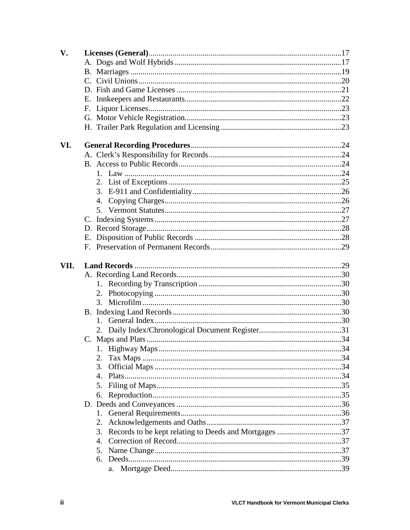| V.   |    |  |
|------|----|--|
|      |    |  |
|      |    |  |
|      |    |  |
|      |    |  |
|      |    |  |
|      |    |  |
|      |    |  |
|      |    |  |
| VI.  |    |  |
|      |    |  |
|      |    |  |
|      |    |  |
|      |    |  |
|      |    |  |
|      | 4. |  |
|      |    |  |
|      |    |  |
|      |    |  |
|      |    |  |
|      |    |  |
| VII. |    |  |
|      |    |  |
|      |    |  |
|      |    |  |
|      | 3. |  |
|      |    |  |
|      |    |  |
|      |    |  |
|      |    |  |
|      |    |  |
|      | 2. |  |
|      | 3. |  |
|      | 4. |  |
|      | 5. |  |
|      | 6. |  |
|      |    |  |
|      | 1. |  |
|      | 2. |  |
|      | 3. |  |
|      | 4. |  |
|      | 5. |  |
|      | 6. |  |
|      | a. |  |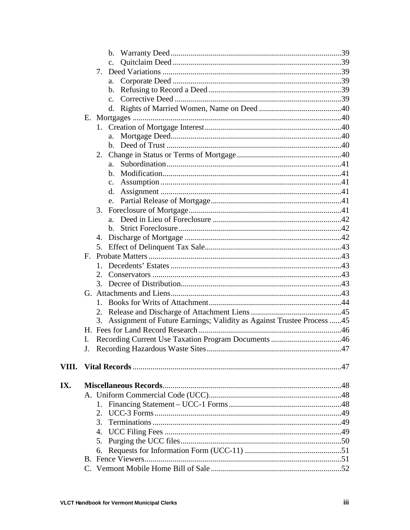|       |    | $\mathbf{c}$ .                                                               |  |
|-------|----|------------------------------------------------------------------------------|--|
|       |    | $7_{\scriptscriptstyle{\ddots}}$                                             |  |
|       |    | a.                                                                           |  |
|       |    | $\mathbf{b}$ .                                                               |  |
|       |    | C <sub>1</sub>                                                               |  |
|       |    | d.                                                                           |  |
|       |    |                                                                              |  |
|       |    | 1.                                                                           |  |
|       |    | a.                                                                           |  |
|       |    |                                                                              |  |
|       |    | 2.                                                                           |  |
|       |    | $a_{-}$                                                                      |  |
|       |    | b.                                                                           |  |
|       |    | $C_{\bullet}$                                                                |  |
|       |    | d.                                                                           |  |
|       |    | $e_{-}$                                                                      |  |
|       |    | 3.                                                                           |  |
|       |    | $a_{-}$                                                                      |  |
|       |    | $h_{-}$                                                                      |  |
|       |    | 4.                                                                           |  |
|       |    | 5.                                                                           |  |
|       |    |                                                                              |  |
|       |    | 1.                                                                           |  |
|       |    | 2.                                                                           |  |
|       |    | 3.                                                                           |  |
|       |    |                                                                              |  |
|       |    | 1.                                                                           |  |
|       |    | 2.                                                                           |  |
|       |    | Assignment of Future Earnings; Validity as Against Trustee Process  45<br>3. |  |
|       |    |                                                                              |  |
|       | Ι. |                                                                              |  |
|       |    |                                                                              |  |
|       |    |                                                                              |  |
| VIII. |    |                                                                              |  |
| IX.   |    |                                                                              |  |
|       |    |                                                                              |  |
|       |    |                                                                              |  |
|       |    |                                                                              |  |
|       |    | 3.                                                                           |  |
|       |    | 4.                                                                           |  |
|       |    | 5.                                                                           |  |
|       |    | 6.                                                                           |  |
|       |    |                                                                              |  |
|       |    |                                                                              |  |
|       |    |                                                                              |  |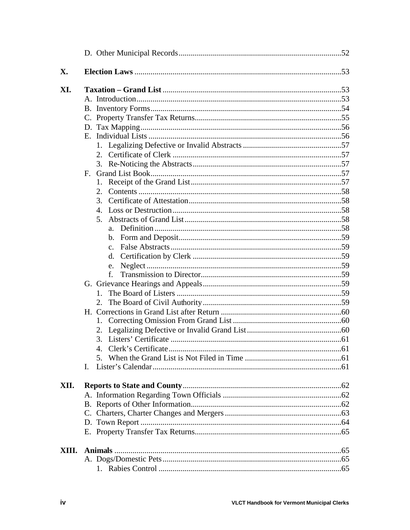| X.    |             |  |
|-------|-------------|--|
| XI.   |             |  |
|       |             |  |
|       |             |  |
|       |             |  |
|       |             |  |
|       |             |  |
|       |             |  |
|       |             |  |
|       |             |  |
|       | $F_{\cdot}$ |  |
|       |             |  |
|       | 2.          |  |
|       | 3.          |  |
|       | 4.          |  |
|       |             |  |
|       |             |  |
|       |             |  |
|       | $c_{-}$     |  |
|       |             |  |
|       | e.          |  |
|       | f.          |  |
|       |             |  |
|       |             |  |
|       |             |  |
|       |             |  |
|       |             |  |
|       |             |  |
|       |             |  |
|       |             |  |
|       | L.          |  |
| XII.  |             |  |
|       |             |  |
|       |             |  |
|       |             |  |
|       |             |  |
|       |             |  |
| XIII. |             |  |
|       |             |  |
|       |             |  |
|       |             |  |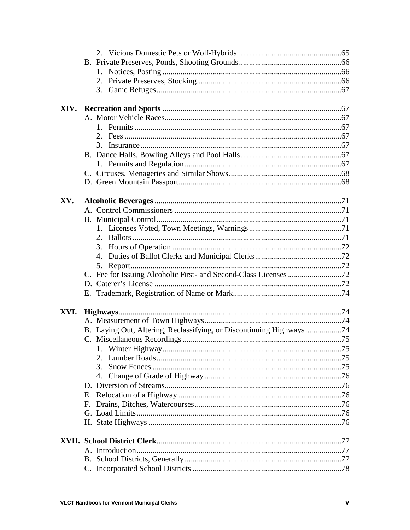| XV.  |                                                                     |  |
|------|---------------------------------------------------------------------|--|
|      |                                                                     |  |
|      |                                                                     |  |
|      |                                                                     |  |
|      |                                                                     |  |
|      |                                                                     |  |
|      |                                                                     |  |
|      | 5.                                                                  |  |
|      |                                                                     |  |
|      |                                                                     |  |
|      |                                                                     |  |
|      |                                                                     |  |
| XVI. |                                                                     |  |
|      |                                                                     |  |
|      | B. Laying Out, Altering, Reclassifying, or Discontinuing Highways74 |  |
|      |                                                                     |  |
|      |                                                                     |  |
|      | 2.<br>3.                                                            |  |
|      |                                                                     |  |
|      | 4.                                                                  |  |
|      |                                                                     |  |
|      |                                                                     |  |
|      | F.                                                                  |  |
|      |                                                                     |  |
|      |                                                                     |  |
|      |                                                                     |  |
|      |                                                                     |  |
|      |                                                                     |  |
|      |                                                                     |  |
|      |                                                                     |  |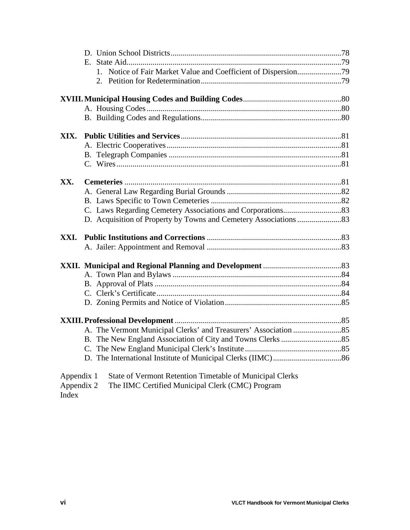| XIX.       |                                                          |  |
|------------|----------------------------------------------------------|--|
|            |                                                          |  |
|            |                                                          |  |
|            |                                                          |  |
|            |                                                          |  |
| XX.        |                                                          |  |
|            |                                                          |  |
|            |                                                          |  |
|            |                                                          |  |
|            |                                                          |  |
| XXI.       |                                                          |  |
|            |                                                          |  |
|            |                                                          |  |
|            |                                                          |  |
|            |                                                          |  |
|            |                                                          |  |
|            |                                                          |  |
|            |                                                          |  |
|            |                                                          |  |
|            |                                                          |  |
|            |                                                          |  |
|            |                                                          |  |
|            |                                                          |  |
| Appendix 1 | State of Vermont Retention Timetable of Municipal Clerks |  |

Appendix 2 The IIMC Certified Municipal Clerk (CMC) Program Index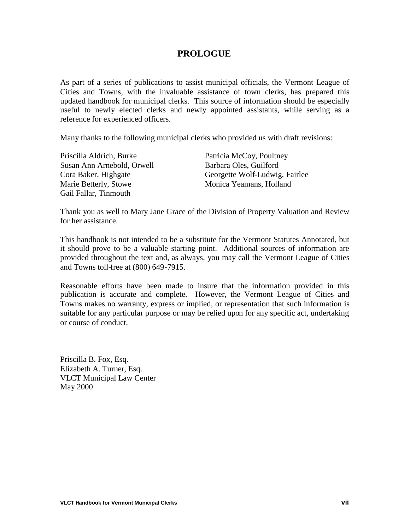## **PROLOGUE**

As part of a series of publications to assist municipal officials, the Vermont League of Cities and Towns, with the invaluable assistance of town clerks, has prepared this updated handbook for municipal clerks. This source of information should be especially useful to newly elected clerks and newly appointed assistants, while serving as a reference for experienced officers.

Many thanks to the following municipal clerks who provided us with draft revisions:

| Priscilla Aldrich, Burke   | Patricia McCoy, Poultney       |
|----------------------------|--------------------------------|
| Susan Ann Arnebold, Orwell | Barbara Oles, Guilford         |
| Cora Baker, Highgate       | Georgette Wolf-Ludwig, Fairlee |
| Marie Betterly, Stowe      | Monica Yeamans, Holland        |
| Gail Fallar, Tinmouth      |                                |

Thank you as well to Mary Jane Grace of the Division of Property Valuation and Review for her assistance.

This handbook is not intended to be a substitute for the Vermont Statutes Annotated, but it should prove to be a valuable starting point. Additional sources of information are provided throughout the text and, as always, you may call the Vermont League of Cities and Towns toll-free at (800) 649-7915.

Reasonable efforts have been made to insure that the information provided in this publication is accurate and complete. However, the Vermont League of Cities and Towns makes no warranty, express or implied, or representation that such information is suitable for any particular purpose or may be relied upon for any specific act, undertaking or course of conduct.

Priscilla B. Fox, Esq. Elizabeth A. Turner, Esq. VLCT Municipal Law Center May 2000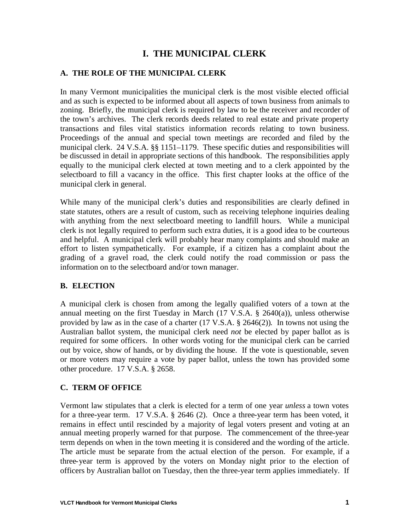# **I. THE MUNICIPAL CLERK**

#### **A. THE ROLE OF THE MUNICIPAL CLERK**

In many Vermont municipalities the municipal clerk is the most visible elected official and as such is expected to be informed about all aspects of town business from animals to zoning. Briefly, the municipal clerk is required by law to be the receiver and recorder of the town's archives. The clerk records deeds related to real estate and private property transactions and files vital statistics information records relating to town business. Proceedings of the annual and special town meetings are recorded and filed by the municipal clerk. 24 V.S.A. §§ 1151–1179. These specific duties and responsibilities will be discussed in detail in appropriate sections of this handbook. The responsibilities apply equally to the municipal clerk elected at town meeting and to a clerk appointed by the selectboard to fill a vacancy in the office. This first chapter looks at the office of the municipal clerk in general.

While many of the municipal clerk's duties and responsibilities are clearly defined in state statutes, others are a result of custom, such as receiving telephone inquiries dealing with anything from the next selectboard meeting to landfill hours. While a municipal clerk is not legally required to perform such extra duties, it is a good idea to be courteous and helpful. A municipal clerk will probably hear many complaints and should make an effort to listen sympathetically. For example, if a citizen has a complaint about the grading of a gravel road, the clerk could notify the road commission or pass the information on to the selectboard and/or town manager.

#### **B. ELECTION**

A municipal clerk is chosen from among the legally qualified voters of a town at the annual meeting on the first Tuesday in March (17 V.S.A. § 2640(a)), unless otherwise provided by law as in the case of a charter (17 V.S.A. § 2646(2)). In towns not using the Australian ballot system, the municipal clerk need *not* be elected by paper ballot as is required for some officers. In other words voting for the municipal clerk can be carried out by voice, show of hands, or by dividing the house. If the vote is questionable, seven or more voters may require a vote by paper ballot, unless the town has provided some other procedure. 17 V.S.A. § 2658.

#### **C. TERM OF OFFICE**

Vermont law stipulates that a clerk is elected for a term of one year *unless* a town votes for a three-year term. 17 V.S.A. § 2646 (2). Once a three-year term has been voted, it remains in effect until rescinded by a majority of legal voters present and voting at an annual meeting properly warned for that purpose. The commencement of the three-year term depends on when in the town meeting it is considered and the wording of the article. The article must be separate from the actual election of the person. For example, if a three-year term is approved by the voters on Monday night prior to the election of officers by Australian ballot on Tuesday, then the three-year term applies immediately. If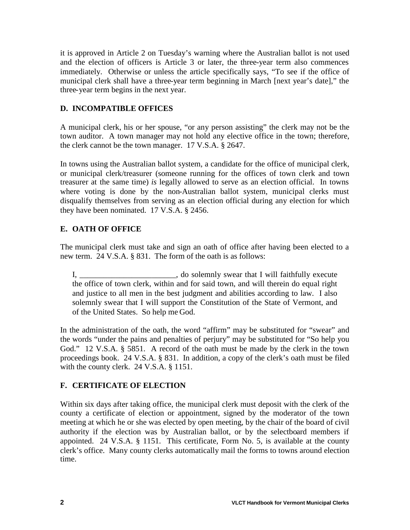it is approved in Article 2 on Tuesday's warning where the Australian ballot is not used and the election of officers is Article 3 or later, the three-year term also commences immediately. Otherwise or unless the article specifically says, "To see if the office of municipal clerk shall have a three-year term beginning in March [next year's date]," the three-year term begins in the next year.

## **D. INCOMPATIBLE OFFICES**

A municipal clerk, his or her spouse, "or any person assisting" the clerk may not be the town auditor. A town manager may not hold any elective office in the town; therefore, the clerk cannot be the town manager. 17 V.S.A. § 2647.

In towns using the Australian ballot system, a candidate for the office of municipal clerk, or municipal clerk/treasurer (someone running for the offices of town clerk and town treasurer at the same time) *is* legally allowed to serve as an election official. In towns where voting is done by the non-Australian ballot system, municipal clerks must disqualify themselves from serving as an election official during any election for which they have been nominated. 17 V.S.A. § 2456.

## **E. OATH OF OFFICE**

The municipal clerk must take and sign an oath of office after having been elected to a new term. 24 V.S.A. § 831. The form of the oath is as follows:

I, \_\_\_\_\_\_\_\_\_\_\_\_\_\_\_\_\_\_\_\_\_\_, do solemnly swear that I will faithfully execute the office of town clerk, within and for said town, and will therein do equal right and justice to all men in the best judgment and abilities according to law. I also solemnly swear that I will support the Constitution of the State of Vermont, and of the United States. So help me God.

In the administration of the oath, the word "affirm" may be substituted for "swear" and the words "under the pains and penalties of perjury" may be substituted for "So help you God." 12 V.S.A. § 5851. A record of the oath must be made by the clerk in the town proceedings book. 24 V.S.A. § 831. In addition, a copy of the clerk's oath must be filed with the county clerk. 24 V.S.A. § 1151.

#### **F. CERTIFICATE OF ELECTION**

Within six days after taking office, the municipal clerk must deposit with the clerk of the county a certificate of election or appointment, signed by the moderator of the town meeting at which he or she was elected by open meeting, by the chair of the board of civil authority if the election was by Australian ballot, or by the selectboard members if appointed. 24 V.S.A. § 1151. This certificate, Form No. 5, is available at the county clerk's office. Many county clerks automatically mail the forms to towns around election time.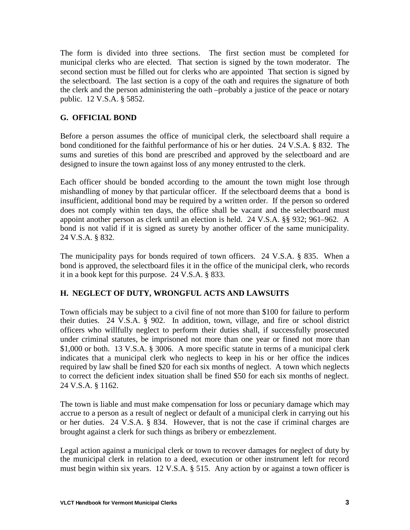The form is divided into three sections. The first section must be completed for municipal clerks who are elected. That section is signed by the town moderator. The second section must be filled out for clerks who are appointed That section is signed by the selectboard. The last section is a copy of the oath and requires the signature of both the clerk and the person administering the oath –probably a justice of the peace or notary public. 12 V.S.A. § 5852.

## **G. OFFICIAL BOND**

Before a person assumes the office of municipal clerk, the selectboard shall require a bond conditioned for the faithful performance of his or her duties. 24 V.S.A. § 832. The sums and sureties of this bond are prescribed and approved by the selectboard and are designed to insure the town against loss of any money entrusted to the clerk.

Each officer should be bonded according to the amount the town might lose through mishandling of money by that particular officer. If the selectboard deems that a bond is insufficient, additional bond may be required by a written order. If the person so ordered does not comply within ten days, the office shall be vacant and the selectboard must appoint another person as clerk until an election is held. 24 V.S.A. §§ 932; 961–962. A bond is not valid if it is signed as surety by another officer of the same municipality. 24 V.S.A. § 832.

The municipality pays for bonds required of town officers. 24 V.S.A. § 835. When a bond is approved, the selectboard files it in the office of the municipal clerk, who records it in a book kept for this purpose. 24 V.S.A. § 833.

#### **H. NEGLECT OF DUTY, WRONGFUL ACTS AND LAWSUITS**

Town officials may be subject to a civil fine of not more than \$100 for failure to perform their duties. 24 V.S.A. § 902. In addition, town, village, and fire or school district officers who willfully neglect to perform their duties shall, if successfully prosecuted under criminal statutes, be imprisoned not more than one year or fined not more than \$1,000 or both. 13 V.S.A. § 3006. A more specific statute in terms of a municipal clerk indicates that a municipal clerk who neglects to keep in his or her office the indices required by law shall be fined \$20 for each six months of neglect. A town which neglects to correct the deficient index situation shall be fined \$50 for each six months of neglect. 24 V.S.A. § 1162.

The town is liable and must make compensation for loss or pecuniary damage which may accrue to a person as a result of neglect or default of a municipal clerk in carrying out his or her duties. 24 V.S.A. § 834. However, that is not the case if criminal charges are brought against a clerk for such things as bribery or embezzlement.

Legal action against a municipal clerk or town to recover damages for neglect of duty by the municipal clerk in relation to a deed, execution or other instrument left for record must begin within six years. 12 V.S.A. § 515. Any action by or against a town officer is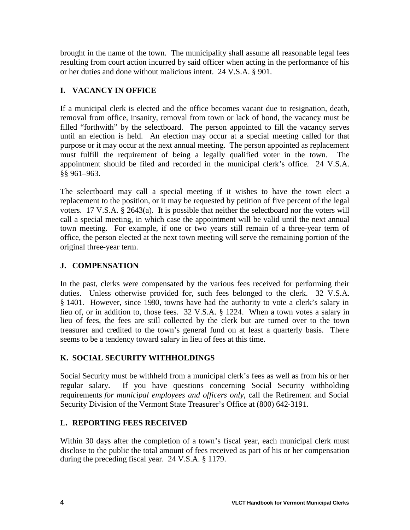brought in the name of the town. The municipality shall assume all reasonable legal fees resulting from court action incurred by said officer when acting in the performance of his or her duties and done without malicious intent. 24 V.S.A. § 901.

## **I. VACANCY IN OFFICE**

If a municipal clerk is elected and the office becomes vacant due to resignation, death, removal from office, insanity, removal from town or lack of bond, the vacancy must be filled "forthwith" by the selectboard. The person appointed to fill the vacancy serves until an election is held. An election may occur at a special meeting called for that purpose or it may occur at the next annual meeting. The person appointed as replacement must fulfill the requirement of being a legally qualified voter in the town. The appointment should be filed and recorded in the municipal clerk's office. 24 V.S.A. §§ 961–963.

The selectboard may call a special meeting if it wishes to have the town elect a replacement to the position, or it may be requested by petition of five percent of the legal voters. 17 V.S.A. § 2643(a). It is possible that neither the selectboard nor the voters will call a special meeting, in which case the appointment will be valid until the next annual town meeting. For example, if one or two years still remain of a three-year term of office, the person elected at the next town meeting will serve the remaining portion of the original three-year term.

## **J. COMPENSATION**

In the past, clerks were compensated by the various fees received for performing their duties. Unless otherwise provided for, such fees belonged to the clerk. 32 V.S.A. § 1401. However, since 1980, towns have had the authority to vote a clerk's salary in lieu of, or in addition to, those fees. 32 V.S.A. § 1224. When a town votes a salary in lieu of fees, the fees are still collected by the clerk but are turned over to the town treasurer and credited to the town's general fund on at least a quarterly basis. There seems to be a tendency toward salary in lieu of fees at this time.

## **K. SOCIAL SECURITY WITHHOLDINGS**

Social Security must be withheld from a municipal clerk's fees as well as from his or her regular salary. If you have questions concerning Social Security withholding requirements *for municipal employees and officers only*, call the Retirement and Social Security Division of the Vermont State Treasurer's Office at (800) 642-3191.

#### **L. REPORTING FEES RECEIVED**

Within 30 days after the completion of a town's fiscal year, each municipal clerk must disclose to the public the total amount of fees received as part of his or her compensation during the preceding fiscal year. 24 V.S.A. § 1179.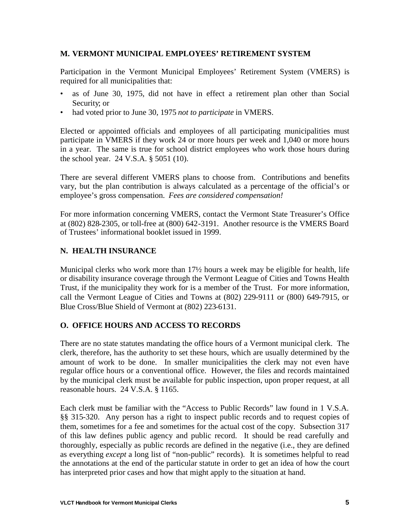#### **M. VERMONT MUNICIPAL EMPLOYEES' RETIREMENT SYSTEM**

Participation in the Vermont Municipal Employees' Retirement System (VMERS) is required for all municipalities that:

- as of June 30, 1975, did not have in effect a retirement plan other than Social Security; or
- had voted prior to June 30, 1975 *not to participate* in VMERS.

Elected or appointed officials and employees of all participating municipalities must participate in VMERS if they work 24 or more hours per week and 1,040 or more hours in a year. The same is true for school district employees who work those hours during the school year. 24 V.S.A. § 5051 (10).

There are several different VMERS plans to choose from. Contributions and benefits vary, but the plan contribution is always calculated as a percentage of the official's or employee's gross compensation. *Fees are considered compensation!*

For more information concerning VMERS, contact the Vermont State Treasurer's Office at (802) 828-2305, or toll-free at (800) 642-3191. Another resource is the VMERS Board of Trustees' informational booklet issued in 1999.

#### **N. HEALTH INSURANCE**

Municipal clerks who work more than  $17\frac{1}{2}$  hours a week may be eligible for health, life or disability insurance coverage through the Vermont League of Cities and Towns Health Trust, if the municipality they work for is a member of the Trust. For more information, call the Vermont League of Cities and Towns at (802) 229-9111 or (800) 649-7915, or Blue Cross/Blue Shield of Vermont at (802) 223-6131.

#### **O. OFFICE HOURS AND ACCESS TO RECORDS**

There are no state statutes mandating the office hours of a Vermont municipal clerk. The clerk, therefore, has the authority to set these hours, which are usually determined by the amount of work to be done. In smaller municipalities the clerk may not even have regular office hours or a conventional office. However, the files and records maintained by the municipal clerk must be available for public inspection, upon proper request, at all reasonable hours. 24 V.S.A. § 1165.

Each clerk must be familiar with the "Access to Public Records" law found in 1 V.S.A. §§ 315-320. Any person has a right to inspect public records and to request copies of them, sometimes for a fee and sometimes for the actual cost of the copy. Subsection 317 of this law defines public agency and public record. It should be read carefully and thoroughly, especially as public records are defined in the negative (i.e., they are defined as everything *except* a long list of "non-public" records). It is sometimes helpful to read the annotations at the end of the particular statute in order to get an idea of how the court has interpreted prior cases and how that might apply to the situation at hand.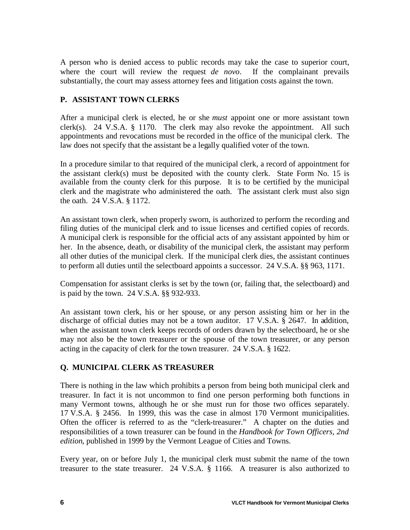A person who is denied access to public records may take the case to superior court, where the court will review the request *de novo*. If the complainant prevails substantially, the court may assess attorney fees and litigation costs against the town.

## **P. ASSISTANT TOWN CLERKS**

After a municipal clerk is elected, he or she *must* appoint one or more assistant town clerk(s). 24 V.S.A. § 1170. The clerk may also revoke the appointment. All such appointments and revocations must be recorded in the office of the municipal clerk. The law does not specify that the assistant be a legally qualified voter of the town.

In a procedure similar to that required of the municipal clerk, a record of appointment for the assistant clerk(s) must be deposited with the county clerk. State Form No. 15 is available from the county clerk for this purpose. It is to be certified by the municipal clerk and the magistrate who administered the oath. The assistant clerk must also sign the oath. 24 V.S.A. § 1172.

An assistant town clerk, when properly sworn, is authorized to perform the recording and filing duties of the municipal clerk and to issue licenses and certified copies of records. A municipal clerk is responsible for the official acts of any assistant appointed by him or her. In the absence, death, or disability of the municipal clerk, the assistant may perform all other duties of the municipal clerk. If the municipal clerk dies, the assistant continues to perform all duties until the selectboard appoints a successor. 24 V.S.A. §§ 963, 1171.

Compensation for assistant clerks is set by the town (or, failing that, the selectboard) and is paid by the town. 24 V.S.A. §§ 932-933.

An assistant town clerk, his or her spouse, or any person assisting him or her in the discharge of official duties may not be a town auditor. 17 V.S.A. § 2647. In addition, when the assistant town clerk keeps records of orders drawn by the selectboard, he or she may not also be the town treasurer or the spouse of the town treasurer, or any person acting in the capacity of clerk for the town treasurer. 24 V.S.A. § 1622.

#### **Q. MUNICIPAL CLERK AS TREASURER**

There is nothing in the law which prohibits a person from being both municipal clerk and treasurer. In fact it is not uncommon to find one person performing both functions in many Vermont towns, although he or she must run for those two offices separately. 17 V.S.A. § 2456. In 1999, this was the case in almost 170 Vermont municipalities. Often the officer is referred to as the "clerk-treasurer." A chapter on the duties and responsibilities of a town treasurer can be found in the *Handbook for Town Officers, 2nd edition*, published in 1999 by the Vermont League of Cities and Towns.

Every year, on or before July 1, the municipal clerk must submit the name of the town treasurer to the state treasurer. 24 V.S.A. § 1166. A treasurer is also authorized to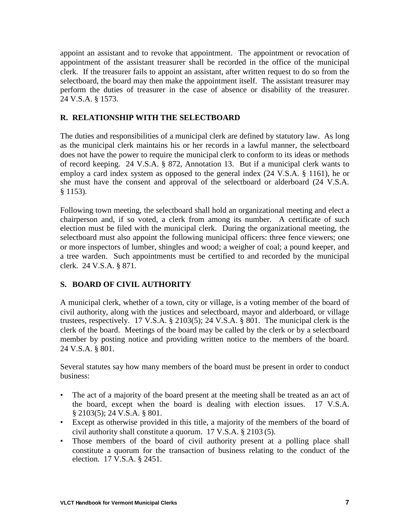appoint an assistant and to revoke that appointment. The appointment or revocation of appointment of the assistant treasurer shall be recorded in the office of the municipal clerk. If the treasurer fails to appoint an assistant, after written request to do so from the selectboard, the board may then make the appointment itself. The assistant treasurer may perform the duties of treasurer in the case of absence or disability of the treasurer. 24 V.S.A. § 1573.

#### **R. RELATIONSHIP WITH THE SELECTBOARD**

The duties and responsibilities of a municipal clerk are defined by statutory law. As long as the municipal clerk maintains his or her records in a lawful manner, the selectboard does not have the power to require the municipal clerk to conform to its ideas or methods of record keeping. 24 V.S.A. § 872, Annotation 13. But if a municipal clerk wants to employ a card index system as opposed to the general index (24 V.S.A. § 1161), he or she must have the consent and approval of the selectboard or alderboard (24 V.S.A. § 1153).

Following town meeting, the selectboard shall hold an organizational meeting and elect a chairperson and, if so voted, a clerk from among its number. A certificate of such election must be filed with the municipal clerk. During the organizational meeting, the selectboard must also appoint the following municipal officers: three fence viewers; one or more inspectors of lumber, shingles and wood; a weigher of coal; a pound keeper, and a tree warden. Such appointments must be certified to and recorded by the municipal clerk. 24 V.S.A. § 871.

#### **S. BOARD OF CIVIL AUTHORITY**

A municipal clerk, whether of a town, city or village, is a voting member of the board of civil authority, along with the justices and selectboard, mayor and alderboard, or village trustees, respectively. 17 V.S.A. § 2103(5); 24 V.S.A. § 801. The municipal clerk is the clerk of the board. Meetings of the board may be called by the clerk or by a selectboard member by posting notice and providing written notice to the members of the board. 24 V.S.A. § 801.

Several statutes say how many members of the board must be present in order to conduct business:

- The act of a majority of the board present at the meeting shall be treated as an act of the board, except when the board is dealing with election issues. 17 V.S.A. § 2103(5); 24 V.S.A. § 801.
- Except as otherwise provided in this title, a majority of the members of the board of civil authority shall constitute a quorum. 17 V.S.A. § 2103 (5).
- Those members of the board of civil authority present at a polling place shall constitute a quorum for the transaction of business relating to the conduct of the election. 17 V.S.A. § 2451.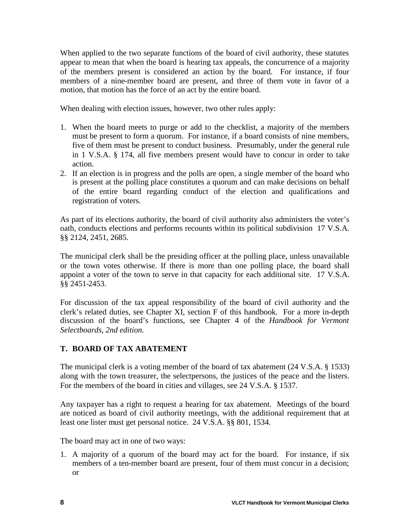When applied to the two separate functions of the board of civil authority, these statutes appear to mean that when the board is hearing tax appeals, the concurrence of a majority of the members present is considered an action by the board. For instance, if four members of a nine-member board are present, and three of them vote in favor of a motion, that motion has the force of an act by the entire board.

When dealing with election issues, however, two other rules apply:

- 1. When the board meets to purge or add to the checklist, a majority of the members must be present to form a quorum. For instance, if a board consists of nine members, five of them must be present to conduct business. Presumably, under the general rule in 1 V.S.A. § 174, all five members present would have to concur in order to take action.
- 2. If an election is in progress and the polls are open, a single member of the board who is present at the polling place constitutes a quorum and can make decisions on behalf of the entire board regarding conduct of the election and qualifications and registration of voters.

As part of its elections authority, the board of civil authority also administers the voter's oath, conducts elections and performs recounts within its political subdivision 17 V.S.A. §§ 2124, 2451, 2685.

The municipal clerk shall be the presiding officer at the polling place, unless unavailable or the town votes otherwise. If there is more than one polling place, the board shall appoint a voter of the town to serve in that capacity for each additional site. 17 V.S.A. §§ 2451-2453.

For discussion of the tax appeal responsibility of the board of civil authority and the clerk's related duties, see Chapter XI, section F of this handbook. For a more in-depth discussion of the board's functions, see Chapter 4 of the *Handbook for Vermont Selectboards, 2nd edition.*

## **T. BOARD OF TAX ABATEMENT**

The municipal clerk is a voting member of the board of tax abatement (24 V.S.A. § 1533) along with the town treasurer, the selectpersons, the justices of the peace and the listers. For the members of the board in cities and villages, see 24 V.S.A. § 1537.

Any taxpayer has a right to request a hearing for tax abatement. Meetings of the board are noticed as board of civil authority meetings, with the additional requirement that at least one lister must get personal notice. 24 V.S.A. §§ 801, 1534.

The board may act in one of two ways:

1. A majority of a quorum of the board may act for the board. For instance, if six members of a ten-member board are present, four of them must concur in a decision; or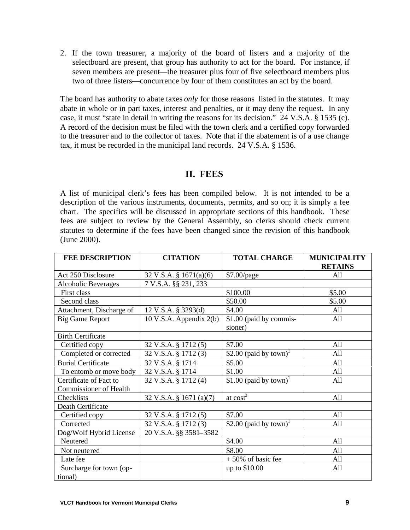2. If the town treasurer, a majority of the board of listers and a majority of the selectboard are present, that group has authority to act for the board. For instance, if seven members are present—the treasurer plus four of five selectboard members plus two of three listers—concurrence by four of them constitutes an act by the board.

The board has authority to abate taxes *only* for those reasons listed in the statutes. It may abate in whole or in part taxes, interest and penalties, or it may deny the request. In any case, it must "state in detail in writing the reasons for its decision." 24 V.S.A. § 1535 (c). A record of the decision must be filed with the town clerk and a certified copy forwarded to the treasurer and to the collector of taxes. Note that if the abatement is of a use change tax, it must be recorded in the municipal land records. 24 V.S.A. § 1536.

# **II. FEES**

A list of municipal clerk's fees has been compiled below. It is not intended to be a description of the various instruments, documents, permits, and so on; it is simply a fee chart. The specifics will be discussed in appropriate sections of this handbook. These fees are subject to review by the General Assembly, so clerks should check current statutes to determine if the fees have been changed since the revision of this handbook (June 2000).

| <b>FEE DESCRIPTION</b>    | <b>CITATION</b>           | <b>TOTAL CHARGE</b>                | <b>MUNICIPALITY</b> |
|---------------------------|---------------------------|------------------------------------|---------------------|
|                           |                           |                                    | <b>RETAINS</b>      |
| Act 250 Disclosure        | 32 V.S.A. § $1671(a)(6)$  | \$7.00/page                        | A11                 |
| Alcoholic Beverages       | 7 V.S.A. §§ 231, 233      |                                    |                     |
| First class               |                           | \$100.00                           | \$5.00              |
| Second class              |                           | \$50.00                            | \$5.00              |
| Attachment, Discharge of  | 12 V.S.A. § 3293(d)       | \$4.00                             | All                 |
| <b>Big Game Report</b>    | 10 V.S.A. Appendix $2(b)$ | \$1.00 (paid by commis-            | All                 |
|                           |                           | sioner)                            |                     |
| <b>Birth Certificate</b>  |                           |                                    |                     |
| Certified copy            | 32 V.S.A. § 1712(5)       | \$7.00                             | All                 |
| Completed or corrected    | 32 V.S.A. § 1712 (3)      | \$2.00 (paid by town) <sup>1</sup> | All                 |
| <b>Burial Certificate</b> | 32 V.S.A. § 1714          | \$5.00                             | All                 |
| To entomb or move body    | 32 V.S.A. § 1714          | \$1.00                             | All                 |
| Certificate of Fact to    | 32 V.S.A. § 1712(4)       | \$1.00 (paid by town) <sup>1</sup> | All                 |
| Commissioner of Health    |                           |                                    |                     |
| Checklists                | 32 V.S.A. § 1671 (a)(7)   | at $cost2$                         | All                 |
| Death Certificate         |                           |                                    |                     |
| Certified copy            | 32 V.S.A. § 1712(5)       | \$7.00                             | All                 |
| Corrected                 | 32 V.S.A. § 1712(3)       | \$2.00 (paid by town) <sup>1</sup> | All                 |
| Dog/Wolf Hybrid License   | 20 V.S.A. §§ 3581-3582    |                                    |                     |
| Neutered                  |                           | \$4.00                             | All                 |
| Not neutered              |                           | \$8.00                             | All                 |
| Late fee                  |                           | $+50\%$ of basic fee               | All                 |
| Surcharge for town (op-   |                           | up to \$10.00                      | All                 |
| tional)                   |                           |                                    |                     |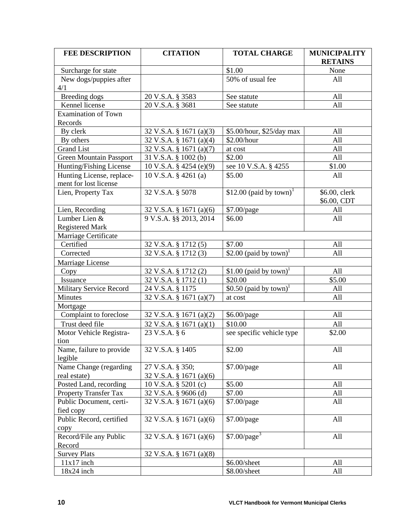| <b>FEE DESCRIPTION</b>                             | <b>CITATION</b>                    | <b>TOTAL CHARGE</b>                 | <b>MUNICIPALITY</b>          |  |
|----------------------------------------------------|------------------------------------|-------------------------------------|------------------------------|--|
|                                                    |                                    |                                     | <b>RETAINS</b>               |  |
| Surcharge for state                                |                                    | \$1.00                              | None                         |  |
| New dogs/puppies after                             |                                    | 50% of usual fee                    | All                          |  |
| 4/1                                                |                                    |                                     |                              |  |
| Breeding dogs                                      | 20 V.S.A. § 3583                   | See statute                         | All                          |  |
| Kennel license                                     | 20 V.S.A. § 3681                   | See statute                         | All                          |  |
| <b>Examination of Town</b>                         |                                    |                                     |                              |  |
| Records                                            |                                    |                                     |                              |  |
| By clerk                                           | 32 V.S.A. § 1671 (a)(3)            | \$5.00/hour, \$25/day max           | All                          |  |
| By others                                          | 32 V.S.A. § 1671 (a)(4)            | \$2.00/hour                         | All                          |  |
| <b>Grand List</b>                                  | 32 V.S.A. § 1671 (a)(7)            | at cost                             | All                          |  |
| <b>Green Mountain Passport</b>                     | 31 V.S.A. § 1002 (b)               | \$2.00                              | All                          |  |
| Hunting/Fishing License                            | 10 V.S.A. § 4254 (e)(9)            | see 10 V.S.A. § 4255                | \$1.00                       |  |
| Hunting License, replace-<br>ment for lost license | 10 V.S.A. $\S$ 4261 (a)            | \$5.00                              | All                          |  |
| Lien, Property Tax                                 | 32 V.S.A. § 5078                   | \$12.00 (paid by town) <sup>1</sup> | \$6.00, clerk<br>\$6.00, CDT |  |
| Lien, Recording                                    | 32 V.S.A. § 1671 (a)(6)            | \$7.00/page                         | All                          |  |
| Lumber Lien &                                      | 9 V.S.A. §§ 2013, 2014             | \$6.00                              | All                          |  |
|                                                    |                                    |                                     |                              |  |
| <b>Registered Mark</b>                             |                                    |                                     |                              |  |
| Marriage Certificate<br>Certified                  |                                    | \$7.00                              | All                          |  |
|                                                    | 32 V.S.A. § 1712(5)                |                                     |                              |  |
| Corrected                                          | 32 V.S.A. § 1712 (3)               | \$2.00 (paid by town) <sup>1</sup>  | All                          |  |
| Marriage License                                   |                                    |                                     |                              |  |
| Copy                                               | 32 V.S.A. § 1712(2)                | \$1.00 (paid by town) <sup>1</sup>  | All                          |  |
| Issuance                                           | 32 V.S.A. § 1712(1)                | \$20.00                             | \$5.00                       |  |
| <b>Military Service Record</b>                     | 24 V.S.A. § 1175                   | \$0.50 (paid by town) <sup>1</sup>  | All                          |  |
| Minutes                                            | 32 V.S.A. § 1671 (a)(7)            | at cost                             | All                          |  |
| Mortgage                                           |                                    |                                     |                              |  |
| Complaint to foreclose                             | 32 V.S.A. § 1671 (a)(2)            | \$6.00/page                         | All                          |  |
| Trust deed file                                    | 32 V.S.A. § 1671 (a)(1)            | \$10.00                             | All                          |  |
| Motor Vehicle Registra-<br>tion                    | 23 V.S.A. § 6                      | see specific vehicle type           | \$2.00                       |  |
| Name, failure to provide                           | 32 V.S.A. § 1405                   | \$2.00                              | All                          |  |
| legible                                            |                                    |                                     |                              |  |
| Name Change (regarding                             | 27 V.S.A. § 350;                   | \$7.00/page                         | All                          |  |
| real estate)                                       | 32 V.S.A. § 1671 (a)(6)            |                                     |                              |  |
| Posted Land, recording                             | 10 V.S.A. § 5201 (c)               | \$5.00                              | All                          |  |
| <b>Property Transfer Tax</b>                       | 32 V.S.A. § 9606 (d)               | \$7.00                              | All                          |  |
| Public Document, certi-                            | 32 V.S.A. § 1671 (a)(6)            | \$7.00/page                         | All                          |  |
| fied copy                                          |                                    |                                     |                              |  |
| Public Record, certified                           | $32 \text{ V.S.A. }$ § 1671 (a)(6) | \$7.00/page                         | All                          |  |
| copy                                               |                                    |                                     |                              |  |
| Record/File any Public                             | 32 V.S.A. § 1671 (a)(6)            | $$7.00$ /page <sup>3</sup>          | All                          |  |
| Record                                             |                                    |                                     |                              |  |
| <b>Survey Plats</b>                                | 32 V.S.A. § 1671 (a)(8)            |                                     |                              |  |
| $11x17$ inch                                       |                                    | \$6.00/sheet                        | All                          |  |
| $18x24$ inch                                       |                                    | \$8.00/sheet                        | All                          |  |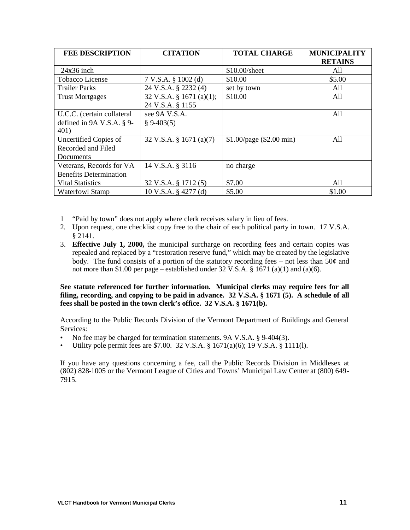| <b>FEE DESCRIPTION</b>        | <b>CITATION</b>                    | <b>TOTAL CHARGE</b>      | <b>MUNICIPALITY</b> |
|-------------------------------|------------------------------------|--------------------------|---------------------|
|                               |                                    |                          | <b>RETAINS</b>      |
| $24x36$ inch                  |                                    | \$10.00/sheet            | All                 |
| Tobacco License               | 7 V.S.A. § 1002(d)                 | \$10.00                  | \$5.00              |
| <b>Trailer Parks</b>          | 24 V.S.A. § 2232 (4)               | set by town              | All                 |
| <b>Trust Mortgages</b>        | 32 V.S.A. § 1671 (a)(1);           | \$10.00                  | All                 |
|                               | 24 V.S.A. § 1155                   |                          |                     |
| U.C.C. (certain collateral    | see 9A V.S.A.                      |                          | All                 |
| defined in $9A$ V.S.A. § 9-   | $§ 9-403(5)$                       |                          |                     |
| 401)                          |                                    |                          |                     |
| Uncertified Copies of         | $32 \text{ V.S.A. }$ § 1671 (a)(7) | \$1.00/page (\$2.00 min) | All                 |
| Recorded and Filed            |                                    |                          |                     |
| Documents                     |                                    |                          |                     |
| Veterans, Records for VA      | 14 V.S.A. § 3116                   | no charge                |                     |
| <b>Benefits Determination</b> |                                    |                          |                     |
| <b>Vital Statistics</b>       | 32 V.S.A. § 1712(5)                | \$7.00                   | All                 |
| <b>Waterfowl Stamp</b>        | 10 V.S.A. § 4277 (d)               | \$5.00                   | \$1.00              |

- 1 "Paid by town" does not apply where clerk receives salary in lieu of fees.
- 2. Upon request, one checklist copy free to the chair of each political party in town. 17 V.S.A. § 2141.
- 3. **Effective July 1, 2000,** the municipal surcharge on recording fees and certain copies was repealed and replaced by a "restoration reserve fund," which may be created by the legislative body. The fund consists of a portion of the statutory recording fees – not less than 50¢ and not more than \$1.00 per page – established under  $32 \text{ V.S.A.}$  §  $1671$  (a)(1) and (a)(6).

**See statute referenced for further information. Municipal clerks may require fees for all filing, recording, and copying to be paid in advance. 32 V.S.A. § 1671 (5). A schedule of all fees shall be posted in the town clerk's office. 32 V.S.A. § 1671(b).**

According to the Public Records Division of the Vermont Department of Buildings and General Services:

- No fee may be charged for termination statements. 9A V.S.A. § 9-404(3).
- Utility pole permit fees are \$7.00. 32 V.S.A. § 1671(a)(6); 19 V.S.A. § 1111(l).

If you have any questions concerning a fee, call the Public Records Division in Middlesex at (802) 828-1005 or the Vermont League of Cities and Towns' Municipal Law Center at (800) 649- 7915.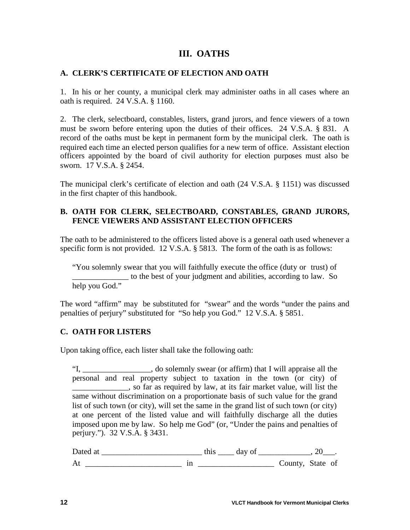## **III. OATHS**

#### **A. CLERK'S CERTIFICATE OF ELECTION AND OATH**

1. In his or her county, a municipal clerk may administer oaths in all cases where an oath is required. 24 V.S.A. § 1160.

2. The clerk, selectboard, constables, listers, grand jurors, and fence viewers of a town must be sworn before entering upon the duties of their offices. 24 V.S.A. § 831. A record of the oaths must be kept in permanent form by the municipal clerk. The oath is required each time an elected person qualifies for a new term of office. Assistant election officers appointed by the board of civil authority for election purposes must also be sworn. 17 V.S.A. § 2454.

The municipal clerk's certificate of election and oath (24 V.S.A. § 1151) was discussed in the first chapter of this handbook.

#### **B. OATH FOR CLERK, SELECTBOARD, CONSTABLES, GRAND JURORS, FENCE VIEWERS AND ASSISTANT ELECTION OFFICERS**

The oath to be administered to the officers listed above is a general oath used whenever a specific form is not provided. 12 V.S.A. § 5813. The form of the oath is as follows:

"You solemnly swear that you will faithfully execute the office (duty or trust) of \_\_\_\_\_\_\_\_\_\_\_\_\_\_ to the best of your judgment and abilities, according to law. So help you God."

The word "affirm" may be substituted for "swear" and the words "under the pains and penalties of perjury" substituted for "So help you God." 12 V.S.A. § 5851.

#### **C. OATH FOR LISTERS**

Upon taking office, each lister shall take the following oath:

"I, do solemnly swear (or affirm) that I will appraise all the personal and real property subject to taxation in the town (or city) of **Example 2.1**, so far as required by law, at its fair market value, will list the same without discrimination on a proportionate basis of such value for the grand list of such town (or city), will set the same in the grand list of such town (or city) at one percent of the listed value and will faithfully discharge all the duties imposed upon me by law. So help me God" (or, "Under the pains and penalties of perjury."). 32 V.S.A. § 3431.

Dated at \_\_\_\_\_\_\_\_\_\_\_\_\_\_\_\_\_\_\_\_\_\_\_\_\_ this \_\_\_\_ day of \_\_\_\_\_\_\_\_\_\_\_\_\_, 20\_\_\_. At \_\_\_\_\_\_\_\_\_\_\_\_\_\_\_\_\_\_\_\_\_\_\_\_ in \_\_\_\_\_\_\_\_\_\_\_\_\_\_\_\_\_\_\_ County, State of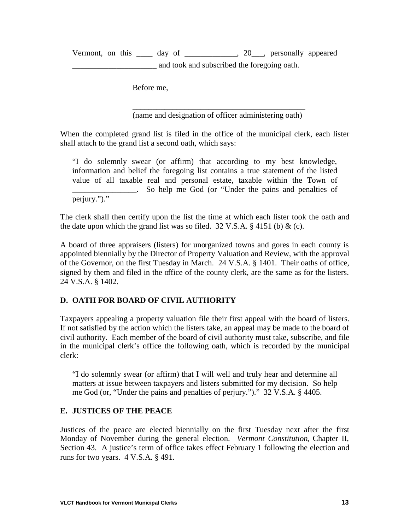Vermont, on this \_\_\_\_ day of \_\_\_\_\_\_\_\_\_\_\_\_\_, 20\_\_\_, personally appeared and took and subscribed the foregoing oath.

Before me,

\_\_\_\_\_\_\_\_\_\_\_\_\_\_\_\_\_\_\_\_\_\_\_\_\_\_\_\_\_\_\_\_\_\_\_\_\_\_\_\_\_\_\_ (name and designation of officer administering oath)

When the completed grand list is filed in the office of the municipal clerk, each lister shall attach to the grand list a second oath, which says:

"I do solemnly swear (or affirm) that according to my best knowledge, information and belief the foregoing list contains a true statement of the listed value of all taxable real and personal estate, taxable within the Town of \_\_\_\_\_\_\_\_\_\_\_\_\_\_\_\_. So help me God (or "Under the pains and penalties of perjury.")."

The clerk shall then certify upon the list the time at which each lister took the oath and the date upon which the grand list was so filed.  $32 \text{ V.S.A.}$  § 4151 (b) & (c).

A board of three appraisers (listers) for unorganized towns and gores in each county is appointed biennially by the Director of Property Valuation and Review, with the approval of the Governor, on the first Tuesday in March. 24 V.S.A. § 1401. Their oaths of office, signed by them and filed in the office of the county clerk, are the same as for the listers. 24 V.S.A. § 1402.

#### **D. OATH FOR BOARD OF CIVIL AUTHORITY**

Taxpayers appealing a property valuation file their first appeal with the board of listers. If not satisfied by the action which the listers take, an appeal may be made to the board of civil authority. Each member of the board of civil authority must take, subscribe, and file in the municipal clerk's office the following oath, which is recorded by the municipal clerk:

"I do solemnly swear (or affirm) that I will well and truly hear and determine all matters at issue between taxpayers and listers submitted for my decision. So help me God (or, "Under the pains and penalties of perjury.")." 32 V.S.A. § 4405.

#### **E. JUSTICES OF THE PEACE**

Justices of the peace are elected biennially on the first Tuesday next after the first Monday of November during the general election. *Vermont Constitution*, Chapter II, Section 43. A justice's term of office takes effect February 1 following the election and runs for two years. 4 V.S.A. § 491.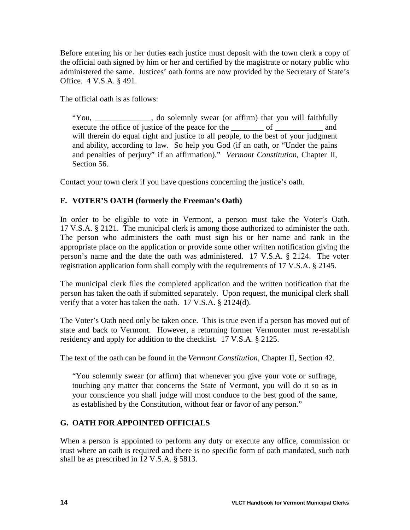Before entering his or her duties each justice must deposit with the town clerk a copy of the official oath signed by him or her and certified by the magistrate or notary public who administered the same. Justices' oath forms are now provided by the Secretary of State's Office. 4 V.S.A. § 491.

The official oath is as follows:

"You, \_\_\_\_\_\_\_\_, do solemnly swear (or affirm) that you will faithfully execute the office of justice of the peace for the \_\_\_\_\_\_\_\_\_ of \_\_\_\_\_\_\_\_\_\_\_ and will therein do equal right and justice to all people, to the best of your judgment and ability, according to law. So help you God (if an oath, or "Under the pains and penalties of perjury" if an affirmation)." *Vermont Constitution*, Chapter II, Section 56.

Contact your town clerk if you have questions concerning the justice's oath.

## **F. VOTER'S OATH (formerly the Freeman's Oath)**

In order to be eligible to vote in Vermont, a person must take the Voter's Oath. 17 V.S.A. § 2121. The municipal clerk is among those authorized to administer the oath. The person who administers the oath must sign his or her name and rank in the appropriate place on the application or provide some other written notification giving the person's name and the date the oath was administered. 17 V.S.A. § 2124. The voter registration application form shall comply with the requirements of 17 V.S.A. § 2145.

The municipal clerk files the completed application and the written notification that the person has taken the oath if submitted separately. Upon request, the municipal clerk shall verify that a voter has taken the oath. 17 V.S.A. § 2124(d).

The Voter's Oath need only be taken once. This is true even if a person has moved out of state and back to Vermont. However, a returning former Vermonter must re-establish residency and apply for addition to the checklist. 17 V.S.A. § 2125.

The text of the oath can be found in the *Vermont Constitution,* Chapter II, Section 42.

"You solemnly swear (or affirm) that whenever you give your vote or suffrage, touching any matter that concerns the State of Vermont, you will do it so as in your conscience you shall judge will most conduce to the best good of the same, as established by the Constitution, without fear or favor of any person."

#### **G. OATH FOR APPOINTED OFFICIALS**

When a person is appointed to perform any duty or execute any office, commission or trust where an oath is required and there is no specific form of oath mandated, such oath shall be as prescribed in 12 V.S.A. § 5813.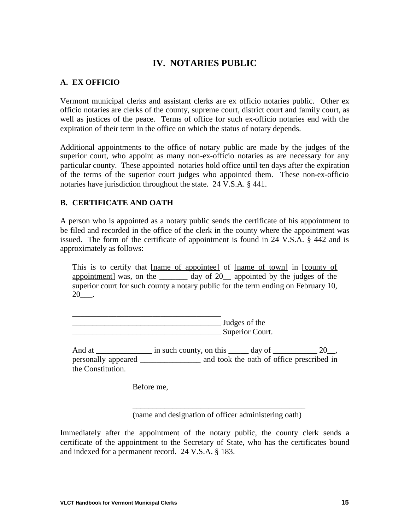# **IV. NOTARIES PUBLIC**

#### **A. EX OFFICIO**

Vermont municipal clerks and assistant clerks are ex officio notaries public. Other ex officio notaries are clerks of the county, supreme court, district court and family court, as well as justices of the peace. Terms of office for such ex-officio notaries end with the expiration of their term in the office on which the status of notary depends.

Additional appointments to the office of notary public are made by the judges of the superior court, who appoint as many non-ex-officio notaries as are necessary for any particular county. These appointed notaries hold office until ten days after the expiration of the terms of the superior court judges who appointed them. These non-ex-officio notaries have jurisdiction throughout the state. 24 V.S.A. § 441.

### **B. CERTIFICATE AND OATH**

A person who is appointed as a notary public sends the certificate of his appointment to be filed and recorded in the office of the clerk in the county where the appointment was issued. The form of the certificate of appointment is found in 24 V.S.A. § 442 and is approximately as follows:

This is to certify that [name of appointee] of [name of town] in [county of appointment was, on the day of 20 appointed by the judges of the superior court for such county a notary public for the term ending on February 10, 20\_\_\_.

\_\_\_\_\_\_\_\_\_\_\_\_\_\_\_\_\_\_\_\_\_\_\_\_\_\_\_\_\_\_\_\_\_\_\_\_\_ \_\_\_\_\_\_\_\_\_\_\_\_\_\_\_\_\_\_\_\_\_\_\_\_\_\_\_\_\_\_\_\_\_\_\_\_\_ Judges of the \_\_\_\_\_\_\_\_\_\_\_\_\_\_\_\_\_\_\_\_\_\_\_\_\_\_\_\_\_\_\_\_\_\_\_\_\_ Superior Court.

And at  $\frac{1}{20}$  in such county, on this  $\frac{1}{20}$  day of  $\frac{20}{20}$ , personally appeared \_\_\_\_\_\_\_\_\_\_\_\_\_\_\_ and took the oath of office prescribed in the Constitution.

Before me,

\_\_\_\_\_\_\_\_\_\_\_\_\_\_\_\_\_\_\_\_\_\_\_\_\_\_\_\_\_\_\_\_\_\_\_\_\_\_\_\_\_\_\_ (name and designation of officer administering oath)

Immediately after the appointment of the notary public, the county clerk sends a certificate of the appointment to the Secretary of State, who has the certificates bound and indexed for a permanent record. 24 V.S.A. § 183.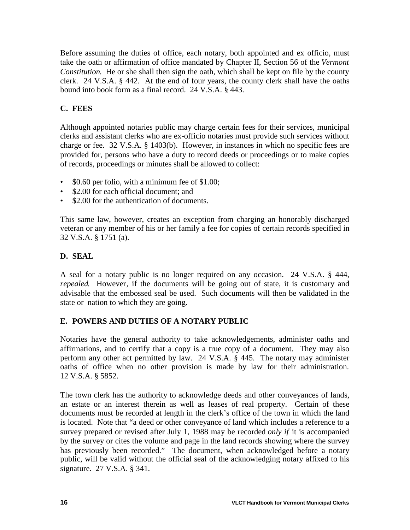Before assuming the duties of office, each notary, both appointed and ex officio, must take the oath or affirmation of office mandated by Chapter II, Section 56 of the *Vermont Constitution*. He or she shall then sign the oath, which shall be kept on file by the county clerk. 24 V.S.A. § 442. At the end of four years, the county clerk shall have the oaths bound into book form as a final record. 24 V.S.A. § 443.

## **C. FEES**

Although appointed notaries public may charge certain fees for their services, municipal clerks and assistant clerks who are ex-officio notaries must provide such services without charge or fee. 32 V.S.A. § 1403(b). However, in instances in which no specific fees are provided for, persons who have a duty to record deeds or proceedings or to make copies of records, proceedings or minutes shall be allowed to collect:

- \$0.60 per folio, with a minimum fee of \$1.00;
- \$2.00 for each official document; and
- \$2.00 for the authentication of documents

This same law, however, creates an exception from charging an honorably discharged veteran or any member of his or her family a fee for copies of certain records specified in 32 V.S.A. § 1751 (a).

## **D. SEAL**

A seal for a notary public is no longer required on any occasion. 24 V.S.A. § 444, *repealed*. However, if the documents will be going out of state, it is customary and advisable that the embossed seal be used. Such documents will then be validated in the state or nation to which they are going.

## **E. POWERS AND DUTIES OF A NOTARY PUBLIC**

Notaries have the general authority to take acknowledgements, administer oaths and affirmations, and to certify that a copy is a true copy of a document. They may also perform any other act permitted by law. 24 V.S.A. § 445. The notary may administer oaths of office when no other provision is made by law for their administration. 12 V.S.A. § 5852.

The town clerk has the authority to acknowledge deeds and other conveyances of lands, an estate or an interest therein as well as leases of real property. Certain of these documents must be recorded at length in the clerk's office of the town in which the land is located. Note that "a deed or other conveyance of land which includes a reference to a survey prepared or revised after July 1, 1988 may be recorded *only if* it is accompanied by the survey or cites the volume and page in the land records showing where the survey has previously been recorded." The document, when acknowledged before a notary public, will be valid without the official seal of the acknowledging notary affixed to his signature. 27 V.S.A. § 341.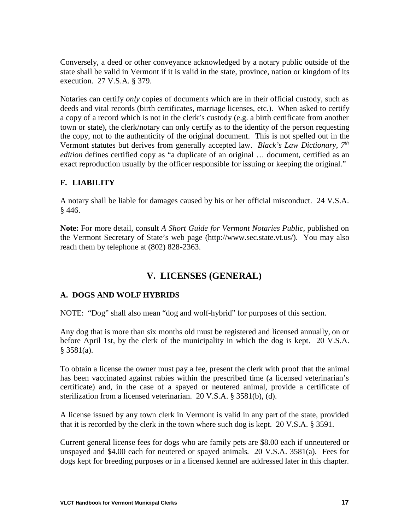Conversely, a deed or other conveyance acknowledged by a notary public outside of the state shall be valid in Vermont if it is valid in the state, province, nation or kingdom of its execution. 27 V.S.A. § 379.

Notaries can certify *only* copies of documents which are in their official custody, such as deeds and vital records (birth certificates, marriage licenses, etc.). When asked to certify a copy of a record which is not in the clerk's custody (e.g. a birth certificate from another town or state), the clerk/notary can only certify as to the identity of the person requesting the copy, not to the authenticity of the original document. This is not spelled out in the Vermont statutes but derives from generally accepted law. *Black's Law Dictionary, 7th edition* defines certified copy as "a duplicate of an original ... document, certified as an exact reproduction usually by the officer responsible for issuing or keeping the original."

## **F. LIABILITY**

A notary shall be liable for damages caused by his or her official misconduct. 24 V.S.A. § 446.

**Note:** For more detail, consult *A Short Guide for Vermont Notaries Public,* published on the Vermont Secretary of State's web page (http://www.sec.state.vt.us/). You may also reach them by telephone at (802) 828-2363.

# **V. LICENSES (GENERAL)**

#### **A. DOGS AND WOLF HYBRIDS**

NOTE: "Dog" shall also mean "dog and wolf-hybrid" for purposes of this section.

Any dog that is more than six months old must be registered and licensed annually, on or before April 1st, by the clerk of the municipality in which the dog is kept. 20 V.S.A.  $§$  3581(a).

To obtain a license the owner must pay a fee, present the clerk with proof that the animal has been vaccinated against rabies within the prescribed time (a licensed veterinarian's certificate) and, in the case of a spayed or neutered animal, provide a certificate of sterilization from a licensed veterinarian. 20 V.S.A. § 3581(b), (d).

A license issued by any town clerk in Vermont is valid in any part of the state, provided that it is recorded by the clerk in the town where such dog is kept. 20 V.S.A. § 3591.

Current general license fees for dogs who are family pets are \$8.00 each if unneutered or unspayed and \$4.00 each for neutered or spayed animals. 20 V.S.A. 3581(a). Fees for dogs kept for breeding purposes or in a licensed kennel are addressed later in this chapter.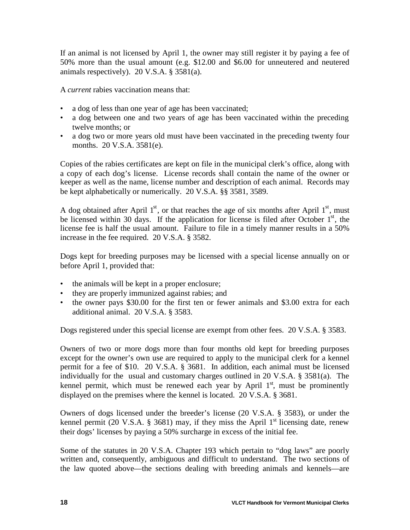If an animal is not licensed by April 1, the owner may still register it by paying a fee of 50% more than the usual amount (e.g. \$12.00 and \$6.00 for unneutered and neutered animals respectively). 20 V.S.A. § 3581(a).

A *current* rabies vaccination means that:

- a dog of less than one year of age has been vaccinated;
- a dog between one and two years of age has been vaccinated within the preceding twelve months; or
- a dog two or more years old must have been vaccinated in the preceding twenty four months. 20 V.S.A. 3581(e).

Copies of the rabies certificates are kept on file in the municipal clerk's office, along with a copy of each dog's license. License records shall contain the name of the owner or keeper as well as the name, license number and description of each animal. Records may be kept alphabetically or numerically. 20 V.S.A. §§ 3581, 3589.

A dog obtained after April  $1<sup>st</sup>$ , or that reaches the age of six months after April  $1<sup>st</sup>$ , must be licensed within 30 days. If the application for license is filed after October  $1<sup>st</sup>$ , the license fee is half the usual amount. Failure to file in a timely manner results in a 50% increase in the fee required. 20 V.S.A. § 3582.

Dogs kept for breeding purposes may be licensed with a special license annually on or before April 1, provided that:

- the animals will be kept in a proper enclosure;
- they are properly immunized against rabies; and
- the owner pays \$30.00 for the first ten or fewer animals and \$3.00 extra for each additional animal. 20 V.S.A. § 3583.

Dogs registered under this special license are exempt from other fees. 20 V.S.A. § 3583.

Owners of two or more dogs more than four months old kept for breeding purposes except for the owner's own use are required to apply to the municipal clerk for a kennel permit for a fee of \$10. 20 V.S.A. § 3681. In addition, each animal must be licensed individually for the usual and customary charges outlined in 20 V.S.A. § 3581(a). The kennel permit, which must be renewed each year by April  $1<sup>st</sup>$ , must be prominently displayed on the premises where the kennel is located. 20 V.S.A. § 3681.

Owners of dogs licensed under the breeder's license (20 V.S.A. § 3583), or under the kennel permit (20 V.S.A. § 3681) may, if they miss the April  $1<sup>st</sup>$  licensing date, renew their dogs' licenses by paying a 50% surcharge in excess of the initial fee.

Some of the statutes in 20 V.S.A. Chapter 193 which pertain to "dog laws" are poorly written and, consequently, ambiguous and difficult to understand. The two sections of the law quoted above—the sections dealing with breeding animals and kennels—are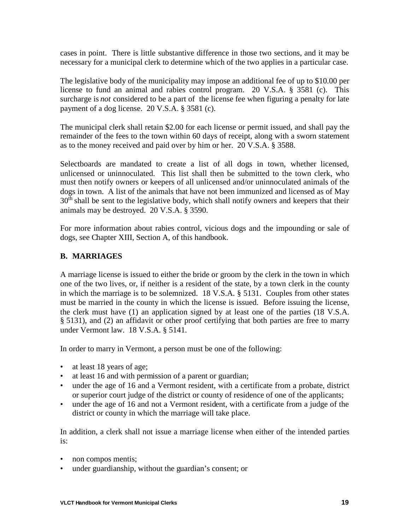cases in point. There is little substantive difference in those two sections, and it may be necessary for a municipal clerk to determine which of the two applies in a particular case.

The legislative body of the municipality may impose an additional fee of up to \$10.00 per license to fund an animal and rabies control program. 20 V.S.A. § 3581 (c). This surcharge is *not* considered to be a part of the license fee when figuring a penalty for late payment of a dog license. 20 V.S.A. § 3581 (c).

The municipal clerk shall retain \$2.00 for each license or permit issued, and shall pay the remainder of the fees to the town within 60 days of receipt, along with a sworn statement as to the money received and paid over by him or her. 20 V.S.A. § 3588.

Selectboards are mandated to create a list of all dogs in town, whether licensed, unlicensed or uninnoculated. This list shall then be submitted to the town clerk, who must then notify owners or keepers of all unlicensed and/or uninnoculated animals of the dogs in town. A list of the animals that have not been immunized and licensed as of May  $30<sup>th</sup>$  shall be sent to the legislative body, which shall notify owners and keepers that their animals may be destroyed. 20 V.S.A. § 3590.

For more information about rabies control, vicious dogs and the impounding or sale of dogs, see Chapter XIII, Section A, of this handbook.

#### **B. MARRIAGES**

A marriage license is issued to either the bride or groom by the clerk in the town in which one of the two lives, or, if neither is a resident of the state, by a town clerk in the county in which the marriage is to be solemnized. 18 V.S.A. § 5131. Couples from other states must be married in the county in which the license is issued. Before issuing the license, the clerk must have (1) an application signed by at least one of the parties (18 V.S.A. § 5131), and (2) an affidavit or other proof certifying that both parties are free to marry under Vermont law. 18 V.S.A. § 5141.

In order to marry in Vermont, a person must be one of the following:

- at least 18 years of age;
- at least 16 and with permission of a parent or guardian;
- under the age of 16 and a Vermont resident, with a certificate from a probate, district or superior court judge of the district or county of residence of one of the applicants;
- under the age of 16 and not a Vermont resident, with a certificate from a judge of the district or county in which the marriage will take place.

In addition, a clerk shall not issue a marriage license when either of the intended parties is:

- non compos mentis;
- under guardianship, without the guardian's consent; or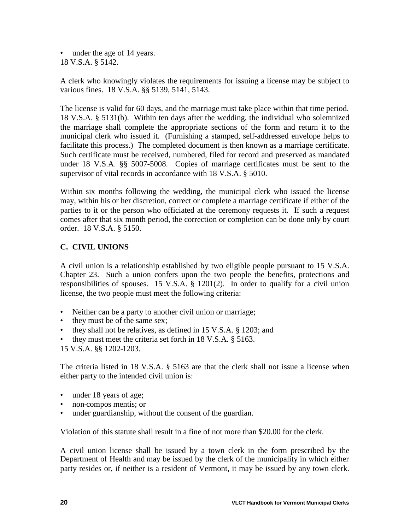• under the age of 14 years. 18 V.S.A. § 5142.

A clerk who knowingly violates the requirements for issuing a license may be subject to various fines. 18 V.S.A. §§ 5139, 5141, 5143.

The license is valid for 60 days, and the marriage must take place within that time period. 18 V.S.A. § 5131(b). Within ten days after the wedding, the individual who solemnized the marriage shall complete the appropriate sections of the form and return it to the municipal clerk who issued it. (Furnishing a stamped, self-addressed envelope helps to facilitate this process.) The completed document is then known as a marriage certificate. Such certificate must be received, numbered, filed for record and preserved as mandated under 18 V.S.A. §§ 5007-5008. Copies of marriage certificates must be sent to the supervisor of vital records in accordance with 18 V.S.A. § 5010.

Within six months following the wedding, the municipal clerk who issued the license may, within his or her discretion, correct or complete a marriage certificate if either of the parties to it or the person who officiated at the ceremony requests it. If such a request comes after that six month period, the correction or completion can be done only by court order. 18 V.S.A. § 5150.

## **C. CIVIL UNIONS**

A civil union is a relationship established by two eligible people pursuant to 15 V.S.A. Chapter 23. Such a union confers upon the two people the benefits, protections and responsibilities of spouses. 15 V.S.A. § 1201(2). In order to qualify for a civil union license, the two people must meet the following criteria:

- Neither can be a party to another civil union or marriage;
- they must be of the same sex;
- they shall not be relatives, as defined in 15 V.S.A. § 1203; and
- they must meet the criteria set forth in  $18$  V.S.A.  $\S$  5163.

15 V.S.A. §§ 1202-1203.

The criteria listed in 18 V.S.A. § 5163 are that the clerk shall not issue a license when either party to the intended civil union is:

- under 18 years of age;
- non-compos mentis; or
- under guardianship, without the consent of the guardian.

Violation of this statute shall result in a fine of not more than \$20.00 for the clerk.

A civil union license shall be issued by a town clerk in the form prescribed by the Department of Health and may be issued by the clerk of the municipality in which either party resides or, if neither is a resident of Vermont, it may be issued by any town clerk.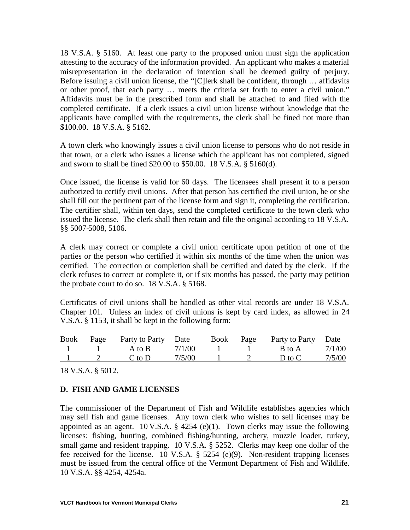18 V.S.A. § 5160. At least one party to the proposed union must sign the application attesting to the accuracy of the information provided. An applicant who makes a material misrepresentation in the declaration of intention shall be deemed guilty of perjury. Before issuing a civil union license, the "[C]lerk shall be confident, through … affidavits or other proof, that each party … meets the criteria set forth to enter a civil union." Affidavits must be in the prescribed form and shall be attached to and filed with the completed certificate. If a clerk issues a civil union license without knowledge that the applicants have complied with the requirements, the clerk shall be fined not more than \$100.00. 18 V.S.A. § 5162.

A town clerk who knowingly issues a civil union license to persons who do not reside in that town, or a clerk who issues a license which the applicant has not completed, signed and sworn to shall be fined \$20.00 to \$50.00. 18 V.S.A. § 5160(d).

Once issued, the license is valid for 60 days. The licensees shall present it to a person authorized to certify civil unions. After that person has certified the civil union, he or she shall fill out the pertinent part of the license form and sign it, completing the certification. The certifier shall, within ten days, send the completed certificate to the town clerk who issued the license. The clerk shall then retain and file the original according to 18 V.S.A. §§ 5007-5008, 5106.

A clerk may correct or complete a civil union certificate upon petition of one of the parties or the person who certified it within six months of the time when the union was certified. The correction or completion shall be certified and dated by the clerk. If the clerk refuses to correct or complete it, or if six months has passed, the party may petition the probate court to do so. 18 V.S.A. § 5168.

Certificates of civil unions shall be handled as other vital records are under 18 V.S.A. Chapter 101. Unless an index of civil unions is kept by card index, as allowed in 24 V.S.A. § 1153, it shall be kept in the following form:

| <b>Book</b> | Page | Party to Party | <b>Date</b> | Book | Page | Party to Party | Date   |
|-------------|------|----------------|-------------|------|------|----------------|--------|
|             |      | A to B         | 7/1/00      |      |      | B to A         | 7/1/00 |
|             |      | C to D         | 7/5/00      |      |      | D to C         | 7/5/00 |

18 V.S.A. § 5012.

#### **D. FISH AND GAME LICENSES**

The commissioner of the Department of Fish and Wildlife establishes agencies which may sell fish and game licenses. Any town clerk who wishes to sell licenses may be appointed as an agent.  $10 \text{ V.S.A. }$  § 4254 (e)(1). Town clerks may issue the following licenses: fishing, hunting, combined fishing/hunting, archery, muzzle loader, turkey, small game and resident trapping. 10 V.S.A. § 5252. Clerks may keep one dollar of the fee received for the license. 10 V.S.A. § 5254 (e)(9). Non-resident trapping licenses must be issued from the central office of the Vermont Department of Fish and Wildlife. 10 V.S.A. §§ 4254, 4254a.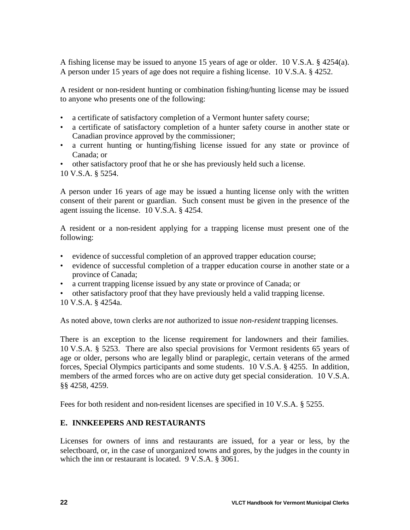A fishing license may be issued to anyone 15 years of age or older. 10 V.S.A. § 4254(a). A person under 15 years of age does not require a fishing license. 10 V.S.A. § 4252.

A resident or non-resident hunting or combination fishing/hunting license may be issued to anyone who presents one of the following:

- a certificate of satisfactory completion of a Vermont hunter safety course;
- a certificate of satisfactory completion of a hunter safety course in another state or Canadian province approved by the commissioner;
- a current hunting or hunting/fishing license issued for any state or province of Canada; or
- other satisfactory proof that he or she has previously held such a license.
- 10 V.S.A. § 5254.

A person under 16 years of age may be issued a hunting license only with the written consent of their parent or guardian. Such consent must be given in the presence of the agent issuing the license. 10 V.S.A. § 4254.

A resident or a non-resident applying for a trapping license must present one of the following:

- evidence of successful completion of an approved trapper education course;
- evidence of successful completion of a trapper education course in another state or a province of Canada;
- a current trapping license issued by any state or province of Canada; or
- other satisfactory proof that they have previously held a valid trapping license. 10 V.S.A. § 4254a.

As noted above, town clerks are *not* authorized to issue *non-resident* trapping licenses.

There is an exception to the license requirement for landowners and their families. 10 V.S.A. § 5253. There are also special provisions for Vermont residents 65 years of age or older, persons who are legally blind or paraplegic, certain veterans of the armed forces, Special Olympics participants and some students. 10 V.S.A. § 4255. In addition, members of the armed forces who are on active duty get special consideration. 10 V.S.A. §§ 4258, 4259.

Fees for both resident and non-resident licenses are specified in 10 V.S.A. § 5255.

#### **E. INNKEEPERS AND RESTAURANTS**

Licenses for owners of inns and restaurants are issued, for a year or less, by the selectboard, or, in the case of unorganized towns and gores, by the judges in the county in which the inn or restaurant is located. 9 V.S.A. § 3061.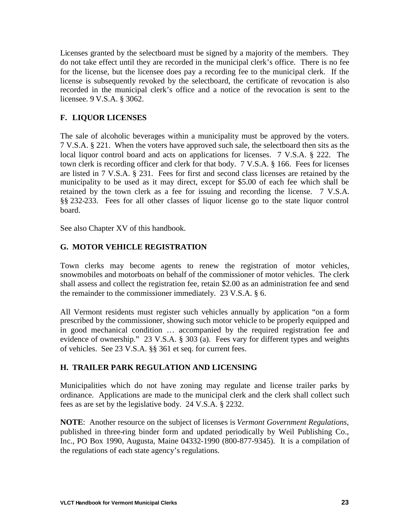Licenses granted by the selectboard must be signed by a majority of the members. They do not take effect until they are recorded in the municipal clerk's office. There is no fee for the license, but the licensee does pay a recording fee to the municipal clerk. If the license is subsequently revoked by the selectboard, the certificate of revocation is also recorded in the municipal clerk's office and a notice of the revocation is sent to the licensee. 9 V.S.A. § 3062.

## **F. LIQUOR LICENSES**

The sale of alcoholic beverages within a municipality must be approved by the voters. 7 V.S.A. § 221. When the voters have approved such sale, the selectboard then sits as the local liquor control board and acts on applications for licenses. 7 V.S.A. § 222. The town clerk is recording officer and clerk for that body. 7 V.S.A. § 166. Fees for licenses are listed in 7 V.S.A. § 231. Fees for first and second class licenses are retained by the municipality to be used as it may direct, except for \$5.00 of each fee which shall be retained by the town clerk as a fee for issuing and recording the license. 7 V.S.A. §§ 232-233. Fees for all other classes of liquor license go to the state liquor control board.

See also Chapter XV of this handbook.

## **G. MOTOR VEHICLE REGISTRATION**

Town clerks may become agents to renew the registration of motor vehicles, snowmobiles and motorboats on behalf of the commissioner of motor vehicles. The clerk shall assess and collect the registration fee, retain \$2.00 as an administration fee and send the remainder to the commissioner immediately. 23 V.S.A. § 6.

All Vermont residents must register such vehicles annually by application "on a form prescribed by the commissioner, showing such motor vehicle to be properly equipped and in good mechanical condition … accompanied by the required registration fee and evidence of ownership." 23 V.S.A. § 303 (a). Fees vary for different types and weights of vehicles. See 23 V.S.A. §§ 361 et seq. for current fees.

#### **H. TRAILER PARK REGULATION AND LICENSING**

Municipalities which do not have zoning may regulate and license trailer parks by ordinance. Applications are made to the municipal clerk and the clerk shall collect such fees as are set by the legislative body. 24 V.S.A. § 2232.

**NOTE**: Another resource on the subject of licenses is *Vermont Government Regulations,* published in three-ring binder form and updated periodically by Weil Publishing Co., Inc., PO Box 1990, Augusta, Maine 04332-1990 (800-877-9345). It is a compilation of the regulations of each state agency's regulations.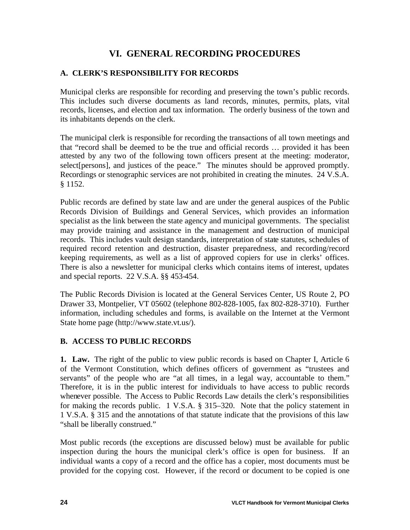# **VI. GENERAL RECORDING PROCEDURES**

### **A. CLERK'S RESPONSIBILITY FOR RECORDS**

Municipal clerks are responsible for recording and preserving the town's public records. This includes such diverse documents as land records, minutes, permits, plats, vital records, licenses, and election and tax information. The orderly business of the town and its inhabitants depends on the clerk.

The municipal clerk is responsible for recording the transactions of all town meetings and that "record shall be deemed to be the true and official records … provided it has been attested by any two of the following town officers present at the meeting: moderator, select[persons], and justices of the peace." The minutes should be approved promptly. Recordings or stenographic services are not prohibited in creating the minutes. 24 V.S.A. § 1152.

Public records are defined by state law and are under the general auspices of the Public Records Division of Buildings and General Services, which provides an information specialist as the link between the state agency and municipal governments. The specialist may provide training and assistance in the management and destruction of municipal records. This includes vault design standards, interpretation of state statutes, schedules of required record retention and destruction, disaster preparedness, and recording/record keeping requirements, as well as a list of approved copiers for use in clerks' offices. There is also a newsletter for municipal clerks which contains items of interest, updates and special reports. 22 V.S.A. §§ 453-454.

The Public Records Division is located at the General Services Center, US Route 2, PO Drawer 33, Montpelier, VT 05602 (telephone 802-828-1005, fax 802-828-3710). Further information, including schedules and forms, is available on the Internet at the Vermont State home page (http://www.state.vt.us/).

#### **B. ACCESS TO PUBLIC RECORDS**

**1. Law.** The right of the public to view public records is based on Chapter I, Article 6 of the Vermont Constitution, which defines officers of government as "trustees and servants" of the people who are "at all times, in a legal way, accountable to them." Therefore, it is in the public interest for individuals to have access to public records whenever possible. The Access to Public Records Law details the clerk's responsibilities for making the records public. 1 V.S.A. § 315–320. Note that the policy statement in 1 V.S.A. § 315 and the annotations of that statute indicate that the provisions of this law "shall be liberally construed."

Most public records (the exceptions are discussed below) must be available for public inspection during the hours the municipal clerk's office is open for business. If an individual wants a copy of a record and the office has a copier, most documents must be provided for the copying cost. However, if the record or document to be copied is one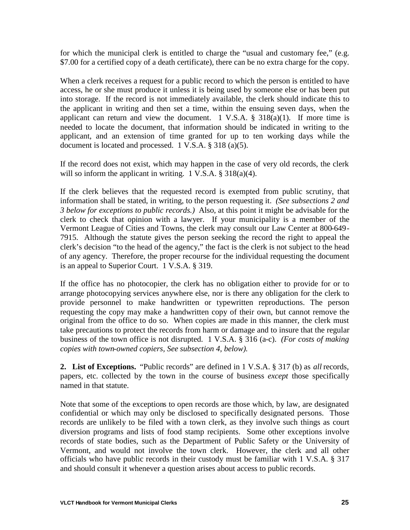for which the municipal clerk is entitled to charge the "usual and customary fee," (e.g. \$7.00 for a certified copy of a death certificate), there can be no extra charge for the copy.

When a clerk receives a request for a public record to which the person is entitled to have access, he or she must produce it unless it is being used by someone else or has been put into storage. If the record is not immediately available, the clerk should indicate this to the applicant in writing and then set a time, within the ensuing seven days, when the applicant can return and view the document. 1 V.S.A.  $\S$  318(a)(1). If more time is needed to locate the document, that information should be indicated in writing to the applicant, and an extension of time granted for up to ten working days while the document is located and processed. 1 V.S.A. § 318 (a)(5).

If the record does not exist, which may happen in the case of very old records, the clerk will so inform the applicant in writing. 1 V.S.A. § 318(a)(4).

If the clerk believes that the requested record is exempted from public scrutiny, that information shall be stated, in writing, to the person requesting it. *(See subsections 2 and 3 below for exceptions to public records.)* Also, at this point it might be advisable for the clerk to check that opinion with a lawyer. If your municipality is a member of the Vermont League of Cities and Towns, the clerk may consult our Law Center at 800-649- 7915. Although the statute gives the person seeking the record the right to appeal the clerk's decision "to the head of the agency," the fact is the clerk is not subject to the head of any agency. Therefore, the proper recourse for the individual requesting the document is an appeal to Superior Court. 1 V.S.A. § 319.

If the office has no photocopier, the clerk has no obligation either to provide for or to arrange photocopying services anywhere else, nor is there any obligation for the clerk to provide personnel to make handwritten or typewritten reproductions. The person requesting the copy may make a handwritten copy of their own, but cannot remove the original from the office to do so. When copies are made in this manner, the clerk must take precautions to protect the records from harm or damage and to insure that the regular business of the town office is not disrupted. 1 V.S.A. § 316 (a-c). *(For costs of making copies with town-owned copiers, See subsection 4, below).*

**2. List of Exceptions.** "Public records" are defined in 1 V.S.A. § 317 (b) as *all* records, papers, etc. collected by the town in the course of business *except* those specifically named in that statute.

Note that some of the exceptions to open records are those which, by law, are designated confidential or which may only be disclosed to specifically designated persons. Those records are unlikely to be filed with a town clerk, as they involve such things as court diversion programs and lists of food stamp recipients. Some other exceptions involve records of state bodies, such as the Department of Public Safety or the University of Vermont, and would not involve the town clerk. However, the clerk and all other officials who have public records in their custody must be familiar with 1 V.S.A. § 317 and should consult it whenever a question arises about access to public records.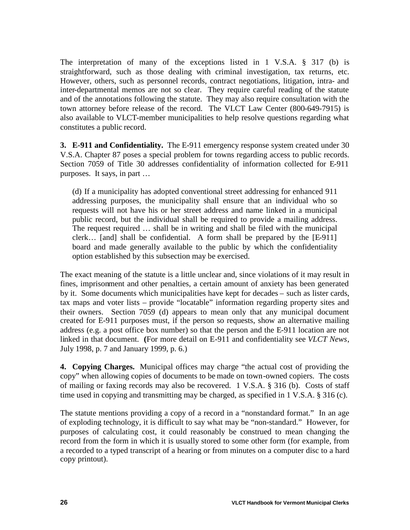The interpretation of many of the exceptions listed in 1 V.S.A. § 317 (b) is straightforward, such as those dealing with criminal investigation, tax returns, etc. However, others, such as personnel records, contract negotiations, litigation, intra- and inter-departmental memos are not so clear. They require careful reading of the statute and of the annotations following the statute. They may also require consultation with the town attorney before release of the record. The VLCT Law Center (800-649-7915) is also available to VLCT-member municipalities to help resolve questions regarding what constitutes a public record.

**3. E-911 and Confidentiality.** The E-911 emergency response system created under 30 V.S.A. Chapter 87 poses a special problem for towns regarding access to public records. Section 7059 of Title 30 addresses confidentiality of information collected for E-911 purposes. It says, in part …

(d) If a municipality has adopted conventional street addressing for enhanced 911 addressing purposes, the municipality shall ensure that an individual who so requests will not have his or her street address and name linked in a municipal public record, but the individual shall be required to provide a mailing address. The request required … shall be in writing and shall be filed with the municipal clerk… [and] shall be confidential. A form shall be prepared by the [E-911] board and made generally available to the public by which the confidentiality option established by this subsection may be exercised.

The exact meaning of the statute is a little unclear and, since violations of it may result in fines, imprisonment and other penalties, a certain amount of anxiety has been generated by it. Some documents which municipalities have kept for decades – such as lister cards, tax maps and voter lists – provide "locatable" information regarding property sites and their owners. Section 7059 (d) appears to mean only that any municipal document created for E-911 purposes must, if the person so requests, show an alternative mailing address (e.g. a post office box number) so that the person and the E-911 location are not linked in that document. **(**For more detail on E-911 and confidentiality see *VLCT News*, July 1998, p. 7 and January 1999, p. 6.)

**4. Copying Charges.** Municipal offices may charge "the actual cost of providing the copy" when allowing copies of documents to be made on town-owned copiers. The costs of mailing or faxing records may also be recovered. 1 V.S.A. § 316 (b). Costs of staff time used in copying and transmitting may be charged, as specified in 1 V.S.A. § 316 (c).

The statute mentions providing a copy of a record in a "nonstandard format." In an age of exploding technology, it is difficult to say what may be "non-standard." However, for purposes of calculating cost, it could reasonably be construed to mean changing the record from the form in which it is usually stored to some other form (for example, from a recorded to a typed transcript of a hearing or from minutes on a computer disc to a hard copy printout).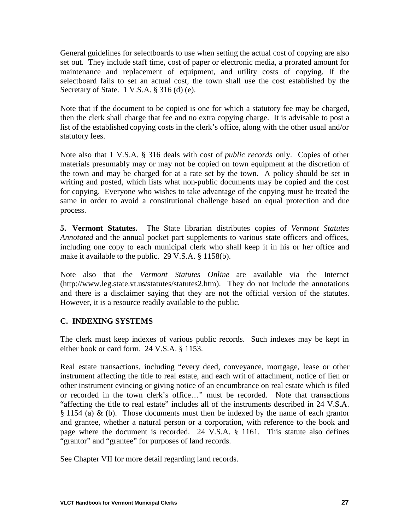General guidelines for selectboards to use when setting the actual cost of copying are also set out. They include staff time, cost of paper or electronic media, a prorated amount for maintenance and replacement of equipment, and utility costs of copying. If the selectboard fails to set an actual cost, the town shall use the cost established by the Secretary of State. 1 V.S.A. § 316 (d) (e).

Note that if the document to be copied is one for which a statutory fee may be charged, then the clerk shall charge that fee and no extra copying charge. It is advisable to post a list of the established copying costs in the clerk's office, along with the other usual and/or statutory fees.

Note also that 1 V.S.A. § 316 deals with cost of *public records* only. Copies of other materials presumably may or may not be copied on town equipment at the discretion of the town and may be charged for at a rate set by the town. A policy should be set in writing and posted, which lists what non-public documents may be copied and the cost for copying. Everyone who wishes to take advantage of the copying must be treated the same in order to avoid a constitutional challenge based on equal protection and due process.

**5. Vermont Statutes.** The State librarian distributes copies of *Vermont Statutes Annotated* and the annual pocket part supplements to various state officers and offices, including one copy to each municipal clerk who shall keep it in his or her office and make it available to the public. 29 V.S.A. § 1158(b).

Note also that the *Vermont Statutes Online* are available via the Internet (http://www.leg.state.vt.us/statutes/statutes2.htm). They do not include the annotations and there is a disclaimer saying that they are not the official version of the statutes. However, it is a resource readily available to the public.

# **C. INDEXING SYSTEMS**

The clerk must keep indexes of various public records. Such indexes may be kept in either book or card form. 24 V.S.A. § 1153.

Real estate transactions, including "every deed, conveyance, mortgage, lease or other instrument affecting the title to real estate, and each writ of attachment, notice of lien or other instrument evincing or giving notice of an encumbrance on real estate which is filed or recorded in the town clerk's office…" must be recorded. Note that transactions "affecting the title to real estate" includes all of the instruments described in 24 V.S.A. § 1154 (a) & (b). Those documents must then be indexed by the name of each grantor and grantee, whether a natural person or a corporation, with reference to the book and page where the document is recorded. 24 V.S.A. § 1161. This statute also defines "grantor" and "grantee" for purposes of land records.

See Chapter VII for more detail regarding land records.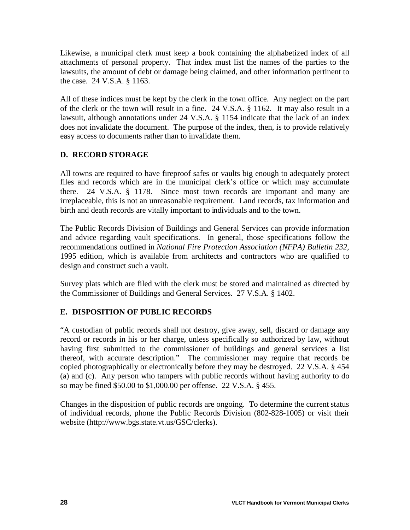Likewise, a municipal clerk must keep a book containing the alphabetized index of all attachments of personal property. That index must list the names of the parties to the lawsuits, the amount of debt or damage being claimed, and other information pertinent to the case. 24 V.S.A. § 1163.

All of these indices must be kept by the clerk in the town office. Any neglect on the part of the clerk or the town will result in a fine. 24 V.S.A. § 1162. It may also result in a lawsuit, although annotations under 24 V.S.A. § 1154 indicate that the lack of an index does not invalidate the document. The purpose of the index, then, is to provide relatively easy access to documents rather than to invalidate them.

# **D. RECORD STORAGE**

All towns are required to have fireproof safes or vaults big enough to adequately protect files and records which are in the municipal clerk's office or which may accumulate there. 24 V.S.A. § 1178. Since most town records are important and many are irreplaceable, this is not an unreasonable requirement. Land records, tax information and birth and death records are vitally important to individuals and to the town.

The Public Records Division of Buildings and General Services can provide information and advice regarding vault specifications. In general, those specifications follow the recommendations outlined in *National Fire Protection Association (NFPA) Bulletin 232,* 1995 edition, which is available from architects and contractors who are qualified to design and construct such a vault.

Survey plats which are filed with the clerk must be stored and maintained as directed by the Commissioner of Buildings and General Services. 27 V.S.A. § 1402.

# **E. DISPOSITION OF PUBLIC RECORDS**

"A custodian of public records shall not destroy, give away, sell, discard or damage any record or records in his or her charge, unless specifically so authorized by law, without having first submitted to the commissioner of buildings and general services a list thereof, with accurate description." The commissioner may require that records be copied photographically or electronically before they may be destroyed. 22 V.S.A. § 454 (a) and (c). Any person who tampers with public records without having authority to do so may be fined \$50.00 to \$1,000.00 per offense. 22 V.S.A. § 455.

Changes in the disposition of public records are ongoing. To determine the current status of individual records, phone the Public Records Division (802-828-1005) or visit their website (http://www.bgs.state.vt.us/GSC/clerks).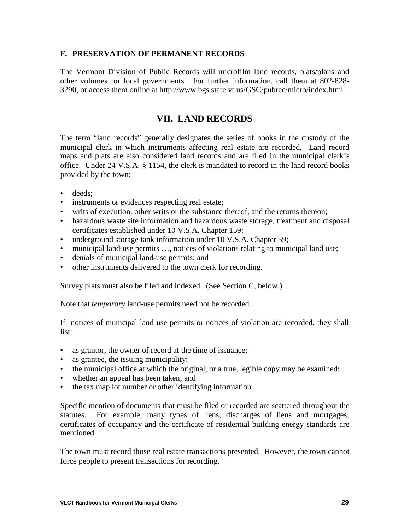#### **F. PRESERVATION OF PERMANENT RECORDS**

The Vermont Division of Public Records will microfilm land records, plats/plans and other volumes for local governments. For further information, call them at 802-828- 3290, or access them online at http://www.bgs.state.vt.us/GSC/pubrec/micro/index.html.

# **VII. LAND RECORDS**

The term "land records" generally designates the series of books in the custody of the municipal clerk in which instruments affecting real estate are recorded. Land record maps and plats are also considered land records and are filed in the municipal clerk's office. Under 24 V.S.A. § 1154, the clerk is mandated to record in the land record books provided by the town:

- deeds;
- instruments or evidences respecting real estate;
- writs of execution, other writs or the substance thereof, and the returns thereon;
- hazardous waste site information and hazardous waste storage, treatment and disposal certificates established under 10 V.S.A. Chapter 159;
- underground storage tank information under 10 V.S.A. Chapter 59;
- municipal land-use permits ..., notices of violations relating to municipal land use;
- denials of municipal land-use permits; and
- other instruments delivered to the town clerk for recording.

Survey plats must also be filed and indexed. (See Section C, below.)

Note that *temporary* land-use permits need not be recorded.

If notices of municipal land use permits or notices of violation are recorded, they shall list:

- as grantor, the owner of record at the time of issuance;
- as grantee, the issuing municipality;
- the municipal office at which the original, or a true, legible copy may be examined;
- whether an appeal has been taken; and
- the tax map lot number or other identifying information.

Specific mention of documents that must be filed or recorded are scattered throughout the statutes. For example, many types of liens, discharges of liens and mortgages, certificates of occupancy and the certificate of residential building energy standards are mentioned.

The town must record those real estate transactions presented. However, the town cannot force people to present transactions for recording.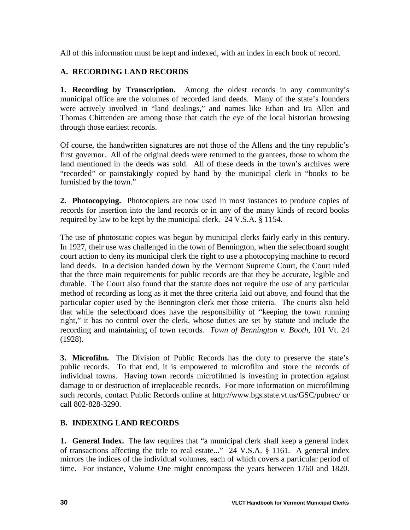All of this information must be kept and indexed, with an index in each book of record.

# **A. RECORDING LAND RECORDS**

**1. Recording by Transcription.** Among the oldest records in any community's municipal office are the volumes of recorded land deeds. Many of the state's founders were actively involved in "land dealings," and names like Ethan and Ira Allen and Thomas Chittenden are among those that catch the eye of the local historian browsing through those earliest records.

Of course, the handwritten signatures are not those of the Allens and the tiny republic's first governor. All of the original deeds were returned to the grantees, those to whom the land mentioned in the deeds was sold. All of these deeds in the town's archives were "recorded" or painstakingly copied by hand by the municipal clerk in "books to be furnished by the town."

**2. Photocopying.** Photocopiers are now used in most instances to produce copies of records for insertion into the land records or in any of the many kinds of record books required by law to be kept by the municipal clerk. 24 V.S.A. § 1154.

The use of photostatic copies was begun by municipal clerks fairly early in this century. In 1927, their use was challenged in the town of Bennington, when the selectboard sought court action to deny its municipal clerk the right to use a photocopying machine to record land deeds. In a decision handed down by the Vermont Supreme Court, the Court ruled that the three main requirements for public records are that they be accurate, legible and durable. The Court also found that the statute does not require the use of any particular method of recording as long as it met the three criteria laid out above, and found that the particular copier used by the Bennington clerk met those criteria. The courts also held that while the selectboard does have the responsibility of "keeping the town running right," it has no control over the clerk, whose duties are set by statute and include the recording and maintaining of town records. *Town of Bennington v. Booth,* 101 Vt. 24 (1928).

**3. Microfilm.** The Division of Public Records has the duty to preserve the state's public records. To that end, it is empowered to microfilm and store the records of individual towns. Having town records microfilmed is investing in protection against damage to or destruction of irreplaceable records. For more information on microfilming such records, contact Public Records online at http://www.bgs.state.vt.us/GSC/pubrec/ or call 802-828-3290.

# **B. INDEXING LAND RECORDS**

**1. General Index.** The law requires that "a municipal clerk shall keep a general index of transactions affecting the title to real estate..." 24 V.S.A. § 1161. A general index mirrors the indices of the individual volumes, each of which covers a particular period of time. For instance, Volume One might encompass the years between 1760 and 1820.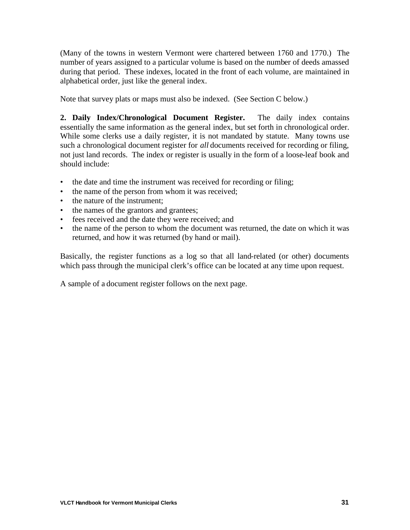(Many of the towns in western Vermont were chartered between 1760 and 1770.) The number of years assigned to a particular volume is based on the number of deeds amassed during that period. These indexes, located in the front of each volume, are maintained in alphabetical order, just like the general index.

Note that survey plats or maps must also be indexed. (See Section C below.)

**2. Daily Index/Chronological Document Register.** The daily index contains essentially the same information as the general index, but set forth in chronological order. While some clerks use a daily register, it is not mandated by statute. Many towns use such a chronological document register for *all* documents received for recording or filing, not just land records. The index or register is usually in the form of a loose-leaf book and should include:

- the date and time the instrument was received for recording or filing;
- the name of the person from whom it was received;
- the nature of the instrument:
- the names of the grantors and grantees;
- fees received and the date they were received; and
- the name of the person to whom the document was returned, the date on which it was returned, and how it was returned (by hand or mail).

Basically, the register functions as a log so that all land-related (or other) documents which pass through the municipal clerk's office can be located at any time upon request.

A sample of a document register follows on the next page.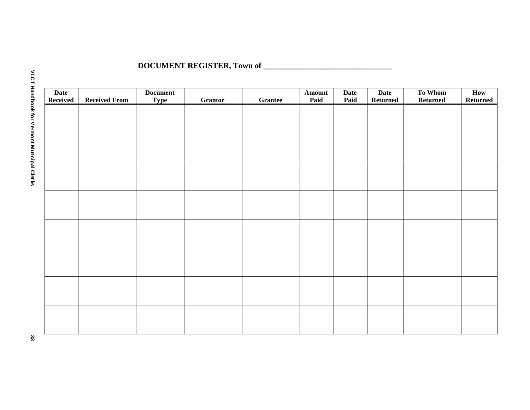# **DOCUMENT REGISTER, Town of \_\_\_\_\_\_\_\_\_\_\_\_\_\_\_\_\_\_\_\_\_\_\_\_\_\_\_\_\_\_\_\_**

| <b>Date</b><br>Received | <b>Received From</b> | <b>Document</b><br><b>Type</b> | Grantor | Grantee | Amount<br>Paid | <b>Date</b><br>Paid | <b>Date</b><br><b>Returned</b> | To Whom<br>Returned | How<br><b>Returned</b> |
|-------------------------|----------------------|--------------------------------|---------|---------|----------------|---------------------|--------------------------------|---------------------|------------------------|
|                         |                      |                                |         |         |                |                     |                                |                     |                        |
|                         |                      |                                |         |         |                |                     |                                |                     |                        |
|                         |                      |                                |         |         |                |                     |                                |                     |                        |
|                         |                      |                                |         |         |                |                     |                                |                     |                        |
|                         |                      |                                |         |         |                |                     |                                |                     |                        |
|                         |                      |                                |         |         |                |                     |                                |                     |                        |
|                         |                      |                                |         |         |                |                     |                                |                     |                        |
|                         |                      |                                |         |         |                |                     |                                |                     |                        |
|                         |                      |                                |         |         |                |                     |                                |                     |                        |
|                         |                      |                                |         |         |                |                     |                                |                     |                        |
|                         |                      |                                |         |         |                |                     |                                |                     |                        |
|                         |                      |                                |         |         |                |                     |                                |                     |                        |
|                         |                      |                                |         |         |                |                     |                                |                     |                        |
|                         |                      |                                |         |         |                |                     |                                |                     |                        |
|                         |                      |                                |         |         |                |                     |                                |                     |                        |
|                         |                      |                                |         |         |                |                     |                                |                     |                        |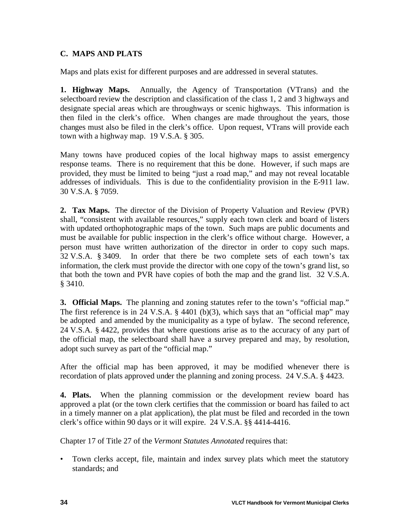# **C. MAPS AND PLATS**

Maps and plats exist for different purposes and are addressed in several statutes.

**1. Highway Maps.** Annually, the Agency of Transportation (VTrans) and the selectboard review the description and classification of the class 1, 2 and 3 highways and designate special areas which are throughways or scenic highways. This information is then filed in the clerk's office. When changes are made throughout the years, those changes must also be filed in the clerk's office. Upon request, VTrans will provide each town with a highway map. 19 V.S.A. § 305.

Many towns have produced copies of the local highway maps to assist emergency response teams. There is no requirement that this be done. However, if such maps are provided, they must be limited to being "just a road map," and may not reveal locatable addresses of individuals. This is due to the confidentiality provision in the E-911 law. 30 V.S.A. § 7059.

**2. Tax Maps.** The director of the Division of Property Valuation and Review (PVR) shall, "consistent with available resources," supply each town clerk and board of listers with updated orthophotographic maps of the town. Such maps are public documents and must be available for public inspection in the clerk's office without charge. However, a person must have written authorization of the director in order to copy such maps. 32 V.S.A. § 3409. In order that there be two complete sets of each town's tax information, the clerk must provide the director with one copy of the town's grand list, so that both the town and PVR have copies of both the map and the grand list. 32 V.S.A. § 3410.

**3. Official Maps.** The planning and zoning statutes refer to the town's "official map." The first reference is in 24 V.S.A. § 4401 (b)(3), which says that an "official map" may be adopted and amended by the municipality as a type of bylaw. The second reference, 24 V.S.A. § 4422, provides that where questions arise as to the accuracy of any part of the official map, the selectboard shall have a survey prepared and may, by resolution, adopt such survey as part of the "official map."

After the official map has been approved, it may be modified whenever there is recordation of plats approved under the planning and zoning process. 24 V.S.A. § 4423.

**4. Plats.** When the planning commission or the development review board has approved a plat (or the town clerk certifies that the commission or board has failed to act in a timely manner on a plat application), the plat must be filed and recorded in the town clerk's office within 90 days or it will expire. 24 V.S.A. §§ 4414-4416.

Chapter 17 of Title 27 of the *Vermont Statutes Annotated* requires that:

• Town clerks accept, file, maintain and index survey plats which meet the statutory standards; and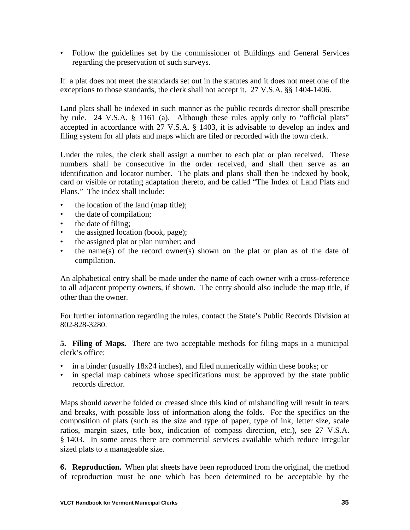• Follow the guidelines set by the commissioner of Buildings and General Services regarding the preservation of such surveys.

If a plat does not meet the standards set out in the statutes and it does not meet one of the exceptions to those standards, the clerk shall not accept it. 27 V.S.A. §§ 1404-1406.

Land plats shall be indexed in such manner as the public records director shall prescribe by rule. 24 V.S.A. § 1161 (a). Although these rules apply only to "official plats" accepted in accordance with 27 V.S.A. § 1403, it is advisable to develop an index and filing system for all plats and maps which are filed or recorded with the town clerk.

Under the rules, the clerk shall assign a number to each plat or plan received. These numbers shall be consecutive in the order received, and shall then serve as an identification and locator number. The plats and plans shall then be indexed by book, card or visible or rotating adaptation thereto, and be called "The Index of Land Plats and Plans." The index shall include:

- the location of the land (map title);
- the date of compilation;
- the date of filing;
- the assigned location (book, page);
- the assigned plat or plan number; and
- the name(s) of the record owner(s) shown on the plat or plan as of the date of compilation.

An alphabetical entry shall be made under the name of each owner with a cross-reference to all adjacent property owners, if shown. The entry should also include the map title, if other than the owner.

For further information regarding the rules, contact the State's Public Records Division at 802-828-3280.

**5. Filing of Maps.** There are two acceptable methods for filing maps in a municipal clerk's office:

- in a binder (usually 18x24 inches), and filed numerically within these books; or
- in special map cabinets whose specifications must be approved by the state public records director.

Maps should *never* be folded or creased since this kind of mishandling will result in tears and breaks, with possible loss of information along the folds. For the specifics on the composition of plats (such as the size and type of paper, type of ink, letter size, scale ratios, margin sizes, title box, indication of compass direction, etc.), see 27 V.S.A. § 1403. In some areas there are commercial services available which reduce irregular sized plats to a manageable size.

**6. Reproduction.** When plat sheets have been reproduced from the original, the method of reproduction must be one which has been determined to be acceptable by the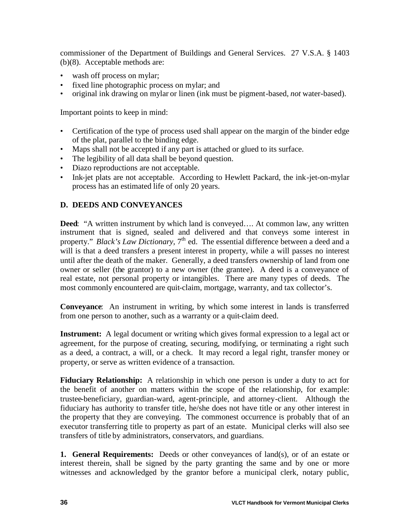commissioner of the Department of Buildings and General Services. 27 V.S.A. § 1403 (b)(8). Acceptable methods are:

- wash off process on mylar;
- fixed line photographic process on mylar; and
- original ink drawing on mylar or linen (ink must be pigment-based, *not* water-based).

Important points to keep in mind:

- Certification of the type of process used shall appear on the margin of the binder edge of the plat, parallel to the binding edge.
- Maps shall not be accepted if any part is attached or glued to its surface.
- The legibility of all data shall be beyond question.
- Diazo reproductions are not acceptable.
- Ink-jet plats are not acceptable. According to Hewlett Packard, the ink-jet-on-mylar process has an estimated life of only 20 years.

# **D. DEEDS AND CONVEYANCES**

**Deed**: "A written instrument by which land is conveyed…. At common law, any written instrument that is signed, sealed and delivered and that conveys some interest in property." *Black's Law Dictionary*, 7<sup>th</sup> ed. The essential difference between a deed and a will is that a deed transfers a present interest in property, while a will passes no interest until after the death of the maker. Generally, a deed transfers ownership of land from one owner or seller (the grantor) to a new owner (the grantee). A deed is a conveyance of real estate, not personal property or intangibles. There are many types of deeds. The most commonly encountered are quit-claim, mortgage, warranty, and tax collector's.

**Conveyance**: An instrument in writing, by which some interest in lands is transferred from one person to another, such as a warranty or a quit-claim deed.

**Instrument:** A legal document or writing which gives formal expression to a legal act or agreement, for the purpose of creating, securing, modifying, or terminating a right such as a deed, a contract, a will, or a check. It may record a legal right, transfer money or property, or serve as written evidence of a transaction.

**Fiduciary Relationship:** A relationship in which one person is under a duty to act for the benefit of another on matters within the scope of the relationship, for example: trustee-beneficiary, guardian-ward, agent-principle, and attorney-client. Although the fiduciary has authority to transfer title, he/she does not have title or any other interest in the property that they are conveying. The commonest occurrence is probably that of an executor transferring title to property as part of an estate. Municipal clerks will also see transfers of title by administrators, conservators, and guardians.

**1. General Requirements:** Deeds or other conveyances of land(s), or of an estate or interest therein, shall be signed by the party granting the same and by one or more witnesses and acknowledged by the grantor before a municipal clerk, notary public,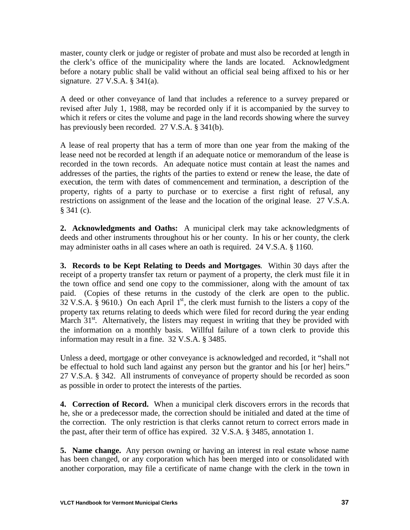master, county clerk or judge or register of probate and must also be recorded at length in the clerk's office of the municipality where the lands are located. Acknowledgment before a notary public shall be valid without an official seal being affixed to his or her signature. 27 V.S.A. § 341(a).

A deed or other conveyance of land that includes a reference to a survey prepared or revised after July 1, 1988, may be recorded only if it is accompanied by the survey to which it refers or cites the volume and page in the land records showing where the survey has previously been recorded. 27 V.S.A. § 341(b).

A lease of real property that has a term of more than one year from the making of the lease need not be recorded at length if an adequate notice or memorandum of the lease is recorded in the town records. An adequate notice must contain at least the names and addresses of the parties, the rights of the parties to extend or renew the lease, the date of execution, the term with dates of commencement and termination, a description of the property, rights of a party to purchase or to exercise a first right of refusal, any restrictions on assignment of the lease and the location of the original lease. 27 V.S.A. § 341 (c).

**2. Acknowledgments and Oaths:** A municipal clerk may take acknowledgments of deeds and other instruments throughout his or her county. In his or her county, the clerk may administer oaths in all cases where an oath is required. 24 V.S.A. § 1160.

**3. Records to be Kept Relating to Deeds and Mortgages**. Within 30 days after the receipt of a property transfer tax return or payment of a property, the clerk must file it in the town office and send one copy to the commissioner, along with the amount of tax paid. (Copies of these returns in the custody of the clerk are open to the public.  $32 \text{ V.S.A.}$  § 9610.) On each April 1<sup>st</sup>, the clerk must furnish to the listers a copy of the property tax returns relating to deeds which were filed for record during the year ending March  $31<sup>st</sup>$ . Alternatively, the listers may request in writing that they be provided with the information on a monthly basis. Willful failure of a town clerk to provide this information may result in a fine. 32 V.S.A. § 3485.

Unless a deed, mortgage or other conveyance is acknowledged and recorded, it "shall not be effectual to hold such land against any person but the grantor and his [or her] heirs." 27 V.S.A. § 342. All instruments of conveyance of property should be recorded as soon as possible in order to protect the interests of the parties.

**4. Correction of Record.** When a municipal clerk discovers errors in the records that he, she or a predecessor made, the correction should be initialed and dated at the time of the correction. The only restriction is that clerks cannot return to correct errors made in the past, after their term of office has expired. 32 V.S.A. § 3485, annotation 1.

**5. Name change.** Any person owning or having an interest in real estate whose name has been changed, or any corporation which has been merged into or consolidated with another corporation, may file a certificate of name change with the clerk in the town in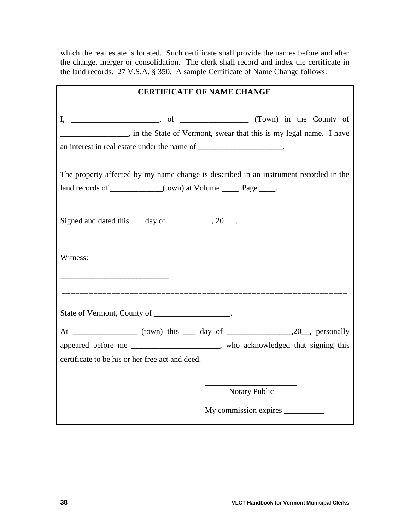which the real estate is located. Such certificate shall provide the names before and after the change, merger or consolidation. The clerk shall record and index the certificate in the land records. 27 V.S.A. § 350. A sample Certificate of Name Change follows:

| <b>CERTIFICATE OF NAME CHANGE</b>                                                                                                                                                                                                        |  |  |  |  |
|------------------------------------------------------------------------------------------------------------------------------------------------------------------------------------------------------------------------------------------|--|--|--|--|
|                                                                                                                                                                                                                                          |  |  |  |  |
| in the State of Vermont, swear that this is my legal name. I have                                                                                                                                                                        |  |  |  |  |
| an interest in real estate under the name of _______________________.                                                                                                                                                                    |  |  |  |  |
| The property affected by my name change is described in an instrument recorded in the                                                                                                                                                    |  |  |  |  |
| land records of ___________(town) at Volume ____, Page ____.                                                                                                                                                                             |  |  |  |  |
| Signed and dated this <u>quality day</u> of <u>quality and all parts</u> and all paying the set of the set of the set of the set of the set of the set of the set of the set of the set of the set of the set of the set of the set of t |  |  |  |  |
| Witness:                                                                                                                                                                                                                                 |  |  |  |  |
| State of Vermont, County of __________________.                                                                                                                                                                                          |  |  |  |  |
|                                                                                                                                                                                                                                          |  |  |  |  |
| appeared before me _____________________, who acknowledged that signing this                                                                                                                                                             |  |  |  |  |
| certificate to be his or her free act and deed.                                                                                                                                                                                          |  |  |  |  |
|                                                                                                                                                                                                                                          |  |  |  |  |
| <b>Notary Public</b>                                                                                                                                                                                                                     |  |  |  |  |
| My commission expires                                                                                                                                                                                                                    |  |  |  |  |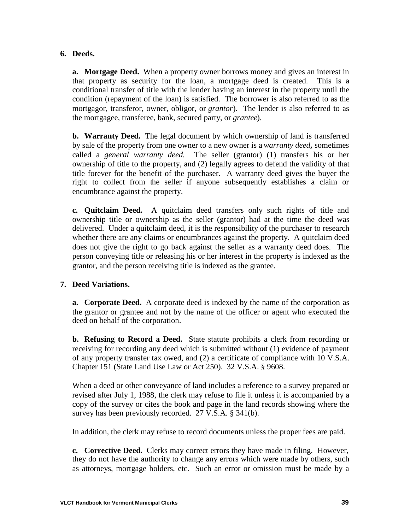### **6. Deeds.**

**a. Mortgage Deed.** When a property owner borrows money and gives an interest in that property as security for the loan, a mortgage deed is created. This is a conditional transfer of title with the lender having an interest in the property until the condition (repayment of the loan) is satisfied. The borrower is also referred to as the mortgagor, transferor, owner, obligor, or *grantor*). The lender is also referred to as the mortgagee, transferee, bank, secured party, or *grantee*).

**b. Warranty Deed.** The legal document by which ownership of land is transferred by sale of the property from one owner to a new owner is a *warranty deed,* sometimes called a *general warranty deed*. The seller (grantor) (1) transfers his or her ownership of title to the property, and (2) legally agrees to defend the validity of that title forever for the benefit of the purchaser. A warranty deed gives the buyer the right to collect from the seller if anyone subsequently establishes a claim or encumbrance against the property.

**c. Quitclaim Deed.** A quitclaim deed transfers only such rights of title and ownership title or ownership as the seller (grantor) had at the time the deed was delivered. Under a quitclaim deed, it is the responsibility of the purchaser to research whether there are any claims or encumbrances against the property. A quitclaim deed does not give the right to go back against the seller as a warranty deed does. The person conveying title or releasing his or her interest in the property is indexed as the grantor, and the person receiving title is indexed as the grantee.

# **7. Deed Variations.**

**a. Corporate Deed.** A corporate deed is indexed by the name of the corporation as the grantor or grantee and not by the name of the officer or agent who executed the deed on behalf of the corporation.

**b. Refusing to Record a Deed.** State statute prohibits a clerk from recording or receiving for recording any deed which is submitted without (1) evidence of payment of any property transfer tax owed, and (2) a certificate of compliance with 10 V.S.A. Chapter 151 (State Land Use Law or Act 250). 32 V.S.A. § 9608.

When a deed or other conveyance of land includes a reference to a survey prepared or revised after July 1, 1988, the clerk may refuse to file it unless it is accompanied by a copy of the survey or cites the book and page in the land records showing where the survey has been previously recorded. 27 V.S.A. § 341(b).

In addition, the clerk may refuse to record documents unless the proper fees are paid.

**c. Corrective Deed.** Clerks may correct errors they have made in filing. However, they do not have the authority to change any errors which were made by others, such as attorneys, mortgage holders, etc. Such an error or omission must be made by a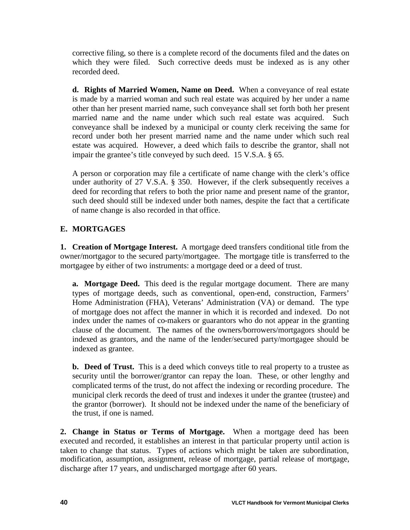corrective filing, so there is a complete record of the documents filed and the dates on which they were filed. Such corrective deeds must be indexed as is any other recorded deed.

**d. Rights of Married Women, Name on Deed.** When a conveyance of real estate is made by a married woman and such real estate was acquired by her under a name other than her present married name, such conveyance shall set forth both her present married name and the name under which such real estate was acquired. Such conveyance shall be indexed by a municipal or county clerk receiving the same for record under both her present married name and the name under which such real estate was acquired. However, a deed which fails to describe the grantor, shall not impair the grantee's title conveyed by such deed. 15 V.S.A. § 65.

A person or corporation may file a certificate of name change with the clerk's office under authority of 27 V.S.A. § 350. However, if the clerk subsequently receives a deed for recording that refers to both the prior name and present name of the grantor, such deed should still be indexed under both names, despite the fact that a certificate of name change is also recorded in that office.

# **E. MORTGAGES**

**1. Creation of Mortgage Interest.** A mortgage deed transfers conditional title from the owner/mortgagor to the secured party/mortgagee. The mortgage title is transferred to the mortgagee by either of two instruments: a mortgage deed or a deed of trust.

**a. Mortgage Deed.** This deed is the regular mortgage document. There are many types of mortgage deeds, such as conventional, open-end, construction, Farmers' Home Administration (FHA), Veterans' Administration (VA) or demand. The type of mortgage does not affect the manner in which it is recorded and indexed. Do not index under the names of co-makers or guarantors who do not appear in the granting clause of the document. The names of the owners/borrowers/mortgagors should be indexed as grantors, and the name of the lender/secured party/mortgagee should be indexed as grantee.

**b. Deed of Trust.** This is a deed which conveys title to real property to a trustee as security until the borrower/grantor can repay the loan. These, or other lengthy and complicated terms of the trust, do not affect the indexing or recording procedure. The municipal clerk records the deed of trust and indexes it under the grantee (trustee) and the grantor (borrower). It should not be indexed under the name of the beneficiary of the trust, if one is named.

**2. Change in Status or Terms of Mortgage.** When a mortgage deed has been executed and recorded, it establishes an interest in that particular property until action is taken to change that status. Types of actions which might be taken are subordination, modification, assumption, assignment, release of mortgage, partial release of mortgage, discharge after 17 years, and undischarged mortgage after 60 years.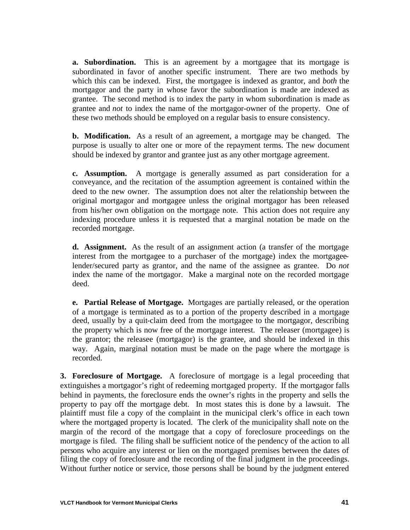**a.** Subordination. This is an agreement by a mortgagee that its mortgage is subordinated in favor of another specific instrument. There are two methods by which this can be indexed. First, the mortgagee is indexed as grantor, and *both* the mortgagor and the party in whose favor the subordination is made are indexed as grantee. The second method is to index the party in whom subordination is made as grantee and *not* to index the name of the mortgagor-owner of the property. One of these two methods should be employed on a regular basis to ensure consistency.

**b. Modification.** As a result of an agreement, a mortgage may be changed. The purpose is usually to alter one or more of the repayment terms. The new document should be indexed by grantor and grantee just as any other mortgage agreement.

**c. Assumption.** A mortgage is generally assumed as part consideration for a conveyance, and the recitation of the assumption agreement is contained within the deed to the new owner. The assumption does not alter the relationship between the original mortgagor and mortgagee unless the original mortgagor has been released from his/her own obligation on the mortgage note. This action does not require any indexing procedure unless it is requested that a marginal notation be made on the recorded mortgage.

**d. Assignment.** As the result of an assignment action (a transfer of the mortgage interest from the mortgagee to a purchaser of the mortgage) index the mortgageelender/secured party as grantor, and the name of the assignee as grantee. Do *not* index the name of the mortgagor. Make a marginal note on the recorded mortgage deed.

**e. Partial Release of Mortgage.** Mortgages are partially released, or the operation of a mortgage is terminated as to a portion of the property described in a mortgage deed, usually by a quit-claim deed from the mortgagee to the mortgagor, describing the property which is now free of the mortgage interest. The releaser (mortgagee) is the grantor; the releasee (mortgagor) is the grantee, and should be indexed in this way. Again, marginal notation must be made on the page where the mortgage is recorded.

**3. Foreclosure of Mortgage.** A foreclosure of mortgage is a legal proceeding that extinguishes a mortgagor's right of redeeming mortgaged property. If the mortgagor falls behind in payments, the foreclosure ends the owner's rights in the property and sells the property to pay off the mortgage debt. In most states this is done by a lawsuit. The plaintiff must file a copy of the complaint in the municipal clerk's office in each town where the mortgaged property is located. The clerk of the municipality shall note on the margin of the record of the mortgage that a copy of foreclosure proceedings on the mortgage is filed. The filing shall be sufficient notice of the pendency of the action to all persons who acquire any interest or lien on the mortgaged premises between the dates of filing the copy of foreclosure and the recording of the final judgment in the proceedings. Without further notice or service, those persons shall be bound by the judgment entered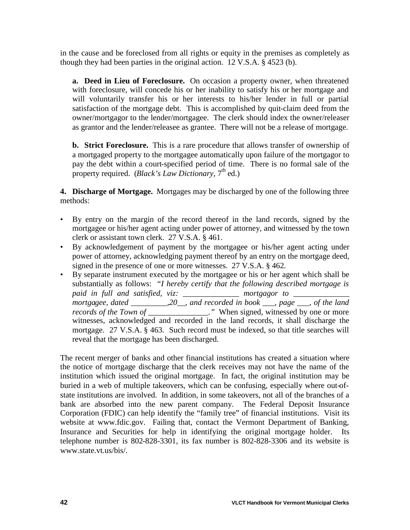in the cause and be foreclosed from all rights or equity in the premises as completely as though they had been parties in the original action. 12 V.S.A. § 4523 (b).

**a. Deed in Lieu of Foreclosure.** On occasion a property owner, when threatened with foreclosure, will concede his or her inability to satisfy his or her mortgage and will voluntarily transfer his or her interests to his/her lender in full or partial satisfaction of the mortgage debt. This is accomplished by quit-claim deed from the owner/mortgagor to the lender/mortgagee. The clerk should index the owner/releaser as grantor and the lender/releasee as grantee. There will not be a release of mortgage.

**b. Strict Foreclosure.** This is a rare procedure that allows transfer of ownership of a mortgaged property to the mortgagee automatically upon failure of the mortgagor to pay the debt within a court-specified period of time. There is no formal sale of the property required. (*Black's Law Dictionary*,  $7<sup>th</sup>$  ed.)

**4. Discharge of Mortgage.** Mortgages may be discharged by one of the following three methods:

- By entry on the margin of the record thereof in the land records, signed by the mortgagee or his/her agent acting under power of attorney, and witnessed by the town clerk or assistant town clerk. 27 V.S.A. § 461.
- By acknowledgement of payment by the mortgagee or his/her agent acting under power of attorney, acknowledging payment thereof by an entry on the mortgage deed, signed in the presence of one or more witnesses. 27 V.S.A. § 462.
- By separate instrument executed by the mortgagee or his or her agent which shall be substantially as follows: *"I hereby certify that the following described mortgage is* paid in full and satisfied, viz: \_\_\_\_\_\_\_\_\_\_\_\_\_\_\_ mortgagor to \_\_\_\_\_\_\_\_\_\_\_\_\_\_\_\_\_\_\_ *mortgagee, dated \_\_\_\_\_\_\_\_\_,20\_\_, and recorded in book \_\_\_, page \_\_\_, of the land records of the Town of \_\_\_\_\_\_\_\_\_\_\_\_\_\_.*" When signed, witnessed by one or more witnesses, acknowledged and recorded in the land records, it shall discharge the mortgage. 27 V.S.A. § 463. Such record must be indexed, so that title searches will reveal that the mortgage has been discharged.

The recent merger of banks and other financial institutions has created a situation where the notice of mortgage discharge that the clerk receives may not have the name of the institution which issued the original mortgage. In fact, the original institution may be buried in a web of multiple takeovers, which can be confusing, especially where out-ofstate institutions are involved. In addition, in some takeovers, not all of the branches of a bank are absorbed into the new parent company. The Federal Deposit Insurance Corporation (FDIC) can help identify the "family tree" of financial institutions. Visit its website at www.fdic.gov. Failing that, contact the Vermont Department of Banking, Insurance and Securities for help in identifying the original mortgage holder. Its telephone number is 802-828-3301, its fax number is 802-828-3306 and its website is www.state.vt.us/bis/.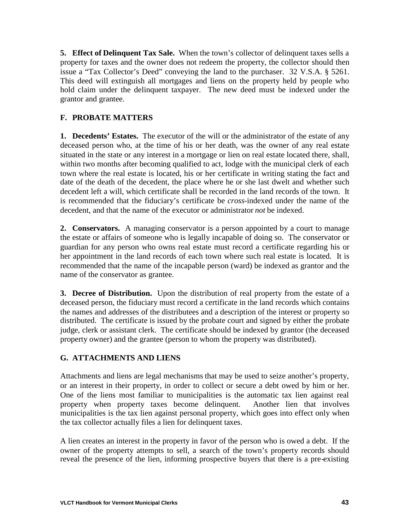**5. Effect of Delinquent Tax Sale.** When the town's collector of delinquent taxes sells a property for taxes and the owner does not redeem the property, the collector should then issue a "Tax Collector's Deed" conveying the land to the purchaser. 32 V.S.A. § 5261. This deed will extinguish all mortgages and liens on the property held by people who hold claim under the delinquent taxpayer. The new deed must be indexed under the grantor and grantee.

# **F. PROBATE MATTERS**

**1. Decedents' Estates.** The executor of the will or the administrator of the estate of any deceased person who, at the time of his or her death, was the owner of any real estate situated in the state or any interest in a mortgage or lien on real estate located there, shall, within two months after becoming qualified to act, lodge with the municipal clerk of each town where the real estate is located, his or her certificate in writing stating the fact and date of the death of the decedent, the place where he or she last dwelt and whether such decedent left a will, which certificate shall be recorded in the land records of the town. It is recommended that the fiduciary's certificate be *cross*-indexed under the name of the decedent, and that the name of the executor or administrator *not* be indexed.

**2. Conservators.** A managing conservator is a person appointed by a court to manage the estate or affairs of someone who is legally incapable of doing so. The conservator or guardian for any person who owns real estate must record a certificate regarding his or her appointment in the land records of each town where such real estate is located. It is recommended that the name of the incapable person (ward) be indexed as grantor and the name of the conservator as grantee.

**3. Decree of Distribution.** Upon the distribution of real property from the estate of a deceased person, the fiduciary must record a certificate in the land records which contains the names and addresses of the distributees and a description of the interest or property so distributed. The certificate is issued by the probate court and signed by either the probate judge, clerk or assistant clerk. The certificate should be indexed by grantor (the deceased property owner) and the grantee (person to whom the property was distributed).

# **G. ATTACHMENTS AND LIENS**

Attachments and liens are legal mechanisms that may be used to seize another's property, or an interest in their property, in order to collect or secure a debt owed by him or her. One of the liens most familiar to municipalities is the automatic tax lien against real property when property taxes become delinquent. Another lien that involves municipalities is the tax lien against personal property, which goes into effect only when the tax collector actually files a lien for delinquent taxes.

A lien creates an interest in the property in favor of the person who is owed a debt. If the owner of the property attempts to sell, a search of the town's property records should reveal the presence of the lien, informing prospective buyers that there is a pre-existing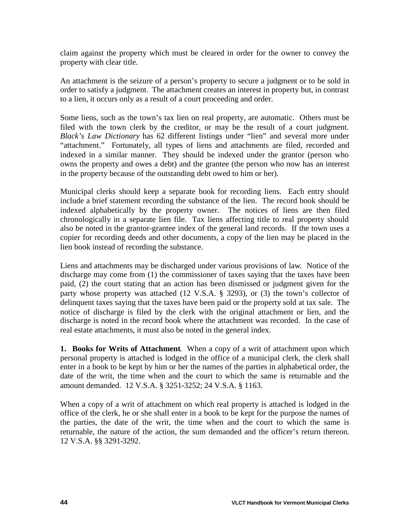claim against the property which must be cleared in order for the owner to convey the property with clear title.

An attachment is the seizure of a person's property to secure a judgment or to be sold in order to satisfy a judgment. The attachment creates an interest in property but, in contrast to a lien, it occurs only as a result of a court proceeding and order.

Some liens, such as the town's tax lien on real property, are automatic. Others must be filed with the town clerk by the creditor, or may be the result of a court judgment. *Black's Law Dictionary* has 62 different listings under "lien" and several more under "attachment." Fortunately, all types of liens and attachments are filed, recorded and indexed in a similar manner. They should be indexed under the grantor (person who owns the property and owes a debt) and the grantee (the person who now has an interest in the property because of the outstanding debt owed to him or her).

Municipal clerks should keep a separate book for recording liens. Each entry should include a brief statement recording the substance of the lien. The record book should be indexed alphabetically by the property owner. The notices of liens are then filed chronologically in a separate lien file. Tax liens affecting title to real property should also be noted in the grantor-grantee index of the general land records. If the town uses a copier for recording deeds and other documents, a copy of the lien may be placed in the lien book instead of recording the substance.

Liens and attachments may be discharged under various provisions of law. Notice of the discharge may come from (1) the commissioner of taxes saying that the taxes have been paid, (2) the court stating that an action has been dismissed or judgment given for the party whose property was attached (12 V.S.A. § 3293), or (3) the town's collector of delinquent taxes saying that the taxes have been paid or the property sold at tax sale. The notice of discharge is filed by the clerk with the original attachment or lien, and the discharge is noted in the record book where the attachment was recorded. In the case of real estate attachments, it must also be noted in the general index.

**1. Books for Writs of Attachment**. When a copy of a writ of attachment upon which personal property is attached is lodged in the office of a municipal clerk, the clerk shall enter in a book to be kept by him or her the names of the parties in alphabetical order, the date of the writ, the time when and the court to which the same is returnable and the amount demanded. 12 V.S.A. § 3251-3252; 24 V.S.A. § 1163.

When a copy of a writ of attachment on which real property is attached is lodged in the office of the clerk, he or she shall enter in a book to be kept for the purpose the names of the parties, the date of the writ, the time when and the court to which the same is returnable, the nature of the action, the sum demanded and the officer's return thereon. 12 V.S.A. §§ 3291-3292.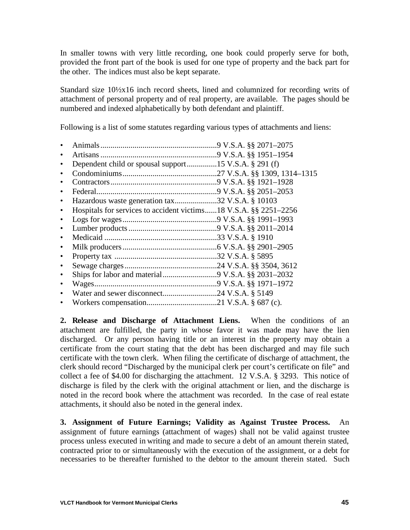In smaller towns with very little recording, one book could properly serve for both, provided the front part of the book is used for one type of property and the back part for the other. The indices must also be kept separate.

Standard size 10½x16 inch record sheets, lined and columnized for recording writs of attachment of personal property and of real property, are available. The pages should be numbered and indexed alphabetically by both defendant and plaintiff.

Following is a list of some statutes regarding various types of attachments and liens:

| $\bullet$ |                                                                  |  |
|-----------|------------------------------------------------------------------|--|
| $\bullet$ |                                                                  |  |
|           |                                                                  |  |
|           |                                                                  |  |
|           |                                                                  |  |
| $\bullet$ | Hazardous waste generation tax32 V.S.A. § 10103                  |  |
| $\bullet$ | Hospitals for services to accident victims18 V.S.A. §§ 2251–2256 |  |
| $\bullet$ |                                                                  |  |
| ٠         |                                                                  |  |
| $\bullet$ |                                                                  |  |
| $\bullet$ |                                                                  |  |
| $\bullet$ |                                                                  |  |
| $\bullet$ |                                                                  |  |
| $\bullet$ |                                                                  |  |
|           |                                                                  |  |
| $\bullet$ |                                                                  |  |
| $\bullet$ |                                                                  |  |

**2. Release and Discharge of Attachment Liens.** When the conditions of an attachment are fulfilled, the party in whose favor it was made may have the lien discharged. Or any person having title or an interest in the property may obtain a certificate from the court stating that the debt has been discharged and may file such certificate with the town clerk. When filing the certificate of discharge of attachment, the clerk should record "Discharged by the municipal clerk per court's certificate on file" and collect a fee of \$4.00 for discharging the attachment. 12 V.S.A. § 3293. This notice of discharge is filed by the clerk with the original attachment or lien, and the discharge is noted in the record book where the attachment was recorded. In the case of real estate attachments, it should also be noted in the general index.

**3. Assignment of Future Earnings; Validity as Against Trustee Process.** An assignment of future earnings (attachment of wages) shall not be valid against trustee process unless executed in writing and made to secure a debt of an amount therein stated, contracted prior to or simultaneously with the execution of the assignment, or a debt for necessaries to be thereafter furnished to the debtor to the amount therein stated. Such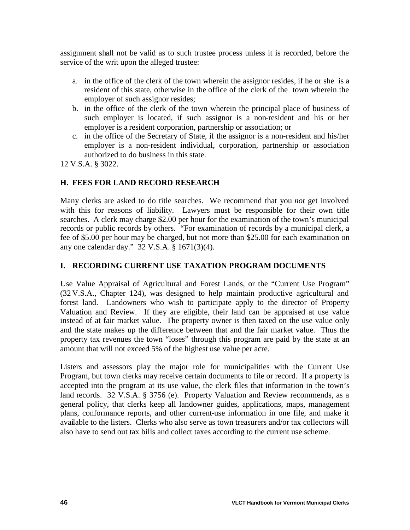assignment shall not be valid as to such trustee process unless it is recorded, before the service of the writ upon the alleged trustee:

- a. in the office of the clerk of the town wherein the assignor resides, if he or she is a resident of this state, otherwise in the office of the clerk of the town wherein the employer of such assignor resides;
- b. in the office of the clerk of the town wherein the principal place of business of such employer is located, if such assignor is a non-resident and his or her employer is a resident corporation, partnership or association; or
- c. in the office of the Secretary of State, if the assignor is a non-resident and his/her employer is a non-resident individual, corporation, partnership or association authorized to do business in this state.

12 V.S.A. § 3022.

# **H. FEES FOR LAND RECORD RESEARCH**

Many clerks are asked to do title searches. We recommend that you *not* get involved with this for reasons of liability. Lawyers must be responsible for their own title searches. A clerk may charge \$2.00 per hour for the examination of the town's municipal records or public records by others. "For examination of records by a municipal clerk, a fee of \$5.00 per hour may be charged, but not more than \$25.00 for each examination on any one calendar day." 32 V.S.A. § 1671(3)(4).

# **I. RECORDING CURRENT USE TAXATION PROGRAM DOCUMENTS**

Use Value Appraisal of Agricultural and Forest Lands, or the "Current Use Program" (32 V.S.A., Chapter 124), was designed to help maintain productive agricultural and forest land. Landowners who wish to participate apply to the director of Property Valuation and Review. If they are eligible, their land can be appraised at use value instead of at fair market value. The property owner is then taxed on the use value only and the state makes up the difference between that and the fair market value. Thus the property tax revenues the town "loses" through this program are paid by the state at an amount that will not exceed 5% of the highest use value per acre.

Listers and assessors play the major role for municipalities with the Current Use Program, but town clerks may receive certain documents to file or record. If a property is accepted into the program at its use value, the clerk files that information in the town's land records. 32 V.S.A. § 3756 (e). Property Valuation and Review recommends, as a general policy, that clerks keep all landowner guides, applications, maps, management plans, conformance reports, and other current-use information in one file, and make it available to the listers. Clerks who also serve as town treasurers and/or tax collectors will also have to send out tax bills and collect taxes according to the current use scheme.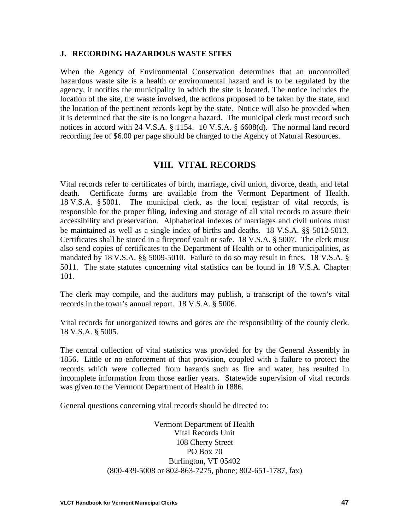#### **J. RECORDING HAZARDOUS WASTE SITES**

When the Agency of Environmental Conservation determines that an uncontrolled hazardous waste site is a health or environmental hazard and is to be regulated by the agency, it notifies the municipality in which the site is located. The notice includes the location of the site, the waste involved, the actions proposed to be taken by the state, and the location of the pertinent records kept by the state. Notice will also be provided when it is determined that the site is no longer a hazard. The municipal clerk must record such notices in accord with 24 V.S.A. § 1154. 10 V.S.A. § 6608(d). The normal land record recording fee of \$6.00 per page should be charged to the Agency of Natural Resources.

# **VIII. VITAL RECORDS**

Vital records refer to certificates of birth, marriage, civil union, divorce, death, and fetal death. Certificate forms are available from the Vermont Department of Health. 18 V.S.A. § 5001. The municipal clerk, as the local registrar of vital records, is responsible for the proper filing, indexing and storage of all vital records to assure their accessibility and preservation. Alphabetical indexes of marriages and civil unions must be maintained as well as a single index of births and deaths. 18 V.S.A. §§ 5012-5013. Certificates shall be stored in a fireproof vault or safe. 18 V.S.A. § 5007. The clerk must also send copies of certificates to the Department of Health or to other municipalities, as mandated by 18 V.S.A. §§ 5009-5010. Failure to do so may result in fines. 18 V.S.A. § 5011. The state statutes concerning vital statistics can be found in 18 V.S.A. Chapter 101.

The clerk may compile, and the auditors may publish, a transcript of the town's vital records in the town's annual report. 18 V.S.A. § 5006.

Vital records for unorganized towns and gores are the responsibility of the county clerk. 18 V.S.A. § 5005.

The central collection of vital statistics was provided for by the General Assembly in 1856. Little or no enforcement of that provision, coupled with a failure to protect the records which were collected from hazards such as fire and water, has resulted in incomplete information from those earlier years. Statewide supervision of vital records was given to the Vermont Department of Health in 1886.

General questions concerning vital records should be directed to:

Vermont Department of Health Vital Records Unit 108 Cherry Street PO Box 70 Burlington, VT 05402 (800-439-5008 or 802-863-7275, phone; 802-651-1787, fax)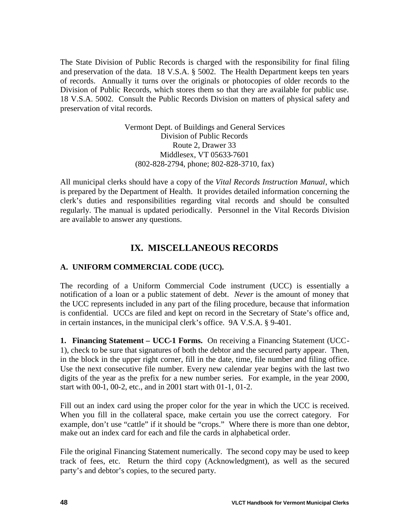The State Division of Public Records is charged with the responsibility for final filing and preservation of the data. 18 V.S.A. § 5002. The Health Department keeps ten years of records. Annually it turns over the originals or photocopies of older records to the Division of Public Records, which stores them so that they are available for public use. 18 V.S.A. 5002. Consult the Public Records Division on matters of physical safety and preservation of vital records.

> Vermont Dept. of Buildings and General Services Division of Public Records Route 2, Drawer 33 Middlesex, VT 05633-7601 (802-828-2794, phone; 802-828-3710, fax)

All municipal clerks should have a copy of the *Vital Records Instruction Manual*, which is prepared by the Department of Health. It provides detailed information concerning the clerk's duties and responsibilities regarding vital records and should be consulted regularly. The manual is updated periodically. Personnel in the Vital Records Division are available to answer any questions.

# **IX. MISCELLANEOUS RECORDS**

# **A. UNIFORM COMMERCIAL CODE (UCC).**

The recording of a Uniform Commercial Code instrument (UCC) is essentially a notification of a loan or a public statement of debt. *Never* is the amount of money that the UCC represents included in any part of the filing procedure, because that information is confidential. UCCs are filed and kept on record in the Secretary of State's office and, in certain instances, in the municipal clerk's office. 9A V.S.A. § 9-401.

**1. Financing Statement – UCC-1 Forms.** On receiving a Financing Statement (UCC-1), check to be sure that signatures of both the debtor and the secured party appear. Then, in the block in the upper right corner, fill in the date, time, file number and filing office. Use the next consecutive file number. Every new calendar year begins with the last two digits of the year as the prefix for a new number series. For example, in the year 2000, start with 00-1, 00-2, etc., and in 2001 start with 01-1, 01-2.

Fill out an index card using the proper color for the year in which the UCC is received. When you fill in the collateral space, make certain you use the correct category. For example, don't use "cattle" if it should be "crops." Where there is more than one debtor, make out an index card for each and file the cards in alphabetical order.

File the original Financing Statement numerically. The second copy may be used to keep track of fees, etc. Return the third copy (Acknowledgment), as well as the secured party's and debtor's copies, to the secured party.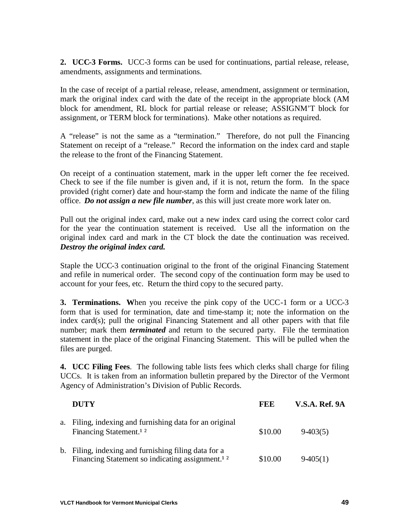**2. UCC-3 Forms.** UCC-3 forms can be used for continuations, partial release, release, amendments, assignments and terminations.

In the case of receipt of a partial release, release, amendment, assignment or termination, mark the original index card with the date of the receipt in the appropriate block (AM block for amendment, RL block for partial release or release; ASSIGNM'T block for assignment, or TERM block for terminations). Make other notations as required.

A "release" is not the same as a "termination." Therefore, do not pull the Financing Statement on receipt of a "release." Record the information on the index card and staple the release to the front of the Financing Statement.

On receipt of a continuation statement, mark in the upper left corner the fee received. Check to see if the file number is given and, if it is not, return the form. In the space provided (right corner) date and hour-stamp the form and indicate the name of the filing office. *Do not assign a new file number*, as this will just create more work later on.

Pull out the original index card, make out a new index card using the correct color card for the year the continuation statement is received. Use all the information on the original index card and mark in the CT block the date the continuation was received. *Destroy the original index card.*

Staple the UCC-3 continuation original to the front of the original Financing Statement and refile in numerical order. The second copy of the continuation form may be used to account for your fees, etc. Return the third copy to the secured party.

**3. Terminations. W**hen you receive the pink copy of the UCC-1 form or a UCC-3 form that is used for termination, date and time-stamp it; note the information on the index card(s); pull the original Financing Statement and all other papers with that file number; mark them *terminated* and return to the secured party. File the termination statement in the place of the original Financing Statement. This will be pulled when the files are purged.

**4. UCC Filing Fees**. The following table lists fees which clerks shall charge for filing UCCs. It is taken from an information bulletin prepared by the Director of the Vermont Agency of Administration's Division of Public Records.

| <b>DUTY</b>                                                                                                         | FEE     | <b>V.S.A. Ref. 9A</b> |
|---------------------------------------------------------------------------------------------------------------------|---------|-----------------------|
| a. Filing, indexing and furnishing data for an original<br>Financing Statement. <sup>12</sup>                       | \$10.00 | $9-403(5)$            |
| b. Filing, indexing and furnishing filing data for a<br>Financing Statement so indicating assignment. <sup>12</sup> | \$10.00 | $9-405(1)$            |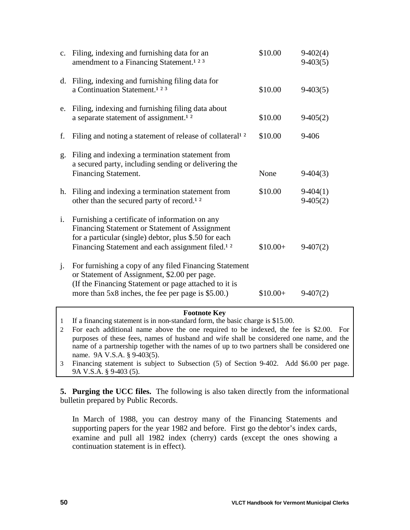| d. Filing, indexing and furnishing filing data for<br>a Continuation Statement. <sup>123</sup><br>\$10.00<br>$9-403(5)$<br>Filing, indexing and furnishing filing data about<br>e.<br>a separate statement of assignment. <sup>12</sup><br>\$10.00<br>$9-405(2)$<br>\$10.00<br>Filing and noting a statement of release of collateral <sup>12</sup><br>9-406<br>f.<br>Filing and indexing a termination statement from<br>$\mathbf{g}$ .<br>a secured party, including sending or delivering the<br><b>Financing Statement.</b><br>None<br>$9-404(3)$<br>\$10.00<br>h. Filing and indexing a termination statement from<br>$9-404(1)$<br>other than the secured party of record. <sup>12</sup><br>$9-405(2)$<br>Furnishing a certificate of information on any<br>i.<br>Financing Statement or Statement of Assignment<br>for a particular (single) debtor, plus \$.50 for each<br>Financing Statement and each assignment filed. <sup>12</sup><br>$$10.00+$<br>$9-407(2)$<br>For furnishing a copy of any filed Financing Statement<br>j.<br>or Statement of Assignment, \$2.00 per page.<br>(If the Financing Statement or page attached to it is<br>more than 5x8 inches, the fee per page is \$5.00.)<br>$$10.00+$<br>$9-407(2)$ | c. Filing, indexing and furnishing data for an<br>amendment to a Financing Statement. <sup>123</sup> | \$10.00 | $9-402(4)$<br>$9-403(5)$ |
|--------------------------------------------------------------------------------------------------------------------------------------------------------------------------------------------------------------------------------------------------------------------------------------------------------------------------------------------------------------------------------------------------------------------------------------------------------------------------------------------------------------------------------------------------------------------------------------------------------------------------------------------------------------------------------------------------------------------------------------------------------------------------------------------------------------------------------------------------------------------------------------------------------------------------------------------------------------------------------------------------------------------------------------------------------------------------------------------------------------------------------------------------------------------------------------------------------------------------------------|------------------------------------------------------------------------------------------------------|---------|--------------------------|
|                                                                                                                                                                                                                                                                                                                                                                                                                                                                                                                                                                                                                                                                                                                                                                                                                                                                                                                                                                                                                                                                                                                                                                                                                                      |                                                                                                      |         |                          |
|                                                                                                                                                                                                                                                                                                                                                                                                                                                                                                                                                                                                                                                                                                                                                                                                                                                                                                                                                                                                                                                                                                                                                                                                                                      |                                                                                                      |         |                          |
|                                                                                                                                                                                                                                                                                                                                                                                                                                                                                                                                                                                                                                                                                                                                                                                                                                                                                                                                                                                                                                                                                                                                                                                                                                      |                                                                                                      |         |                          |
|                                                                                                                                                                                                                                                                                                                                                                                                                                                                                                                                                                                                                                                                                                                                                                                                                                                                                                                                                                                                                                                                                                                                                                                                                                      |                                                                                                      |         |                          |
|                                                                                                                                                                                                                                                                                                                                                                                                                                                                                                                                                                                                                                                                                                                                                                                                                                                                                                                                                                                                                                                                                                                                                                                                                                      |                                                                                                      |         |                          |
|                                                                                                                                                                                                                                                                                                                                                                                                                                                                                                                                                                                                                                                                                                                                                                                                                                                                                                                                                                                                                                                                                                                                                                                                                                      |                                                                                                      |         |                          |
|                                                                                                                                                                                                                                                                                                                                                                                                                                                                                                                                                                                                                                                                                                                                                                                                                                                                                                                                                                                                                                                                                                                                                                                                                                      |                                                                                                      |         |                          |

#### **Footnote Key**

- 1 If a financing statement is in non-standard form, the basic charge is \$15.00.
- 2 For each additional name above the one required to be indexed, the fee is \$2.00. For purposes of these fees, names of husband and wife shall be considered one name, and the name of a partnership together with the names of up to two partners shall be considered one name. 9A V.S.A. § 9-403(5).
- 3 Financing statement is subject to Subsection (5) of Section 9-402. Add \$6.00 per page. 9A V.S.A. § 9-403 (5).

**5. Purging the UCC files.** The following is also taken directly from the informational bulletin prepared by Public Records.

In March of 1988, you can destroy many of the Financing Statements and supporting papers for the year 1982 and before. First go the debtor's index cards, examine and pull all 1982 index (cherry) cards (except the ones showing a continuation statement is in effect).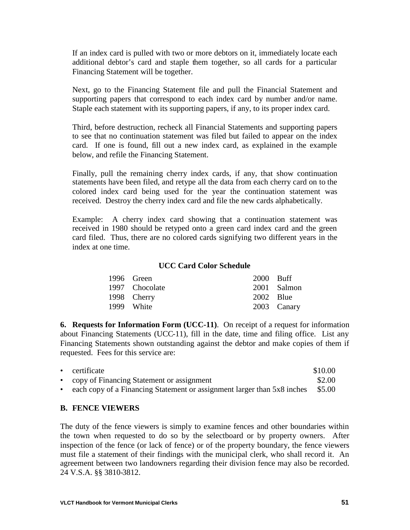If an index card is pulled with two or more debtors on it, immediately locate each additional debtor's card and staple them together, so all cards for a particular Financing Statement will be together.

Next, go to the Financing Statement file and pull the Financial Statement and supporting papers that correspond to each index card by number and/or name. Staple each statement with its supporting papers, if any, to its proper index card.

Third, before destruction, recheck all Financial Statements and supporting papers to see that no continuation statement was filed but failed to appear on the index card. If one is found, fill out a new index card, as explained in the example below, and refile the Financing Statement.

Finally, pull the remaining cherry index cards, if any, that show continuation statements have been filed, and retype all the data from each cherry card on to the colored index card being used for the year the continuation statement was received. Destroy the cherry index card and file the new cards alphabetically.

Example: A cherry index card showing that a continuation statement was received in 1980 should be retyped onto a green card index card and the green card filed. Thus, there are no colored cards signifying two different years in the index at one time.

#### **UCC Card Color Schedule**

| 1996 Green     | 2000 Buff |             |
|----------------|-----------|-------------|
| 1997 Chocolate |           | 2001 Salmon |
| 1998 Cherry    | 2002 Blue |             |
| 1999 White     |           | 2003 Canary |

**6. Requests for Information Form (UCC-11)**. On receipt of a request for information about Financing Statements (UCC-11), fill in the date, time and filing office. List any Financing Statements shown outstanding against the debtor and make copies of them if requested. Fees for this service are:

|           | • certificate                                                           | \$10.00 |
|-----------|-------------------------------------------------------------------------|---------|
|           | • copy of Financing Statement or assignment                             | \$2.00  |
| $\bullet$ | each copy of a Financing Statement or assignment larger than 5x8 inches | \$5.00  |

#### **B. FENCE VIEWERS**

The duty of the fence viewers is simply to examine fences and other boundaries within the town when requested to do so by the selectboard or by property owners. After inspection of the fence (or lack of fence) or of the property boundary, the fence viewers must file a statement of their findings with the municipal clerk, who shall record it. An agreement between two landowners regarding their division fence may also be recorded. 24 V.S.A. §§ 3810-3812.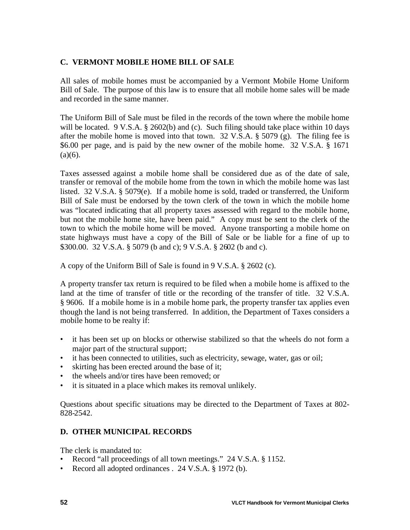# **C. VERMONT MOBILE HOME BILL OF SALE**

All sales of mobile homes must be accompanied by a Vermont Mobile Home Uniform Bill of Sale. The purpose of this law is to ensure that all mobile home sales will be made and recorded in the same manner.

The Uniform Bill of Sale must be filed in the records of the town where the mobile home will be located. 9 V.S.A. § 2602(b) and (c). Such filing should take place within 10 days after the mobile home is moved into that town.  $32 \text{ V.S.A.}$  §  $5079 \text{ (g)}$ . The filing fee is \$6.00 per page, and is paid by the new owner of the mobile home. 32 V.S.A. § 1671  $(a)(6)$ .

Taxes assessed against a mobile home shall be considered due as of the date of sale, transfer or removal of the mobile home from the town in which the mobile home was last listed. 32 V.S.A. § 5079(e). If a mobile home is sold, traded or transferred, the Uniform Bill of Sale must be endorsed by the town clerk of the town in which the mobile home was "located indicating that all property taxes assessed with regard to the mobile home, but not the mobile home site, have been paid." A copy must be sent to the clerk of the town to which the mobile home will be moved. Anyone transporting a mobile home on state highways must have a copy of the Bill of Sale or be liable for a fine of up to \$300.00. 32 V.S.A. § 5079 (b and c); 9 V.S.A. § 2602 (b and c).

A copy of the Uniform Bill of Sale is found in 9 V.S.A. § 2602 (c).

A property transfer tax return is required to be filed when a mobile home is affixed to the land at the time of transfer of title or the recording of the transfer of title. 32 V.S.A. § 9606. If a mobile home is in a mobile home park, the property transfer tax applies even though the land is not being transferred. In addition, the Department of Taxes considers a mobile home to be realty if:

- it has been set up on blocks or otherwise stabilized so that the wheels do not form a major part of the structural support;
- it has been connected to utilities, such as electricity, sewage, water, gas or oil;
- skirting has been erected around the base of it;
- the wheels and/or tires have been removed; or
- it is situated in a place which makes its removal unlikely.

Questions about specific situations may be directed to the Department of Taxes at 802- 828-2542.

# **D. OTHER MUNICIPAL RECORDS**

The clerk is mandated to:

- Record "all proceedings of all town meetings." 24 V.S.A. § 1152.
- Record all adopted ordinances . 24 V.S.A. § 1972 (b).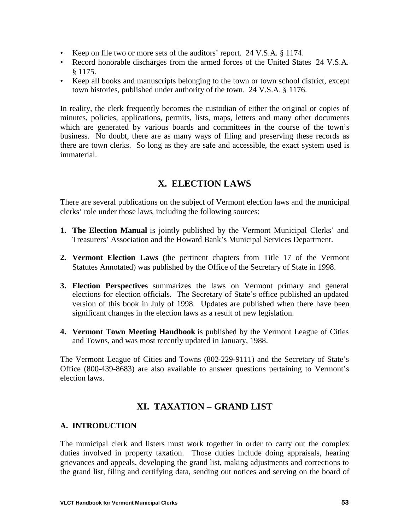- Keep on file two or more sets of the auditors' report. 24 V.S.A. § 1174.
- Record honorable discharges from the armed forces of the United States 24 V.S.A. § 1175.
- Keep all books and manuscripts belonging to the town or town school district, except town histories, published under authority of the town. 24 V.S.A. § 1176.

In reality, the clerk frequently becomes the custodian of either the original or copies of minutes, policies, applications, permits, lists, maps, letters and many other documents which are generated by various boards and committees in the course of the town's business. No doubt, there are as many ways of filing and preserving these records as there are town clerks. So long as they are safe and accessible, the exact system used is immaterial.

# **X. ELECTION LAWS**

There are several publications on the subject of Vermont election laws and the municipal clerks' role under those laws, including the following sources:

- **1. The Election Manual** is jointly published by the Vermont Municipal Clerks' and Treasurers' Association and the Howard Bank's Municipal Services Department.
- **2. Vermont Election Laws (**the pertinent chapters from Title 17 of the Vermont Statutes Annotated) was published by the Office of the Secretary of State in 1998.
- **3. Election Perspectives** summarizes the laws on Vermont primary and general elections for election officials. The Secretary of State's office published an updated version of this book in July of 1998. Updates are published when there have been significant changes in the election laws as a result of new legislation.
- **4. Vermont Town Meeting Handbook** is published by the Vermont League of Cities and Towns, and was most recently updated in January, 1988.

The Vermont League of Cities and Towns (802-229-9111) and the Secretary of State's Office (800-439-8683) are also available to answer questions pertaining to Vermont's election laws.

# **XI. TAXATION – GRAND LIST**

# **A. INTRODUCTION**

The municipal clerk and listers must work together in order to carry out the complex duties involved in property taxation. Those duties include doing appraisals, hearing grievances and appeals, developing the grand list, making adjustments and corrections to the grand list, filing and certifying data, sending out notices and serving on the board of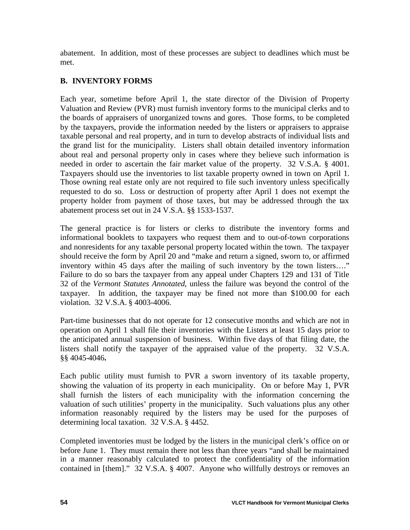abatement. In addition, most of these processes are subject to deadlines which must be met.

# **B. INVENTORY FORMS**

Each year, sometime before April 1, the state director of the Division of Property Valuation and Review (PVR) must furnish inventory forms to the municipal clerks and to the boards of appraisers of unorganized towns and gores. Those forms, to be completed by the taxpayers, provide the information needed by the listers or appraisers to appraise taxable personal and real property, and in turn to develop abstracts of individual lists and the grand list for the municipality. Listers shall obtain detailed inventory information about real and personal property only in cases where they believe such information is needed in order to ascertain the fair market value of the property. 32 V.S.A. § 4001. Taxpayers should use the inventories to list taxable property owned in town on April 1. Those owning real estate only are not required to file such inventory unless specifically requested to do so. Loss or destruction of property after April 1 does not exempt the property holder from payment of those taxes, but may be addressed through the tax abatement process set out in 24 V.S.A. §§ 1533-1537.

The general practice is for listers or clerks to distribute the inventory forms and informational booklets to taxpayers who request them and to out-of-town corporations and nonresidents for any taxable personal property located within the town. The taxpayer should receive the form by April 20 and "make and return a signed, sworn to, or affirmed inventory within 45 days after the mailing of such inventory by the town listers…." Failure to do so bars the taxpayer from any appeal under Chapters 129 and 131 of Title 32 of the *Vermont Statutes Annotated*, unless the failure was beyond the control of the taxpayer. In addition, the taxpayer may be fined not more than \$100.00 for each violation. 32 V.S.A. § 4003-4006.

Part-time businesses that do not operate for 12 consecutive months and which are not in operation on April 1 shall file their inventories with the Listers at least 15 days prior to the anticipated annual suspension of business. Within five days of that filing date, the listers shall notify the taxpayer of the appraised value of the property. 32 V.S.A. §§ 4045-4046**.**

Each public utility must furnish to PVR a sworn inventory of its taxable property, showing the valuation of its property in each municipality. On or before May 1, PVR shall furnish the listers of each municipality with the information concerning the valuation of such utilities' property in the municipality. Such valuations plus any other information reasonably required by the listers may be used for the purposes of determining local taxation. 32 V.S.A. § 4452.

Completed inventories must be lodged by the listers in the municipal clerk's office on or before June 1. They must remain there not less than three years "and shall be maintained in a manner reasonably calculated to protect the confidentiality of the information contained in [them]." 32 V.S.A. § 4007. Anyone who willfully destroys or removes an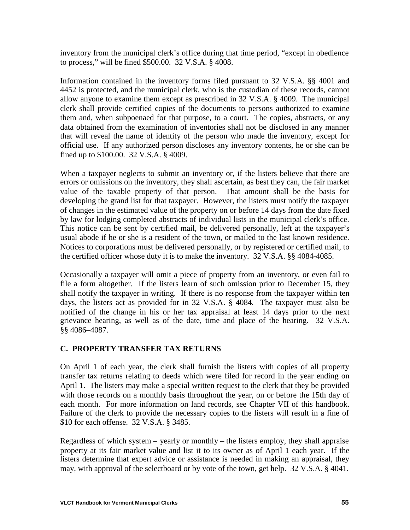inventory from the municipal clerk's office during that time period, "except in obedience to process," will be fined \$500.00. 32 V.S.A. § 4008.

Information contained in the inventory forms filed pursuant to 32 V.S.A. §§ 4001 and 4452 is protected, and the municipal clerk, who is the custodian of these records, cannot allow anyone to examine them except as prescribed in 32 V.S.A. § 4009. The municipal clerk shall provide certified copies of the documents to persons authorized to examine them and, when subpoenaed for that purpose, to a court. The copies, abstracts, or any data obtained from the examination of inventories shall not be disclosed in any manner that will reveal the name of identity of the person who made the inventory, except for official use. If any authorized person discloses any inventory contents, he or she can be fined up to \$100.00. 32 V.S.A. § 4009.

When a taxpayer neglects to submit an inventory or, if the listers believe that there are errors or omissions on the inventory, they shall ascertain, as best they can, the fair market value of the taxable property of that person. That amount shall be the basis for developing the grand list for that taxpayer. However, the listers must notify the taxpayer of changes in the estimated value of the property on or before 14 days from the date fixed by law for lodging completed abstracts of individual lists in the municipal clerk's office. This notice can be sent by certified mail, be delivered personally, left at the taxpayer's usual abode if he or she is a resident of the town, or mailed to the last known residence. Notices to corporations must be delivered personally, or by registered or certified mail, to the certified officer whose duty it is to make the inventory. 32 V.S.A. §§ 4084-4085.

Occasionally a taxpayer will omit a piece of property from an inventory, or even fail to file a form altogether. If the listers learn of such omission prior to December 15, they shall notify the taxpayer in writing. If there is no response from the taxpayer within ten days, the listers act as provided for in 32 V.S.A. § 4084. The taxpayer must also be notified of the change in his or her tax appraisal at least 14 days prior to the next grievance hearing, as well as of the date, time and place of the hearing. 32 V.S.A. §§ 4086–4087.

# **C. PROPERTY TRANSFER TAX RETURNS**

On April 1 of each year, the clerk shall furnish the listers with copies of all property transfer tax returns relating to deeds which were filed for record in the year ending on April 1. The listers may make a special written request to the clerk that they be provided with those records on a monthly basis throughout the year, on or before the 15th day of each month. For more information on land records, see Chapter VII of this handbook. Failure of the clerk to provide the necessary copies to the listers will result in a fine of \$10 for each offense. 32 V.S.A. § 3485.

Regardless of which system – yearly or monthly – the listers employ, they shall appraise property at its fair market value and list it to its owner as of April 1 each year. If the listers determine that expert advice or assistance is needed in making an appraisal, they may, with approval of the selectboard or by vote of the town, get help. 32 V.S.A. § 4041.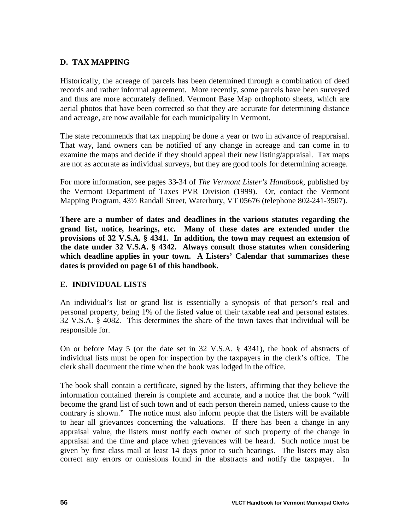### **D. TAX MAPPING**

Historically, the acreage of parcels has been determined through a combination of deed records and rather informal agreement. More recently, some parcels have been surveyed and thus are more accurately defined. Vermont Base Map orthophoto sheets, which are aerial photos that have been corrected so that they are accurate for determining distance and acreage, are now available for each municipality in Vermont.

The state recommends that tax mapping be done a year or two in advance of reappraisal. That way, land owners can be notified of any change in acreage and can come in to examine the maps and decide if they should appeal their new listing/appraisal. Tax maps are not as accurate as individual surveys, but they are good tools for determining acreage.

For more information, see pages 33-34 of *The Vermont Lister's Handbook*, published by the Vermont Department of Taxes PVR Division (1999). Or, contact the Vermont Mapping Program, 43½ Randall Street, Waterbury, VT 05676 (telephone 802-241-3507).

**There are a number of dates and deadlines in the various statutes regarding the grand list, notice, hearings, etc. Many of these dates are extended under the provisions of 32 V.S.A. § 4341. In addition, the town may request an extension of the date under 32 V.S.A. § 4342. Always consult those statutes when considering which deadline applies in your town. A Listers' Calendar that summarizes these dates is provided on page 61 of this handbook.**

#### **E. INDIVIDUAL LISTS**

An individual's list or grand list is essentially a synopsis of that person's real and personal property, being 1% of the listed value of their taxable real and personal estates. 32 V.S.A. § 4082. This determines the share of the town taxes that individual will be responsible for.

On or before May 5 (or the date set in 32 V.S.A. § 4341), the book of abstracts of individual lists must be open for inspection by the taxpayers in the clerk's office. The clerk shall document the time when the book was lodged in the office.

The book shall contain a certificate, signed by the listers, affirming that they believe the information contained therein is complete and accurate, and a notice that the book "will become the grand list of such town and of each person therein named, unless cause to the contrary is shown." The notice must also inform people that the listers will be available to hear all grievances concerning the valuations. If there has been a change in any appraisal value, the listers must notify each owner of such property of the change in appraisal and the time and place when grievances will be heard. Such notice must be given by first class mail at least 14 days prior to such hearings. The listers may also correct any errors or omissions found in the abstracts and notify the taxpayer. In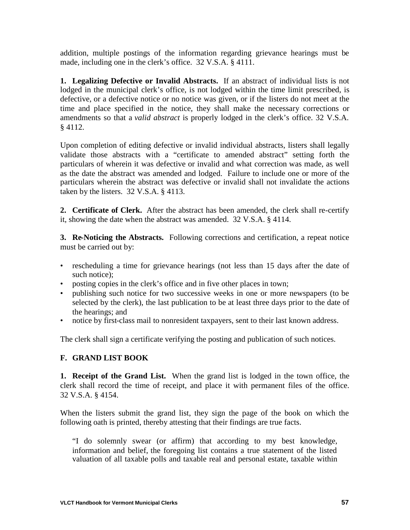addition, multiple postings of the information regarding grievance hearings must be made, including one in the clerk's office. 32 V.S.A. § 4111.

**1. Legalizing Defective or Invalid Abstracts.** If an abstract of individual lists is not lodged in the municipal clerk's office, is not lodged within the time limit prescribed, is defective, or a defective notice or no notice was given, or if the listers do not meet at the time and place specified in the notice, they shall make the necessary corrections or amendments so that a *valid abstract* is properly lodged in the clerk's office. 32 V.S.A. § 4112.

Upon completion of editing defective or invalid individual abstracts, listers shall legally validate those abstracts with a "certificate to amended abstract" setting forth the particulars of wherein it was defective or invalid and what correction was made, as well as the date the abstract was amended and lodged. Failure to include one or more of the particulars wherein the abstract was defective or invalid shall not invalidate the actions taken by the listers. 32 V.S.A. § 4113.

**2. Certificate of Clerk.** After the abstract has been amended, the clerk shall re-certify it, showing the date when the abstract was amended. 32 V.S.A. § 4114.

**3. Re-Noticing the Abstracts.** Following corrections and certification, a repeat notice must be carried out by:

- rescheduling a time for grievance hearings (not less than 15 days after the date of such notice);
- posting copies in the clerk's office and in five other places in town;
- publishing such notice for two successive weeks in one or more newspapers (to be selected by the clerk), the last publication to be at least three days prior to the date of the hearings; and
- notice by first-class mail to nonresident taxpayers, sent to their last known address.

The clerk shall sign a certificate verifying the posting and publication of such notices.

# **F. GRAND LIST BOOK**

**1. Receipt of the Grand List.** When the grand list is lodged in the town office, the clerk shall record the time of receipt, and place it with permanent files of the office. 32 V.S.A. § 4154.

When the listers submit the grand list, they sign the page of the book on which the following oath is printed, thereby attesting that their findings are true facts.

"I do solemnly swear (or affirm) that according to my best knowledge, information and belief, the foregoing list contains a true statement of the listed valuation of all taxable polls and taxable real and personal estate, taxable within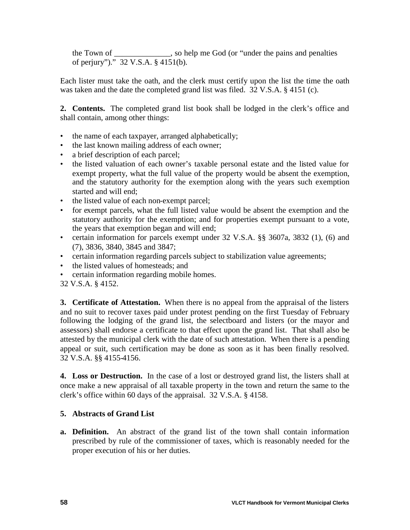the Town of \_\_\_\_\_\_\_\_\_\_\_\_\_\_, so help me God (or "under the pains and penalties of perjury")." 32 V.S.A. § 4151(b).

Each lister must take the oath, and the clerk must certify upon the list the time the oath was taken and the date the completed grand list was filed. 32 V.S.A. § 4151 (c).

**2. Contents.** The completed grand list book shall be lodged in the clerk's office and shall contain, among other things:

- the name of each taxpayer, arranged alphabetically;
- the last known mailing address of each owner;
- a brief description of each parcel;
- the listed valuation of each owner's taxable personal estate and the listed value for exempt property, what the full value of the property would be absent the exemption, and the statutory authority for the exemption along with the years such exemption started and will end;
- the listed value of each non-exempt parcel;
- for exempt parcels, what the full listed value would be absent the exemption and the statutory authority for the exemption; and for properties exempt pursuant to a vote, the years that exemption began and will end;
- certain information for parcels exempt under 32 V.S.A. §§ 3607a, 3832 (1), (6) and (7), 3836, 3840, 3845 and 3847;
- certain information regarding parcels subject to stabilization value agreements;
- the listed values of homesteads; and
- certain information regarding mobile homes.
- 32 V.S.A. § 4152.

**3. Certificate of Attestation.** When there is no appeal from the appraisal of the listers and no suit to recover taxes paid under protest pending on the first Tuesday of February following the lodging of the grand list, the selectboard and listers (or the mayor and assessors) shall endorse a certificate to that effect upon the grand list. That shall also be attested by the municipal clerk with the date of such attestation. When there is a pending appeal or suit, such certification may be done as soon as it has been finally resolved. 32 V.S.A. §§ 4155-4156.

**4. Loss or Destruction.** In the case of a lost or destroyed grand list, the listers shall at once make a new appraisal of all taxable property in the town and return the same to the clerk's office within 60 days of the appraisal. 32 V.S.A. § 4158.

# **5. Abstracts of Grand List**

**a. Definition.** An abstract of the grand list of the town shall contain information prescribed by rule of the commissioner of taxes, which is reasonably needed for the proper execution of his or her duties.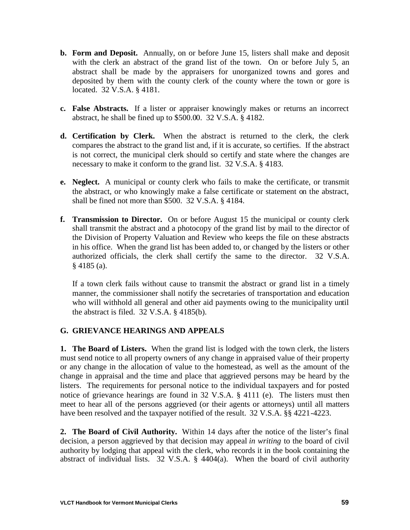- **b. Form and Deposit.** Annually, on or before June 15, listers shall make and deposit with the clerk an abstract of the grand list of the town. On or before July 5, an abstract shall be made by the appraisers for unorganized towns and gores and deposited by them with the county clerk of the county where the town or gore is located. 32 V.S.A. § 4181.
- **c. False Abstracts.** If a lister or appraiser knowingly makes or returns an incorrect abstract, he shall be fined up to \$500.00. 32 V.S.A. § 4182.
- **d. Certification by Clerk.** When the abstract is returned to the clerk, the clerk compares the abstract to the grand list and, if it is accurate, so certifies. If the abstract is not correct, the municipal clerk should so certify and state where the changes are necessary to make it conform to the grand list. 32 V.S.A. § 4183.
- **e. Neglect.** A municipal or county clerk who fails to make the certificate, or transmit the abstract, or who knowingly make a false certificate or statement on the abstract, shall be fined not more than \$500. 32 V.S.A. § 4184.
- **f. Transmission to Director.** On or before August 15 the municipal or county clerk shall transmit the abstract and a photocopy of the grand list by mail to the director of the Division of Property Valuation and Review who keeps the file on these abstracts in his office. When the grand list has been added to, or changed by the listers or other authorized officials, the clerk shall certify the same to the director. 32 V.S.A. § 4185 (a).

If a town clerk fails without cause to transmit the abstract or grand list in a timely manner, the commissioner shall notify the secretaries of transportation and education who will withhold all general and other aid payments owing to the municipality until the abstract is filed.  $32$  V.S.A.  $\S$  4185(b).

# **G. GRIEVANCE HEARINGS AND APPEALS**

**1. The Board of Listers.** When the grand list is lodged with the town clerk, the listers must send notice to all property owners of any change in appraised value of their property or any change in the allocation of value to the homestead, as well as the amount of the change in appraisal and the time and place that aggrieved persons may be heard by the listers. The requirements for personal notice to the individual taxpayers and for posted notice of grievance hearings are found in 32 V.S.A. § 4111 (e). The listers must then meet to hear all of the persons aggrieved (or their agents or attorneys) until all matters have been resolved and the taxpayer notified of the result. 32 V.S.A. §§ 4221-4223.

**2. The Board of Civil Authority.** Within 14 days after the notice of the lister's final decision, a person aggrieved by that decision may appeal *in writing* to the board of civil authority by lodging that appeal with the clerk, who records it in the book containing the abstract of individual lists. 32 V.S.A. § 4404(a). When the board of civil authority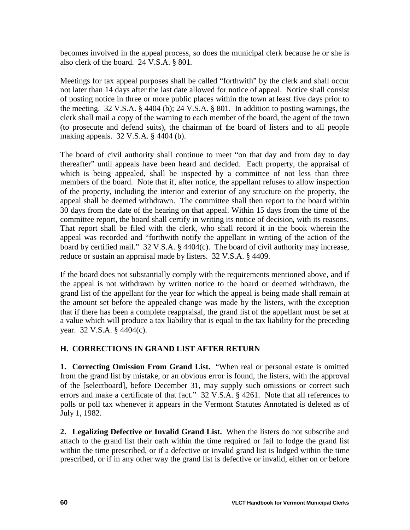becomes involved in the appeal process, so does the municipal clerk because he or she is also clerk of the board. 24 V.S.A. § 801.

Meetings for tax appeal purposes shall be called "forthwith" by the clerk and shall occur not later than 14 days after the last date allowed for notice of appeal. Notice shall consist of posting notice in three or more public places within the town at least five days prior to the meeting. 32 V.S.A. § 4404 (b); 24 V.S.A. § 801. In addition to posting warnings, the clerk shall mail a copy of the warning to each member of the board, the agent of the town (to prosecute and defend suits), the chairman of the board of listers and to all people making appeals. 32 V.S.A. § 4404 (b).

The board of civil authority shall continue to meet "on that day and from day to day thereafter" until appeals have been heard and decided. Each property, the appraisal of which is being appealed, shall be inspected by a committee of not less than three members of the board. Note that if, after notice, the appellant refuses to allow inspection of the property, including the interior and exterior of any structure on the property, the appeal shall be deemed withdrawn. The committee shall then report to the board within 30 days from the date of the hearing on that appeal. Within 15 days from the time of the committee report, the board shall certify in writing its notice of decision, with its reasons. That report shall be filed with the clerk, who shall record it in the book wherein the appeal was recorded and "forthwith notify the appellant in writing of the action of the board by certified mail." 32 V.S.A. § 4404(c). The board of civil authority may increase, reduce or sustain an appraisal made by listers. 32 V.S.A. § 4409.

If the board does not substantially comply with the requirements mentioned above, and if the appeal is not withdrawn by written notice to the board or deemed withdrawn, the grand list of the appellant for the year for which the appeal is being made shall remain at the amount set before the appealed change was made by the listers, with the exception that if there has been a complete reappraisal, the grand list of the appellant must be set at a value which will produce a tax liability that is equal to the tax liability for the preceding year. 32 V.S.A. § 4404(c).

# **H. CORRECTIONS IN GRAND LIST AFTER RETURN**

**1. Correcting Omission From Grand List.** "When real or personal estate is omitted from the grand list by mistake, or an obvious error is found, the listers, with the approval of the [selectboard], before December 31, may supply such omissions or correct such errors and make a certificate of that fact." 32 V.S.A. § 4261. Note that all references to polls or poll tax whenever it appears in the Vermont Statutes Annotated is deleted as of July 1, 1982.

**2. Legalizing Defective or Invalid Grand List.** When the listers do not subscribe and attach to the grand list their oath within the time required or fail to lodge the grand list within the time prescribed, or if a defective or invalid grand list is lodged within the time prescribed, or if in any other way the grand list is defective or invalid, either on or before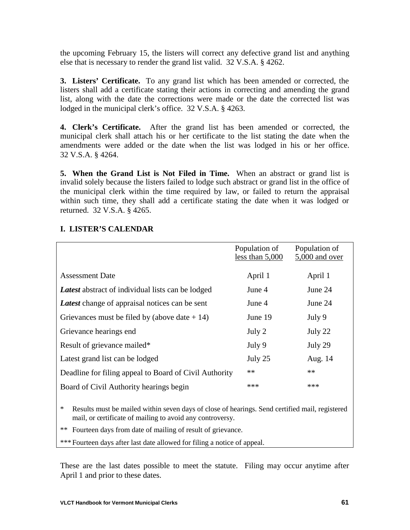the upcoming February 15, the listers will correct any defective grand list and anything else that is necessary to render the grand list valid. 32 V.S.A. § 4262.

**3. Listers' Certificate.** To any grand list which has been amended or corrected, the listers shall add a certificate stating their actions in correcting and amending the grand list, along with the date the corrections were made or the date the corrected list was lodged in the municipal clerk's office. 32 V.S.A. § 4263.

**4. Clerk's Certificate.** After the grand list has been amended or corrected, the municipal clerk shall attach his or her certificate to the list stating the date when the amendments were added or the date when the list was lodged in his or her office. 32 V.S.A. § 4264.

**5. When the Grand List is Not Filed in Time.** When an abstract or grand list is invalid solely because the listers failed to lodge such abstract or grand list in the office of the municipal clerk within the time required by law, or failed to return the appraisal within such time, they shall add a certificate stating the date when it was lodged or returned. 32 V.S.A. § 4265.

|                                                          | Population of     | Population of  |
|----------------------------------------------------------|-------------------|----------------|
|                                                          | less than $5,000$ | 5,000 and over |
|                                                          |                   |                |
| <b>Assessment Date</b>                                   | April 1           | April 1        |
| <b>Latest</b> abstract of individual lists can be lodged | June 4            | June 24        |
| <b>Latest</b> change of appraisal notices can be sent    | June 4            | June 24        |
| Grievances must be filed by (above date $+ 14$ )         | June 19           | July 9         |
| Grievance hearings end                                   | July 2            | July 22        |
| Result of grievance mailed*                              | July 9            | July 29        |
| Latest grand list can be lodged                          | July 25           | Aug. 14        |
| Deadline for filing appeal to Board of Civil Authority   | $**$              | **             |
| Board of Civil Authority hearings begin                  | ***               | ***            |
|                                                          |                   |                |

# **I. LISTER'S CALENDAR**

\* Results must be mailed within seven days of close of hearings. Send certified mail, registered mail, or certificate of mailing to avoid any controversy.

\*\* Fourteen days from date of mailing of result of grievance.

\*\*\*Fourteen days after last date allowed for filing a notice of appeal.

These are the last dates possible to meet the statute. Filing may occur anytime after April 1 and prior to these dates.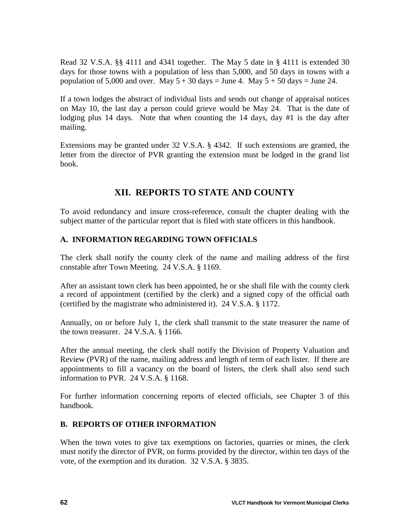Read 32 V.S.A. §§ 4111 and 4341 together. The May 5 date in § 4111 is extended 30 days for those towns with a population of less than 5,000, and 50 days in towns with a population of 5,000 and over. May  $5 + 30$  days = June 4. May  $5 + 50$  days = June 24.

If a town lodges the abstract of individual lists and sends out change of appraisal notices on May 10, the last day a person could grieve would be May 24. That is the date of lodging plus 14 days. Note that when counting the 14 days, day #1 is the day after mailing.

Extensions may be granted under 32 V.S.A. § 4342. If such extensions are granted, the letter from the director of PVR granting the extension must be lodged in the grand list book.

# **XII. REPORTS TO STATE AND COUNTY**

To avoid redundancy and insure cross-reference, consult the chapter dealing with the subject matter of the particular report that is filed with state officers in this handbook.

# **A. INFORMATION REGARDING TOWN OFFICIALS**

The clerk shall notify the county clerk of the name and mailing address of the first constable after Town Meeting. 24 V.S.A. § 1169.

After an assistant town clerk has been appointed, he or she shall file with the county clerk a record of appointment (certified by the clerk) and a signed copy of the official oath (certified by the magistrate who administered it). 24 V.S.A. § 1172.

Annually, on or before July 1, the clerk shall transmit to the state treasurer the name of the town treasurer. 24 V.S.A. § 1166.

After the annual meeting, the clerk shall notify the Division of Property Valuation and Review (PVR) of the name, mailing address and length of term of each lister. If there are appointments to fill a vacancy on the board of listers, the clerk shall also send such information to PVR. 24 V.S.A. § 1168.

For further information concerning reports of elected officials, see Chapter 3 of this handbook.

# **B. REPORTS OF OTHER INFORMATION**

When the town votes to give tax exemptions on factories, quarries or mines, the clerk must notify the director of PVR, on forms provided by the director, within ten days of the vote, of the exemption and its duration. 32 V.S.A. § 3835.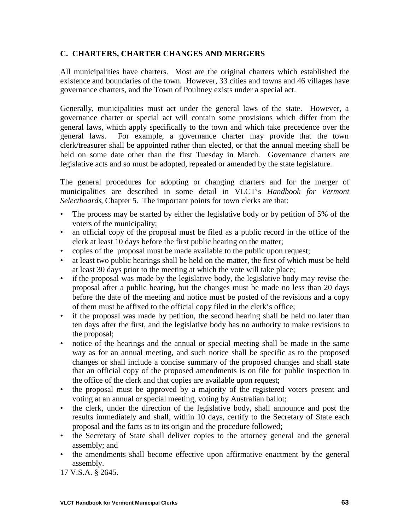# **C. CHARTERS, CHARTER CHANGES AND MERGERS**

All municipalities have charters. Most are the original charters which established the existence and boundaries of the town. However, 33 cities and towns and 46 villages have governance charters, and the Town of Poultney exists under a special act.

Generally, municipalities must act under the general laws of the state. However, a governance charter or special act will contain some provisions which differ from the general laws, which apply specifically to the town and which take precedence over the general laws. For example, a governance charter may provide that the town clerk/treasurer shall be appointed rather than elected, or that the annual meeting shall be held on some date other than the first Tuesday in March. Governance charters are legislative acts and so must be adopted, repealed or amended by the state legislature.

The general procedures for adopting or changing charters and for the merger of municipalities are described in some detail in VLCT's *Handbook for Vermont Selectboards*, Chapter 5. The important points for town clerks are that:

- The process may be started by either the legislative body or by petition of 5% of the voters of the municipality;
- an official copy of the proposal must be filed as a public record in the office of the clerk at least 10 days before the first public hearing on the matter;
- copies of the proposal must be made available to the public upon request;
- at least two public hearings shall be held on the matter, the first of which must be held at least 30 days prior to the meeting at which the vote will take place;
- if the proposal was made by the legislative body, the legislative body may revise the proposal after a public hearing, but the changes must be made no less than 20 days before the date of the meeting and notice must be posted of the revisions and a copy of them must be affixed to the official copy filed in the clerk's office;
- if the proposal was made by petition, the second hearing shall be held no later than ten days after the first, and the legislative body has no authority to make revisions to the proposal;
- notice of the hearings and the annual or special meeting shall be made in the same way as for an annual meeting, and such notice shall be specific as to the proposed changes or shall include a concise summary of the proposed changes and shall state that an official copy of the proposed amendments is on file for public inspection in the office of the clerk and that copies are available upon request;
- the proposal must be approved by a majority of the registered voters present and voting at an annual or special meeting, voting by Australian ballot;
- the clerk, under the direction of the legislative body, shall announce and post the results immediately and shall, within 10 days, certify to the Secretary of State each proposal and the facts as to its origin and the procedure followed;
- the Secretary of State shall deliver copies to the attorney general and the general assembly; and
- the amendments shall become effective upon affirmative enactment by the general assembly.

17 V.S.A. § 2645.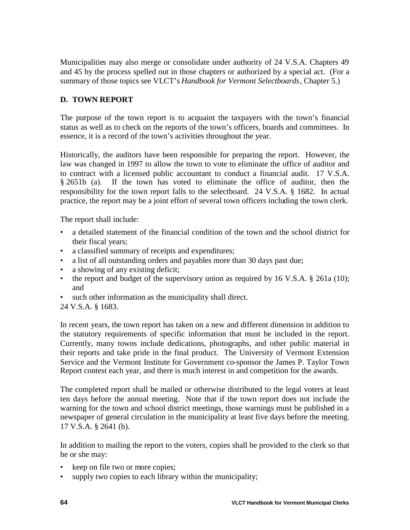Municipalities may also merge or consolidate under authority of 24 V.S.A. Chapters 49 and 45 by the process spelled out in those chapters or authorized by a special act. (For a summary of those topics see VLCT's *Handbook for Vermont Selectboards*, Chapter 5.)

## **D. TOWN REPORT**

The purpose of the town report is to acquaint the taxpayers with the town's financial status as well as to check on the reports of the town's officers, boards and committees. In essence, it is a record of the town's activities throughout the year.

Historically, the auditors have been responsible for preparing the report. However, the law was changed in 1997 to allow the town to vote to eliminate the office of auditor and to contract with a licensed public accountant to conduct a financial audit. 17 V.S.A. § 2651b (a). If the town has voted to eliminate the office of auditor, then the responsibility for the town report falls to the selectboard. 24 V.S.A. § 1682. In actual practice, the report may be a joint effort of several town officers including the town clerk.

The report shall include:

- a detailed statement of the financial condition of the town and the school district for their fiscal years;
- a classified summary of receipts and expenditures;
- a list of all outstanding orders and payables more than 30 days past due;
- a showing of any existing deficit;
- the report and budget of the supervisory union as required by 16 V.S.A. § 261a (10); and
- such other information as the municipality shall direct.
- 24 V.S.A. § 1683.

In recent years, the town report has taken on a new and different dimension in addition to the statutory requirements of specific information that must be included in the report. Currently, many towns include dedications, photographs, and other public material in their reports and take pride in the final product. The University of Vermont Extension Service and the Vermont Institute for Government co-sponsor the James P. Taylor Town Report contest each year, and there is much interest in and competition for the awards.

The completed report shall be mailed or otherwise distributed to the legal voters at least ten days before the annual meeting. Note that if the town report does not include the warning for the town and school district meetings, those warnings must be published in a newspaper of general circulation in the municipality at least five days before the meeting. 17 V.S.A. § 2641 (b).

In addition to mailing the report to the voters, copies shall be provided to the clerk so that he or she may:

- keep on file two or more copies;
- supply two copies to each library within the municipality;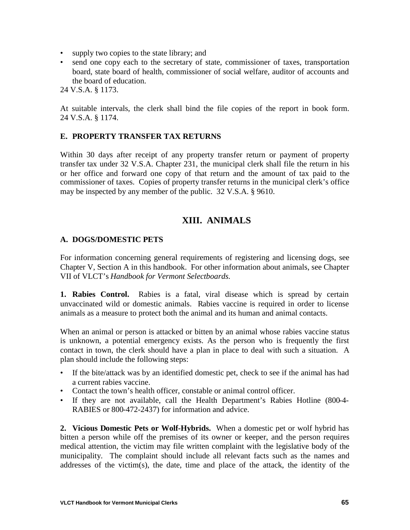- supply two copies to the state library; and
- send one copy each to the secretary of state, commissioner of taxes, transportation board, state board of health, commissioner of social welfare, auditor of accounts and the board of education.

24 V.S.A. § 1173.

At suitable intervals, the clerk shall bind the file copies of the report in book form. 24 V.S.A. § 1174.

#### **E. PROPERTY TRANSFER TAX RETURNS**

Within 30 days after receipt of any property transfer return or payment of property transfer tax under 32 V.S.A. Chapter 231, the municipal clerk shall file the return in his or her office and forward one copy of that return and the amount of tax paid to the commissioner of taxes. Copies of property transfer returns in the municipal clerk's office may be inspected by any member of the public. 32 V.S.A. § 9610.

## **XIII. ANIMALS**

#### **A. DOGS/DOMESTIC PETS**

For information concerning general requirements of registering and licensing dogs, see Chapter V, Section A in this handbook. For other information about animals, see Chapter VII of VLCT's *Handbook for Vermont Selectboards.*

**1. Rabies Control.** Rabies is a fatal, viral disease which is spread by certain unvaccinated wild or domestic animals. Rabies vaccine is required in order to license animals as a measure to protect both the animal and its human and animal contacts.

When an animal or person is attacked or bitten by an animal whose rabies vaccine status is unknown, a potential emergency exists. As the person who is frequently the first contact in town, the clerk should have a plan in place to deal with such a situation. A plan should include the following steps:

- If the bite/attack was by an identified domestic pet, check to see if the animal has had a current rabies vaccine.
- Contact the town's health officer, constable or animal control officer.
- If they are not available, call the Health Department's Rabies Hotline (800-4- RABIES or 800-472-2437) for information and advice.

**2. Vicious Domestic Pets or Wolf-Hybrids.** When a domestic pet or wolf hybrid has bitten a person while off the premises of its owner or keeper, and the person requires medical attention, the victim may file written complaint with the legislative body of the municipality. The complaint should include all relevant facts such as the names and addresses of the victim(s), the date, time and place of the attack, the identity of the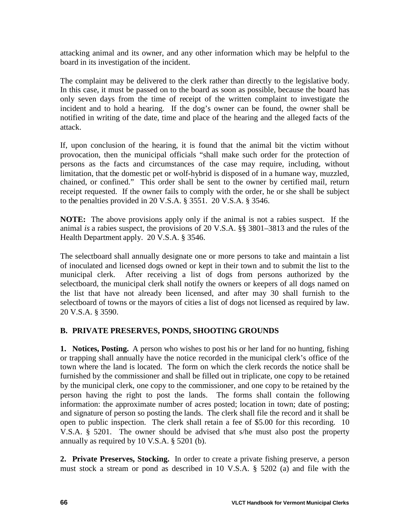attacking animal and its owner, and any other information which may be helpful to the board in its investigation of the incident.

The complaint may be delivered to the clerk rather than directly to the legislative body. In this case, it must be passed on to the board as soon as possible, because the board has only seven days from the time of receipt of the written complaint to investigate the incident and to hold a hearing. If the dog's owner can be found, the owner shall be notified in writing of the date, time and place of the hearing and the alleged facts of the attack.

If, upon conclusion of the hearing, it is found that the animal bit the victim without provocation, then the municipal officials "shall make such order for the protection of persons as the facts and circumstances of the case may require, including, without limitation, that the domestic pet or wolf-hybrid is disposed of in a humane way, muzzled, chained, or confined." This order shall be sent to the owner by certified mail, return receipt requested. If the owner fails to comply with the order, he or she shall be subject to the penalties provided in 20 V.S.A. § 3551. 20 V.S.A. § 3546.

**NOTE:** The above provisions apply only if the animal is not a rabies suspect. If the animal *is* a rabies suspect, the provisions of 20 V.S.A. §§ 3801–3813 and the rules of the Health Department apply. 20 V.S.A. § 3546.

The selectboard shall annually designate one or more persons to take and maintain a list of inoculated and licensed dogs owned or kept in their town and to submit the list to the municipal clerk. After receiving a list of dogs from persons authorized by the selectboard, the municipal clerk shall notify the owners or keepers of all dogs named on the list that have not already been licensed, and after may 30 shall furnish to the selectboard of towns or the mayors of cities a list of dogs not licensed as required by law. 20 V.S.A. § 3590.

#### **B. PRIVATE PRESERVES, PONDS, SHOOTING GROUNDS**

**1. Notices, Posting.** A person who wishes to post his or her land for no hunting, fishing or trapping shall annually have the notice recorded in the municipal clerk's office of the town where the land is located. The form on which the clerk records the notice shall be furnished by the commissioner and shall be filled out in triplicate, one copy to be retained by the municipal clerk, one copy to the commissioner, and one copy to be retained by the person having the right to post the lands. The forms shall contain the following information: the approximate number of acres posted; location in town; date of posting; and signature of person so posting the lands. The clerk shall file the record and it shall be open to public inspection. The clerk shall retain a fee of \$5.00 for this recording. 10 V.S.A. § 5201. The owner should be advised that s/he must also post the property annually as required by 10 V.S.A. § 5201 (b).

**2. Private Preserves, Stocking.** In order to create a private fishing preserve, a person must stock a stream or pond as described in 10 V.S.A. § 5202 (a) and file with the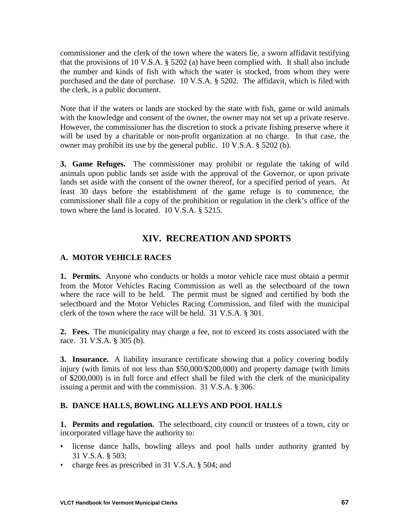commissioner and the clerk of the town where the waters lie, a sworn affidavit testifying that the provisions of 10 V.S.A. § 5202 (a) have been complied with. It shall also include the number and kinds of fish with which the water is stocked, from whom they were purchased and the date of purchase. 10 V.S.A. § 5202. The affidavit, which is filed with the clerk, is a public document.

Note that if the waters or lands are stocked by the state with fish, game or wild animals with the knowledge and consent of the owner, the owner may not set up a private reserve. However, the commissioner has the discretion to stock a private fishing preserve where it will be used by a charitable or non-profit organization at no charge. In that case, the owner may prohibit its use by the general public. 10 V.S.A. § 5202 (b).

**3. Game Refuges.** The commissioner may prohibit or regulate the taking of wild animals upon public lands set aside with the approval of the Governor, or upon private lands set aside with the consent of the owner thereof, for a specified period of years. At least 30 days before the establishment of the game refuge is to commence, the commissioner shall file a copy of the prohibition or regulation in the clerk's office of the town where the land is located. 10 V.S.A. § 5215.

# **XIV. RECREATION AND SPORTS**

### **A. MOTOR VEHICLE RACES**

**1. Permits.** Anyone who conducts or holds a motor vehicle race must obtain a permit from the Motor Vehicles Racing Commission as well as the selectboard of the town where the race will to be held. The permit must be signed and certified by both the selectboard and the Motor Vehicles Racing Commission, and filed with the municipal clerk of the town where the race will be held. 31 V.S.A. § 301.

**2. Fees.** The municipality may charge a fee, not to exceed its costs associated with the race. 31 V.S.A. § 305 (b).

**3. Insurance.** A liability insurance certificate showing that a policy covering bodily injury (with limits of not less than \$50,000/\$200,000) and property damage (with limits of \$200,000) is in full force and effect shall be filed with the clerk of the municipality issuing a permit and with the commission. 31 V.S.A. § 306.

#### **B. DANCE HALLS, BOWLING ALLEYS AND POOL HALLS**

**1. Permits and regulation.** The selectboard, city council or trustees of a town, city or incorporated village have the authority to:

- license dance halls, bowling alleys and pool halls under authority granted by 31 V.S.A. § 503;
- charge fees as prescribed in 31 V.S.A. § 504; and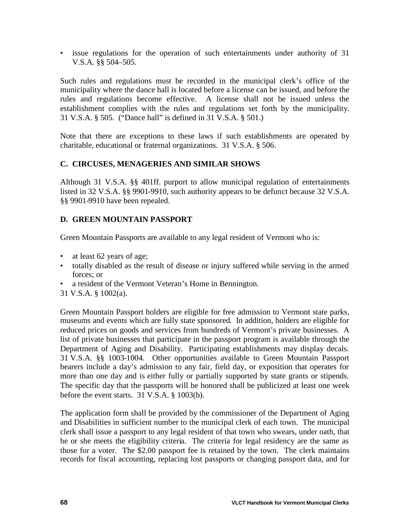• issue regulations for the operation of such entertainments under authority of 31 V.S.A. §§ 504–505.

Such rules and regulations must be recorded in the municipal clerk's office of the municipality where the dance hall is located before a license can be issued, and before the rules and regulations become effective. A license shall not be issued unless the establishment complies with the rules and regulations set forth by the municipality. 31 V.S.A. § 505. ("Dance hall" is defined in 31 V.S.A. § 501.)

Note that there are exceptions to these laws if such establishments are operated by charitable, educational or fraternal organizations. 31 V.S.A. § 506.

### **C. CIRCUSES, MENAGERIES AND SIMILAR SHOWS**

Although 31 V.S.A. §§ 401ff. purport to allow municipal regulation of entertainments listed in 32 V.S.A. §§ 9901-9910, such authority appears to be defunct because 32 V.S.A. §§ 9901-9910 have been repealed.

### **D. GREEN MOUNTAIN PASSPORT**

Green Mountain Passports are available to any legal resident of Vermont who is:

- at least 62 years of age;
- totally disabled as the result of disease or injury suffered while serving in the armed forces; or
- a resident of the Vermont Veteran's Home in Bennington.
- 31 V.S.A. § 1002(a).

Green Mountain Passport holders are eligible for free admission to Vermont state parks, museums and events which are fully state sponsored. In addition, holders are eligible for reduced prices on goods and services from hundreds of Vermont's private businesses. A list of private businesses that participate in the passport program is available through the Department of Aging and Disability. Participating establishments may display decals. 31 V.S.A. §§ 1003-1004. Other opportunities available to Green Mountain Passport bearers include a day's admission to any fair, field day, or exposition that operates for more than one day and is either fully or partially supported by state grants or stipends. The specific day that the passports will be honored shall be publicized at least one week before the event starts. 31 V.S.A. § 1003(b).

The application form shall be provided by the commissioner of the Department of Aging and Disabilities in sufficient number to the municipal clerk of each town. The municipal clerk shall issue a passport to any legal resident of that town who swears, under oath, that he or she meets the eligibility criteria. The criteria for legal residency are the same as those for a voter. The \$2.00 passport fee is retained by the town. The clerk maintains records for fiscal accounting, replacing lost passports or changing passport data, and for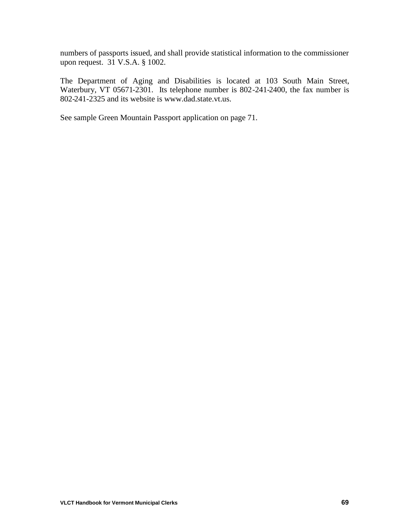numbers of passports issued, and shall provide statistical information to the commissioner upon request. 31 V.S.A. § 1002.

The Department of Aging and Disabilities is located at 103 South Main Street, Waterbury, VT 05671-2301. Its telephone number is 802-241-2400, the fax number is 802-241-2325 and its website is www.dad.state.vt.us.

See sample Green Mountain Passport application on page 71.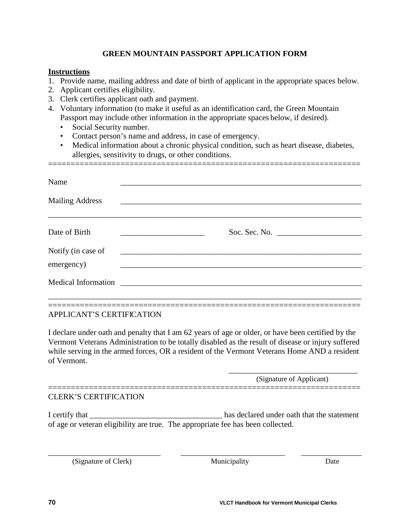### **GREEN MOUNTAIN PASSPORT APPLICATION FORM**

#### **Instructions**

- 1. Provide name, mailing address and date of birth of applicant in the appropriate spaces below.
- 2. Applicant certifies eligibility.
- 3. Clerk certifies applicant oath and payment.
- 4. Voluntary information (to make it useful as an identification card, the Green Mountain Passport may include other information in the appropriate spaces below, if desired).
	- Social Security number.
	- Contact person's name and address, in case of emergency.
	- Medical information about a chronic physical condition, such as heart disease, diabetes, allergies, sensitivity to drugs, or other conditions.

=====================================================================

| Name<br><b>Mailing Address</b>      | <u> Alexandria de la contrada de la contrada de la contrada de la contrada de la contrada de la contrada de la c</u>  |  |
|-------------------------------------|-----------------------------------------------------------------------------------------------------------------------|--|
|                                     |                                                                                                                       |  |
| Date of Birth<br>Notify (in case of | <u> 1980 - Antonio Alemania, presidente de la contrada de la contrada de la contrada de la contrada de la contrad</u> |  |
| emergency)                          | <u>se estados de la contrada de la contrada de la contrada de la contrada de la contrada de la contrada de la co</u>  |  |
|                                     |                                                                                                                       |  |

#### ===================================================================== APPLICANT'S CERTIFICATION

I declare under oath and penalty that I am 62 years of age or older, or have been certified by the Vermont Veterans Administration to be totally disabled as the result of disease or injury suffered while serving in the armed forces, OR a resident of the Vermont Veterans Home AND a resident of Vermont.

> \_\_\_\_\_\_\_\_\_\_\_\_\_\_\_\_\_\_\_\_\_\_\_\_\_\_\_\_\_\_\_\_ (Signature of Applicant)

#### CLERK'S CERTIFICATION

I certify that **I** certify that **I** certify that **I** certify that the statement of age or veteran eligibility are true. The appropriate fee has been collected.

\_\_\_\_\_\_\_\_\_\_\_\_\_\_\_\_\_\_\_\_\_\_\_\_\_\_\_\_ \_\_\_\_\_\_\_\_\_\_\_\_\_\_\_\_\_\_\_\_\_\_\_\_\_\_ \_\_\_\_\_\_\_\_\_\_\_\_\_\_\_

=====================================================================

(Signature of Clerk) Municipality Date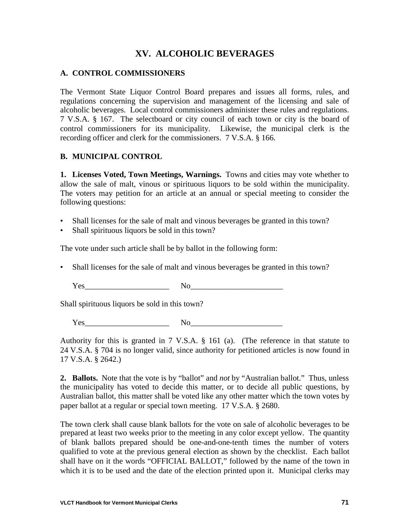## **XV. ALCOHOLIC BEVERAGES**

#### **A. CONTROL COMMISSIONERS**

The Vermont State Liquor Control Board prepares and issues all forms, rules, and regulations concerning the supervision and management of the licensing and sale of alcoholic beverages. Local control commissioners administer these rules and regulations. 7 V.S.A. § 167. The selectboard or city council of each town or city is the board of control commissioners for its municipality. Likewise, the municipal clerk is the recording officer and clerk for the commissioners. 7 V.S.A. § 166.

#### **B. MUNICIPAL CONTROL**

**1. Licenses Voted, Town Meetings, Warnings.** Towns and cities may vote whether to allow the sale of malt, vinous or spirituous liquors to be sold within the municipality. The voters may petition for an article at an annual or special meeting to consider the following questions:

- Shall licenses for the sale of malt and vinous beverages be granted in this town?
- Shall spirituous liquors be sold in this town?

The vote under such article shall be by ballot in the following form:

• Shall licenses for the sale of malt and vinous beverages be granted in this town?

 $Yes$  No  $No$ 

Shall spirituous liquors be sold in this town?

Yes No

Authority for this is granted in 7 V.S.A. § 161 (a). (The reference in that statute to 24 V.S.A. § 704 is no longer valid, since authority for petitioned articles is now found in 17 V.S.A. § 2642.)

**2. Ballots.** Note that the vote is by "ballot" and *not* by "Australian ballot." Thus, unless the municipality has voted to decide this matter, or to decide all public questions, by Australian ballot, this matter shall be voted like any other matter which the town votes by paper ballot at a regular or special town meeting. 17 V.S.A. § 2680.

The town clerk shall cause blank ballots for the vote on sale of alcoholic beverages to be prepared at least two weeks prior to the meeting in any color except yellow. The quantity of blank ballots prepared should be one-and-one-tenth times the number of voters qualified to vote at the previous general election as shown by the checklist. Each ballot shall have on it the words "OFFICIAL BALLOT," followed by the name of the town in which it is to be used and the date of the election printed upon it. Municipal clerks may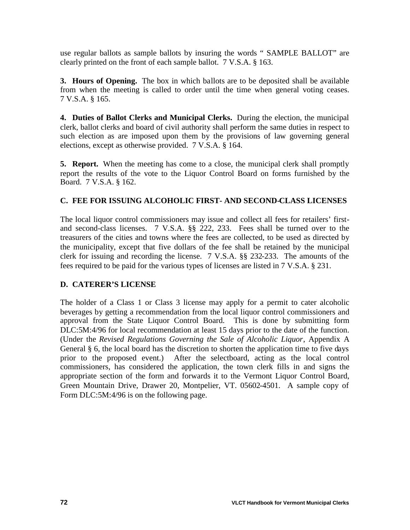use regular ballots as sample ballots by insuring the words " SAMPLE BALLOT" are clearly printed on the front of each sample ballot. 7 V.S.A. § 163.

**3. Hours of Opening.** The box in which ballots are to be deposited shall be available from when the meeting is called to order until the time when general voting ceases. 7 V.S.A. § 165.

**4. Duties of Ballot Clerks and Municipal Clerks.** During the election, the municipal clerk, ballot clerks and board of civil authority shall perform the same duties in respect to such election as are imposed upon them by the provisions of law governing general elections, except as otherwise provided. 7 V.S.A. § 164.

**5. Report.** When the meeting has come to a close, the municipal clerk shall promptly report the results of the vote to the Liquor Control Board on forms furnished by the Board. 7 V.S.A. § 162.

#### **C. FEE FOR ISSUING ALCOHOLIC FIRST- AND SECOND-CLASS LICENSES**

The local liquor control commissioners may issue and collect all fees for retailers' firstand second-class licenses. 7 V.S.A. §§ 222, 233. Fees shall be turned over to the treasurers of the cities and towns where the fees are collected, to be used as directed by the municipality, except that five dollars of the fee shall be retained by the municipal clerk for issuing and recording the license. 7 V.S.A. §§ 232-233. The amounts of the fees required to be paid for the various types of licenses are listed in 7 V.S.A. § 231.

#### **D. CATERER'S LICENSE**

The holder of a Class 1 or Class 3 license may apply for a permit to cater alcoholic beverages by getting a recommendation from the local liquor control commissioners and approval from the State Liquor Control Board. This is done by submitting form DLC:5M:4/96 for local recommendation at least 15 days prior to the date of the function. (Under the *Revised Regulations Governing the Sale of Alcoholic Liquor*, Appendix A General § 6, the local board has the discretion to shorten the application time to five days prior to the proposed event.) After the selectboard, acting as the local control commissioners, has considered the application, the town clerk fills in and signs the appropriate section of the form and forwards it to the Vermont Liquor Control Board, Green Mountain Drive, Drawer 20, Montpelier, VT. 05602-4501. A sample copy of Form DLC:5M:4/96 is on the following page.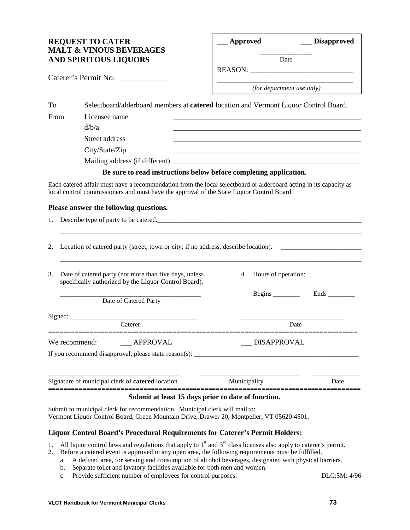#### **REQUEST TO CATER MALT & VINOUS BEVERAGES AND SPIRITOUS LIQUORS**

| <b>Approved</b> |      | <b>Disapproved</b> |
|-----------------|------|--------------------|
|                 | Date |                    |
| <b>REASON:</b>  |      |                    |

Caterer's Permit No:

*(for department use only)*

| To   |                                | Selectboard/alderboard members at <b>catered</b> location and Vermont Liquor Control Board. |
|------|--------------------------------|---------------------------------------------------------------------------------------------|
| From | Licensee name<br>d/b/a         |                                                                                             |
|      | Street address                 |                                                                                             |
|      | City/State/Zip                 |                                                                                             |
|      | Mailing address (if different) |                                                                                             |
|      |                                | Be sure to read instructions below before completing application.                           |

Each catered affair must have a recommendation from the local selectboard or alderboard acting in its capacity as local control commissioners and must have the approval of the State Liquor Control Board.

#### **Please answer the following questions.**

|    | 1. Describe type of party to be catered.                                                                        |  |                                |             |
|----|-----------------------------------------------------------------------------------------------------------------|--|--------------------------------|-------------|
|    |                                                                                                                 |  |                                |             |
|    | 2. Location of catered party (street, town or city; if no address, describe location).                          |  |                                |             |
| 3. | Date of catered party (not more than five days, unless<br>specifically authorized by the Liquor Control Board). |  | 4. Hours of operation:         |             |
|    | Date of Catered Party                                                                                           |  | Begins $\frac{1}{\frac{1}{2}}$ | <b>Ends</b> |
|    |                                                                                                                 |  |                                |             |
|    | Caterer                                                                                                         |  | Date                           |             |
|    |                                                                                                                 |  | <b>DISAPPROVAL</b>             |             |
|    |                                                                                                                 |  |                                |             |
|    |                                                                                                                 |  |                                |             |
|    | the contract of the contract of the contract of the contract of the contract of the contract of the contract of |  |                                |             |

Signature of municipal clerk of **catered** location Municipality Date **==================================================================================**

## **Submit at least 15 days prior to date of function.**

Submit to municipal clerk for recommendation. Municipal clerk will mail to: Vermont Liquor Control Board, Green Mountain Drive, Drawer 20, Montpelier, VT 05620-4501.

#### **Liquor Control Board's Procedural Requirements for Caterer's Permit Holders:**

- 1. All liquor control laws and regulations that apply to  $1<sup>st</sup>$  and  $3<sup>rd</sup>$  class licenses also apply to caterer's permit.
- 2. Before a catered event is approved in any open area, the following requirements must be fulfilled.
	- a. A defined area, for serving and consumption of alcohol beverages, designated with physical barriers.
	- b. Separate toilet and lavatory facilities available for both men and women.
	- c. Provide sufficient number of employees for control purposes. DLC:5M: 4/96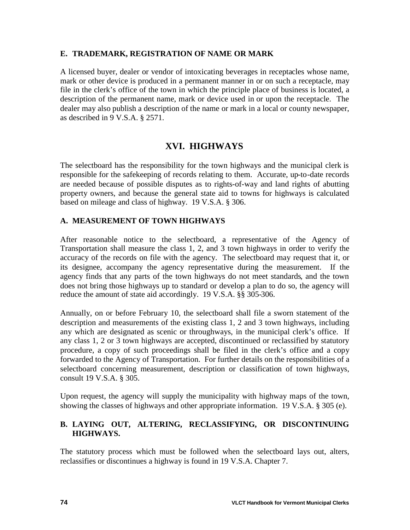#### **E. TRADEMARK, REGISTRATION OF NAME OR MARK**

A licensed buyer, dealer or vendor of intoxicating beverages in receptacles whose name, mark or other device is produced in a permanent manner in or on such a receptacle, may file in the clerk's office of the town in which the principle place of business is located, a description of the permanent name, mark or device used in or upon the receptacle. The dealer may also publish a description of the name or mark in a local or county newspaper, as described in 9 V.S.A. § 2571.

## **XVI. HIGHWAYS**

The selectboard has the responsibility for the town highways and the municipal clerk is responsible for the safekeeping of records relating to them. Accurate, up-to-date records are needed because of possible disputes as to rights-of-way and land rights of abutting property owners, and because the general state aid to towns for highways is calculated based on mileage and class of highway. 19 V.S.A. § 306.

#### **A. MEASUREMENT OF TOWN HIGHWAYS**

After reasonable notice to the selectboard, a representative of the Agency of Transportation shall measure the class 1, 2, and 3 town highways in order to verify the accuracy of the records on file with the agency. The selectboard may request that it, or its designee, accompany the agency representative during the measurement. If the agency finds that any parts of the town highways do not meet standards, and the town does not bring those highways up to standard or develop a plan to do so, the agency will reduce the amount of state aid accordingly. 19 V.S.A. §§ 305-306.

Annually, on or before February 10, the selectboard shall file a sworn statement of the description and measurements of the existing class 1, 2 and 3 town highways, including any which are designated as scenic or throughways, in the municipal clerk's office. If any class 1, 2 or 3 town highways are accepted, discontinued or reclassified by statutory procedure, a copy of such proceedings shall be filed in the clerk's office and a copy forwarded to the Agency of Transportation. For further details on the responsibilities of a selectboard concerning measurement, description or classification of town highways, consult 19 V.S.A. § 305.

Upon request, the agency will supply the municipality with highway maps of the town, showing the classes of highways and other appropriate information. 19 V.S.A. § 305 (e).

#### **B. LAYING OUT, ALTERING, RECLASSIFYING, OR DISCONTINUING HIGHWAYS.**

The statutory process which must be followed when the selectboard lays out, alters, reclassifies or discontinues a highway is found in 19 V.S.A. Chapter 7.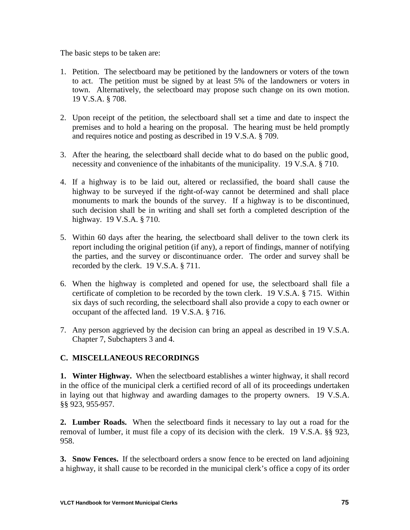The basic steps to be taken are:

- 1. Petition. The selectboard may be petitioned by the landowners or voters of the town to act. The petition must be signed by at least 5% of the landowners or voters in town. Alternatively, the selectboard may propose such change on its own motion. 19 V.S.A. § 708.
- 2. Upon receipt of the petition, the selectboard shall set a time and date to inspect the premises and to hold a hearing on the proposal. The hearing must be held promptly and requires notice and posting as described in 19 V.S.A. § 709.
- 3. After the hearing, the selectboard shall decide what to do based on the public good, necessity and convenience of the inhabitants of the municipality. 19 V.S.A. § 710.
- 4. If a highway is to be laid out, altered or reclassified, the board shall cause the highway to be surveyed if the right-of-way cannot be determined and shall place monuments to mark the bounds of the survey. If a highway is to be discontinued, such decision shall be in writing and shall set forth a completed description of the highway. 19 V.S.A. § 710.
- 5. Within 60 days after the hearing, the selectboard shall deliver to the town clerk its report including the original petition (if any), a report of findings, manner of notifying the parties, and the survey or discontinuance order. The order and survey shall be recorded by the clerk. 19 V.S.A. § 711.
- 6. When the highway is completed and opened for use, the selectboard shall file a certificate of completion to be recorded by the town clerk. 19 V.S.A. § 715. Within six days of such recording, the selectboard shall also provide a copy to each owner or occupant of the affected land. 19 V.S.A. § 716.
- 7. Any person aggrieved by the decision can bring an appeal as described in 19 V.S.A. Chapter 7, Subchapters 3 and 4.

## **C. MISCELLANEOUS RECORDINGS**

**1. Winter Highway.** When the selectboard establishes a winter highway, it shall record in the office of the municipal clerk a certified record of all of its proceedings undertaken in laying out that highway and awarding damages to the property owners. 19 V.S.A. §§ 923, 955-957.

**2. Lumber Roads.** When the selectboard finds it necessary to lay out a road for the removal of lumber, it must file a copy of its decision with the clerk. 19 V.S.A. §§ 923, 958.

**3. Snow Fences.** If the selectboard orders a snow fence to be erected on land adjoining a highway, it shall cause to be recorded in the municipal clerk's office a copy of its order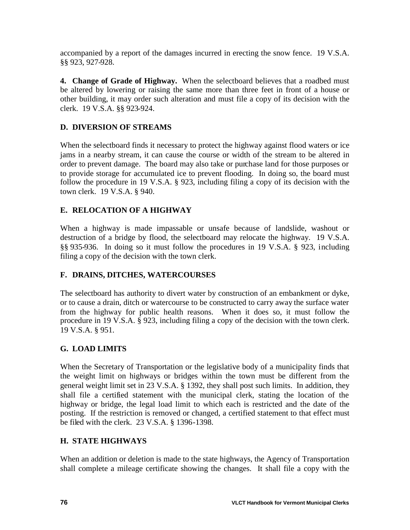accompanied by a report of the damages incurred in erecting the snow fence. 19 V.S.A. §§ 923, 927-928.

**4. Change of Grade of Highway.** When the selectboard believes that a roadbed must be altered by lowering or raising the same more than three feet in front of a house or other building, it may order such alteration and must file a copy of its decision with the clerk. 19 V.S.A. §§ 923-924.

### **D. DIVERSION OF STREAMS**

When the selectboard finds it necessary to protect the highway against flood waters or ice jams in a nearby stream, it can cause the course or width of the stream to be altered in order to prevent damage. The board may also take or purchase land for those purposes or to provide storage for accumulated ice to prevent flooding. In doing so, the board must follow the procedure in 19 V.S.A. § 923, including filing a copy of its decision with the town clerk. 19 V.S.A. § 940.

### **E. RELOCATION OF A HIGHWAY**

When a highway is made impassable or unsafe because of landslide, washout or destruction of a bridge by flood, the selectboard may relocate the highway. 19 V.S.A. §§ 935-936. In doing so it must follow the procedures in 19 V.S.A. § 923, including filing a copy of the decision with the town clerk.

#### **F. DRAINS, DITCHES, WATERCOURSES**

The selectboard has authority to divert water by construction of an embankment or dyke, or to cause a drain, ditch or watercourse to be constructed to carry away the surface water from the highway for public health reasons. When it does so, it must follow the procedure in 19 V.S.A. § 923, including filing a copy of the decision with the town clerk. 19 V.S.A. § 951.

#### **G. LOAD LIMITS**

When the Secretary of Transportation or the legislative body of a municipality finds that the weight limit on highways or bridges within the town must be different from the general weight limit set in 23 V.S.A. § 1392, they shall post such limits. In addition, they shall file a certified statement with the municipal clerk, stating the location of the highway or bridge, the legal load limit to which each is restricted and the date of the posting. If the restriction is removed or changed, a certified statement to that effect must be filed with the clerk. 23 V.S.A. § 1396-1398.

#### **H. STATE HIGHWAYS**

When an addition or deletion is made to the state highways, the Agency of Transportation shall complete a mileage certificate showing the changes. It shall file a copy with the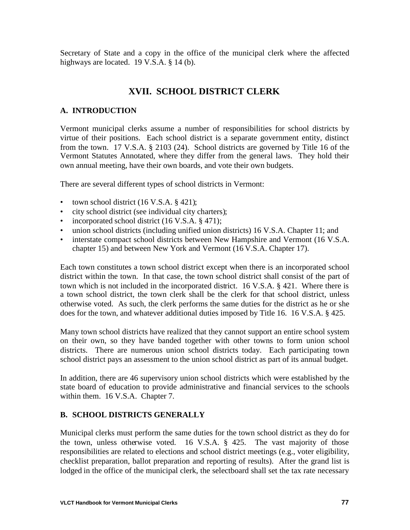Secretary of State and a copy in the office of the municipal clerk where the affected highways are located. 19 V.S.A. § 14 (b).

# **XVII. SCHOOL DISTRICT CLERK**

#### **A. INTRODUCTION**

Vermont municipal clerks assume a number of responsibilities for school districts by virtue of their positions. Each school district is a separate government entity, distinct from the town. 17 V.S.A. § 2103 (24). School districts are governed by Title 16 of the Vermont Statutes Annotated, where they differ from the general laws. They hold their own annual meeting, have their own boards, and vote their own budgets.

There are several different types of school districts in Vermont:

- town school district  $(16 \text{ V.S.A.} \$ 421)$ ;
- city school district (see individual city charters);
- incorporated school district (16 V.S.A. § 471);
- union school districts (including unified union districts) 16 V.S.A. Chapter 11; and
- interstate compact school districts between New Hampshire and Vermont (16 V.S.A. chapter 15) and between New York and Vermont (16 V.S.A. Chapter 17).

Each town constitutes a town school district except when there is an incorporated school district within the town. In that case, the town school district shall consist of the part of town which is not included in the incorporated district. 16 V.S.A. § 421. Where there is a town school district, the town clerk shall be the clerk for that school district, unless otherwise voted. As such, the clerk performs the same duties for the district as he or she does for the town, and whatever additional duties imposed by Title 16. 16 V.S.A. § 425.

Many town school districts have realized that they cannot support an entire school system on their own, so they have banded together with other towns to form union school districts. There are numerous union school districts today. Each participating town school district pays an assessment to the union school district as part of its annual budget.

In addition, there are 46 supervisory union school districts which were established by the state board of education to provide administrative and financial services to the schools within them. 16 V.S.A. Chapter 7.

#### **B. SCHOOL DISTRICTS GENERALLY**

Municipal clerks must perform the same duties for the town school district as they do for the town, unless otherwise voted. 16 V.S.A. § 425. The vast majority of those responsibilities are related to elections and school district meetings (e.g., voter eligibility, checklist preparation, ballot preparation and reporting of results). After the grand list is lodged in the office of the municipal clerk, the selectboard shall set the tax rate necessary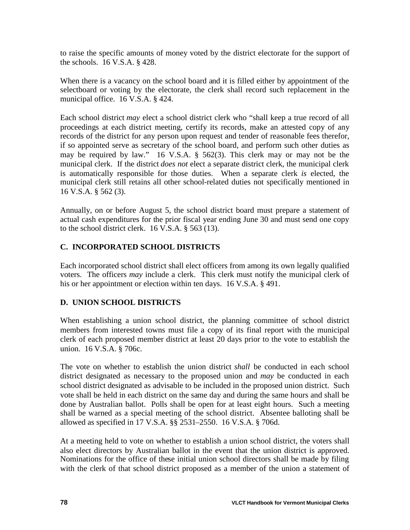to raise the specific amounts of money voted by the district electorate for the support of the schools. 16 V.S.A. § 428.

When there is a vacancy on the school board and it is filled either by appointment of the selectboard or voting by the electorate, the clerk shall record such replacement in the municipal office. 16 V.S.A. § 424.

Each school district *may* elect a school district clerk who "shall keep a true record of all proceedings at each district meeting, certify its records, make an attested copy of any records of the district for any person upon request and tender of reasonable fees therefor, if so appointed serve as secretary of the school board, and perform such other duties as may be required by law." 16 V.S.A. § 562(3). This clerk may or may not be the municipal clerk. If the district *does not* elect a separate district clerk, the municipal clerk is automatically responsible for those duties. When a separate clerk *is* elected, the municipal clerk still retains all other school-related duties not specifically mentioned in 16 V.S.A. § 562 (3).

Annually, on or before August 5, the school district board must prepare a statement of actual cash expenditures for the prior fiscal year ending June 30 and must send one copy to the school district clerk. 16 V.S.A. § 563 (13).

### **C. INCORPORATED SCHOOL DISTRICTS**

Each incorporated school district shall elect officers from among its own legally qualified voters. The officers *may* include a clerk. This clerk must notify the municipal clerk of his or her appointment or election within ten days. 16 V.S.A. § 491.

## **D. UNION SCHOOL DISTRICTS**

When establishing a union school district, the planning committee of school district members from interested towns must file a copy of its final report with the municipal clerk of each proposed member district at least 20 days prior to the vote to establish the union. 16 V.S.A. § 706c.

The vote on whether to establish the union district *shall* be conducted in each school district designated as necessary to the proposed union and *may* be conducted in each school district designated as advisable to be included in the proposed union district. Such vote shall be held in each district on the same day and during the same hours and shall be done by Australian ballot. Polls shall be open for at least eight hours. Such a meeting shall be warned as a special meeting of the school district. Absentee balloting shall be allowed as specified in 17 V.S.A. §§ 2531–2550. 16 V.S.A. § 706d.

At a meeting held to vote on whether to establish a union school district, the voters shall also elect directors by Australian ballot in the event that the union district is approved. Nominations for the office of these initial union school directors shall be made by filing with the clerk of that school district proposed as a member of the union a statement of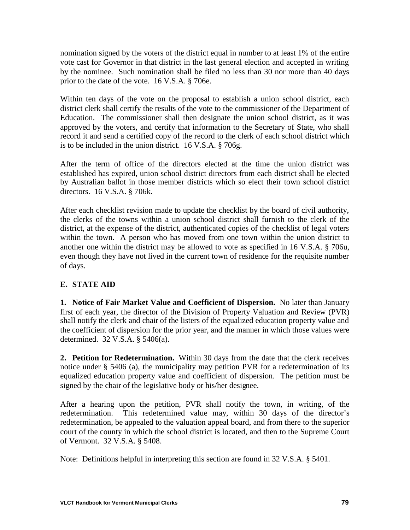nomination signed by the voters of the district equal in number to at least 1% of the entire vote cast for Governor in that district in the last general election and accepted in writing by the nominee. Such nomination shall be filed no less than 30 nor more than 40 days prior to the date of the vote. 16 V.S.A. § 706e.

Within ten days of the vote on the proposal to establish a union school district, each district clerk shall certify the results of the vote to the commissioner of the Department of Education. The commissioner shall then designate the union school district, as it was approved by the voters, and certify that information to the Secretary of State, who shall record it and send a certified copy of the record to the clerk of each school district which is to be included in the union district. 16 V.S.A. § 706g.

After the term of office of the directors elected at the time the union district was established has expired, union school district directors from each district shall be elected by Australian ballot in those member districts which so elect their town school district directors. 16 V.S.A. § 706k.

After each checklist revision made to update the checklist by the board of civil authority, the clerks of the towns within a union school district shall furnish to the clerk of the district, at the expense of the district, authenticated copies of the checklist of legal voters within the town. A person who has moved from one town within the union district to another one within the district may be allowed to vote as specified in 16 V.S.A. § 706u, even though they have not lived in the current town of residence for the requisite number of days.

## **E. STATE AID**

**1. Notice of Fair Market Value and Coefficient of Dispersion.** No later than January first of each year, the director of the Division of Property Valuation and Review (PVR) shall notify the clerk and chair of the listers of the equalized education property value and the coefficient of dispersion for the prior year, and the manner in which those values were determined. 32 V.S.A. § 5406(a).

**2. Petition for Redetermination.** Within 30 days from the date that the clerk receives notice under § 5406 (a), the municipality may petition PVR for a redetermination of its equalized education property value and coefficient of dispersion. The petition must be signed by the chair of the legislative body or his/her designee.

After a hearing upon the petition, PVR shall notify the town, in writing, of the redetermination. This redetermined value may, within 30 days of the director's redetermination, be appealed to the valuation appeal board, and from there to the superior court of the county in which the school district is located, and then to the Supreme Court of Vermont. 32 V.S.A. § 5408.

Note: Definitions helpful in interpreting this section are found in 32 V.S.A. § 5401.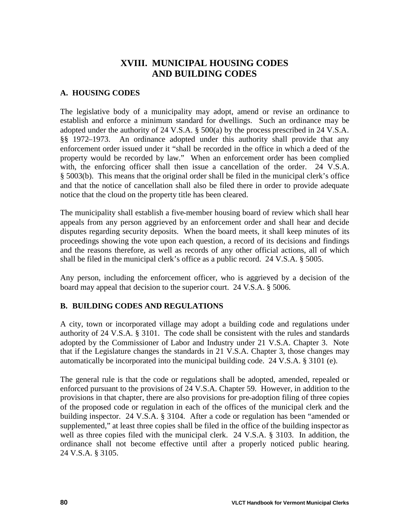## **XVIII. MUNICIPAL HOUSING CODES AND BUILDING CODES**

#### **A. HOUSING CODES**

The legislative body of a municipality may adopt, amend or revise an ordinance to establish and enforce a minimum standard for dwellings. Such an ordinance may be adopted under the authority of 24 V.S.A. § 500(a) by the process prescribed in 24 V.S.A. §§ 1972–1973. An ordinance adopted under this authority shall provide that any enforcement order issued under it "shall be recorded in the office in which a deed of the property would be recorded by law." When an enforcement order has been complied with, the enforcing officer shall then issue a cancellation of the order. 24 V.S.A. § 5003(b). This means that the original order shall be filed in the municipal clerk's office and that the notice of cancellation shall also be filed there in order to provide adequate notice that the cloud on the property title has been cleared.

The municipality shall establish a five-member housing board of review which shall hear appeals from any person aggrieved by an enforcement order and shall hear and decide disputes regarding security deposits. When the board meets, it shall keep minutes of its proceedings showing the vote upon each question, a record of its decisions and findings and the reasons therefore, as well as records of any other official actions, all of which shall be filed in the municipal clerk's office as a public record. 24 V.S.A. § 5005.

Any person, including the enforcement officer, who is aggrieved by a decision of the board may appeal that decision to the superior court. 24 V.S.A. § 5006.

#### **B. BUILDING CODES AND REGULATIONS**

A city, town or incorporated village may adopt a building code and regulations under authority of 24 V.S.A. § 3101. The code shall be consistent with the rules and standards adopted by the Commissioner of Labor and Industry under 21 V.S.A. Chapter 3. Note that if the Legislature changes the standards in 21 V.S.A. Chapter 3, those changes may automatically be incorporated into the municipal building code. 24 V.S.A. § 3101 (e).

The general rule is that the code or regulations shall be adopted, amended, repealed or enforced pursuant to the provisions of 24 V.S.A. Chapter 59. However, in addition to the provisions in that chapter, there are also provisions for pre-adoption filing of three copies of the proposed code or regulation in each of the offices of the municipal clerk and the building inspector. 24 V.S.A. § 3104. After a code or regulation has been "amended or supplemented," at least three copies shall be filed in the office of the building inspector as well as three copies filed with the municipal clerk. 24 V.S.A. § 3103. In addition, the ordinance shall not become effective until after a properly noticed public hearing. 24 V.S.A. § 3105.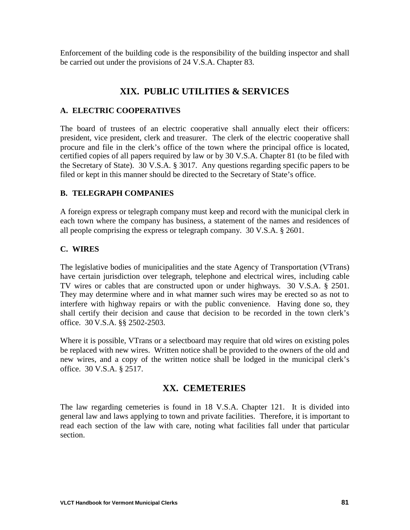Enforcement of the building code is the responsibility of the building inspector and shall be carried out under the provisions of 24 V.S.A. Chapter 83.

# **XIX. PUBLIC UTILITIES & SERVICES**

#### **A. ELECTRIC COOPERATIVES**

The board of trustees of an electric cooperative shall annually elect their officers: president, vice president, clerk and treasurer. The clerk of the electric cooperative shall procure and file in the clerk's office of the town where the principal office is located, certified copies of all papers required by law or by 30 V.S.A. Chapter 81 (to be filed with the Secretary of State). 30 V.S.A. § 3017. Any questions regarding specific papers to be filed or kept in this manner should be directed to the Secretary of State's office.

#### **B. TELEGRAPH COMPANIES**

A foreign express or telegraph company must keep and record with the municipal clerk in each town where the company has business, a statement of the names and residences of all people comprising the express or telegraph company. 30 V.S.A. § 2601.

#### **C. WIRES**

The legislative bodies of municipalities and the state Agency of Transportation (VTrans) have certain jurisdiction over telegraph, telephone and electrical wires, including cable TV wires or cables that are constructed upon or under highways. 30 V.S.A. § 2501. They may determine where and in what manner such wires may be erected so as not to interfere with highway repairs or with the public convenience. Having done so, they shall certify their decision and cause that decision to be recorded in the town clerk's office. 30 V.S.A. §§ 2502-2503.

Where it is possible, VTrans or a selectboard may require that old wires on existing poles be replaced with new wires. Written notice shall be provided to the owners of the old and new wires, and a copy of the written notice shall be lodged in the municipal clerk's office. 30 V.S.A. § 2517.

#### **XX. CEMETERIES**

The law regarding cemeteries is found in 18 V.S.A. Chapter 121. It is divided into general law and laws applying to town and private facilities. Therefore, it is important to read each section of the law with care, noting what facilities fall under that particular section.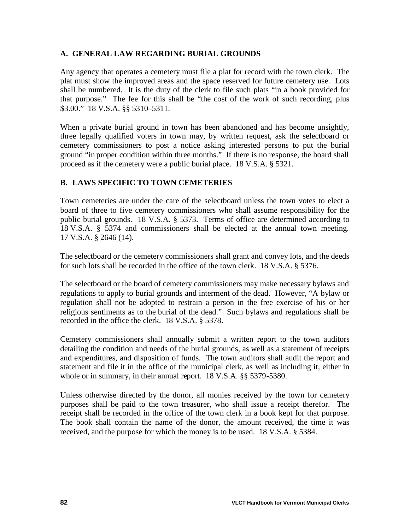#### **A. GENERAL LAW REGARDING BURIAL GROUNDS**

Any agency that operates a cemetery must file a plat for record with the town clerk. The plat must show the improved areas and the space reserved for future cemetery use. Lots shall be numbered. It is the duty of the clerk to file such plats "in a book provided for that purpose." The fee for this shall be "the cost of the work of such recording, plus \$3.00." 18 V.S.A. §§ 5310–5311.

When a private burial ground in town has been abandoned and has become unsightly, three legally qualified voters in town may, by written request, ask the selectboard or cemetery commissioners to post a notice asking interested persons to put the burial ground "in proper condition within three months." If there is no response, the board shall proceed as if the cemetery were a public burial place. 18 V.S.A. § 5321.

#### **B. LAWS SPECIFIC TO TOWN CEMETERIES**

Town cemeteries are under the care of the selectboard unless the town votes to elect a board of three to five cemetery commissioners who shall assume responsibility for the public burial grounds. 18 V.S.A. § 5373. Terms of office are determined according to 18 V.S.A. § 5374 and commissioners shall be elected at the annual town meeting. 17 V.S.A. § 2646 (14).

The selectboard or the cemetery commissioners shall grant and convey lots, and the deeds for such lots shall be recorded in the office of the town clerk. 18 V.S.A. § 5376.

The selectboard or the board of cemetery commissioners may make necessary bylaws and regulations to apply to burial grounds and interment of the dead. However, "A bylaw or regulation shall not be adopted to restrain a person in the free exercise of his or her religious sentiments as to the burial of the dead." Such bylaws and regulations shall be recorded in the office the clerk. 18 V.S.A. § 5378.

Cemetery commissioners shall annually submit a written report to the town auditors detailing the condition and needs of the burial grounds, as well as a statement of receipts and expenditures, and disposition of funds. The town auditors shall audit the report and statement and file it in the office of the municipal clerk, as well as including it, either in whole or in summary, in their annual report. 18 V.S.A. §§ 5379-5380.

Unless otherwise directed by the donor, all monies received by the town for cemetery purposes shall be paid to the town treasurer, who shall issue a receipt therefor. The receipt shall be recorded in the office of the town clerk in a book kept for that purpose. The book shall contain the name of the donor, the amount received, the time it was received, and the purpose for which the money is to be used. 18 V.S.A. § 5384.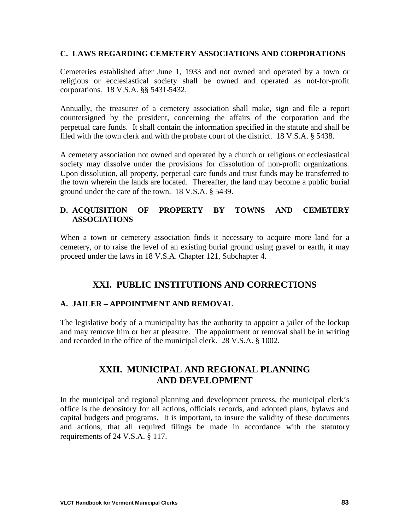#### **C. LAWS REGARDING CEMETERY ASSOCIATIONS AND CORPORATIONS**

Cemeteries established after June 1, 1933 and not owned and operated by a town or religious or ecclesiastical society shall be owned and operated as not-for-profit corporations. 18 V.S.A. §§ 5431-5432.

Annually, the treasurer of a cemetery association shall make, sign and file a report countersigned by the president, concerning the affairs of the corporation and the perpetual care funds. It shall contain the information specified in the statute and shall be filed with the town clerk and with the probate court of the district. 18 V.S.A. § 5438.

A cemetery association not owned and operated by a church or religious or ecclesiastical society may dissolve under the provisions for dissolution of non-profit organizations. Upon dissolution, all property, perpetual care funds and trust funds may be transferred to the town wherein the lands are located. Thereafter, the land may become a public burial ground under the care of the town. 18 V.S.A. § 5439.

#### **D. ACQUISITION OF PROPERTY BY TOWNS AND CEMETERY ASSOCIATIONS**

When a town or cemetery association finds it necessary to acquire more land for a cemetery, or to raise the level of an existing burial ground using gravel or earth, it may proceed under the laws in 18 V.S.A. Chapter 121, Subchapter 4.

# **XXI. PUBLIC INSTITUTIONS AND CORRECTIONS**

#### **A. JAILER – APPOINTMENT AND REMOVAL**

The legislative body of a municipality has the authority to appoint a jailer of the lockup and may remove him or her at pleasure. The appointment or removal shall be in writing and recorded in the office of the municipal clerk. 28 V.S.A. § 1002.

## **XXII. MUNICIPAL AND REGIONAL PLANNING AND DEVELOPMENT**

In the municipal and regional planning and development process, the municipal clerk's office is the depository for all actions, officials records, and adopted plans, bylaws and capital budgets and programs. It is important, to insure the validity of these documents and actions, that all required filings be made in accordance with the statutory requirements of 24 V.S.A. § 117.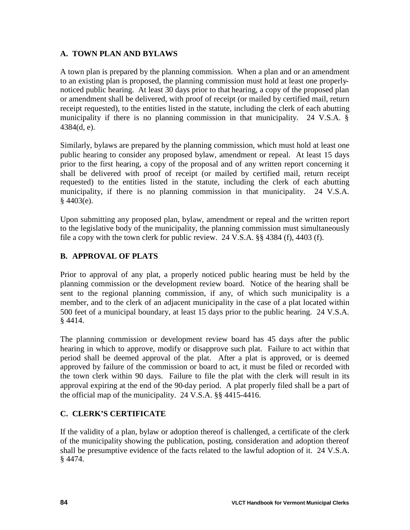#### **A. TOWN PLAN AND BYLAWS**

A town plan is prepared by the planning commission. When a plan and or an amendment to an existing plan is proposed, the planning commission must hold at least one properlynoticed public hearing. At least 30 days prior to that hearing, a copy of the proposed plan or amendment shall be delivered, with proof of receipt (or mailed by certified mail, return receipt requested), to the entities listed in the statute, including the clerk of each abutting municipality if there is no planning commission in that municipality. 24 V.S.A. § 4384(d, e).

Similarly, bylaws are prepared by the planning commission, which must hold at least one public hearing to consider any proposed bylaw, amendment or repeal. At least 15 days prior to the first hearing, a copy of the proposal and of any written report concerning it shall be delivered with proof of receipt (or mailed by certified mail, return receipt requested) to the entities listed in the statute, including the clerk of each abutting municipality, if there is no planning commission in that municipality. 24 V.S.A.  $§$  4403(e).

Upon submitting any proposed plan, bylaw, amendment or repeal and the written report to the legislative body of the municipality, the planning commission must simultaneously file a copy with the town clerk for public review. 24 V.S.A. §§ 4384 (f), 4403 (f).

## **B. APPROVAL OF PLATS**

Prior to approval of any plat, a properly noticed public hearing must be held by the planning commission or the development review board. Notice of the hearing shall be sent to the regional planning commission, if any, of which such municipality is a member, and to the clerk of an adjacent municipality in the case of a plat located within 500 feet of a municipal boundary, at least 15 days prior to the public hearing. 24 V.S.A. § 4414.

The planning commission or development review board has 45 days after the public hearing in which to approve, modify or disapprove such plat. Failure to act within that period shall be deemed approval of the plat. After a plat is approved, or is deemed approved by failure of the commission or board to act, it must be filed or recorded with the town clerk within 90 days. Failure to file the plat with the clerk will result in its approval expiring at the end of the 90-day period. A plat properly filed shall be a part of the official map of the municipality. 24 V.S.A. §§ 4415-4416.

## **C. CLERK'S CERTIFICATE**

If the validity of a plan, bylaw or adoption thereof is challenged, a certificate of the clerk of the municipality showing the publication, posting, consideration and adoption thereof shall be presumptive evidence of the facts related to the lawful adoption of it. 24 V.S.A. § 4474.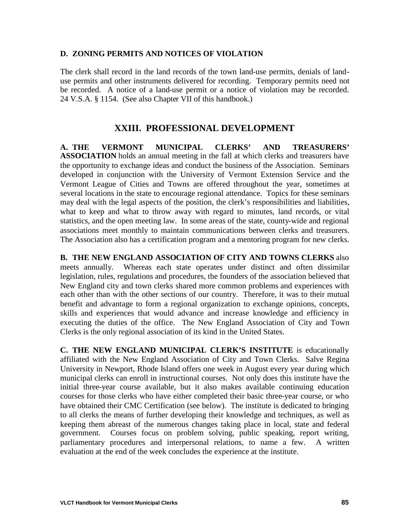#### **D. ZONING PERMITS AND NOTICES OF VIOLATION**

The clerk shall record in the land records of the town land-use permits, denials of landuse permits and other instruments delivered for recording. Temporary permits need not be recorded. A notice of a land-use permit or a notice of violation may be recorded. 24 V.S.A. § 1154. (See also Chapter VII of this handbook.)

### **XXIII. PROFESSIONAL DEVELOPMENT**

**A. THE VERMONT MUNICIPAL CLERKS' AND TREASURERS' ASSOCIATION** holds an annual meeting in the fall at which clerks and treasurers have the opportunity to exchange ideas and conduct the business of the Association. Seminars developed in conjunction with the University of Vermont Extension Service and the Vermont League of Cities and Towns are offered throughout the year, sometimes at several locations in the state to encourage regional attendance. Topics for these seminars may deal with the legal aspects of the position, the clerk's responsibilities and liabilities, what to keep and what to throw away with regard to minutes, land records, or vital statistics, and the open meeting law. In some areas of the state, county-wide and regional associations meet monthly to maintain communications between clerks and treasurers. The Association also has a certification program and a mentoring program for new clerks.

**B. THE NEW ENGLAND ASSOCIATION OF CITY AND TOWNS CLERKS** also meets annually. Whereas each state operates under distinct and often dissimilar legislation, rules, regulations and procedures, the founders of the association believed that New England city and town clerks shared more common problems and experiences with each other than with the other sections of our country. Therefore, it was to their mutual benefit and advantage to form a regional organization to exchange opinions, concepts, skills and experiences that would advance and increase knowledge and efficiency in executing the duties of the office. The New England Association of City and Town Clerks is the only regional association of its kind in the United States.

**C. THE NEW ENGLAND MUNICIPAL CLERK'S INSTITUTE** is educationally affiliated with the New England Association of City and Town Clerks. Salve Regina University in Newport, Rhode Island offers one week in August every year during which municipal clerks can enroll in instructional courses. Not only does this institute have the initial three-year course available, but it also makes available continuing education courses for those clerks who have either completed their basic three-year course, or who have obtained their CMC Certification (see below). The institute is dedicated to bringing to all clerks the means of further developing their knowledge and techniques, as well as keeping them abreast of the numerous changes taking place in local, state and federal government. Courses focus on problem solving, public speaking, report writing, parliamentary procedures and interpersonal relations, to name a few. A written evaluation at the end of the week concludes the experience at the institute.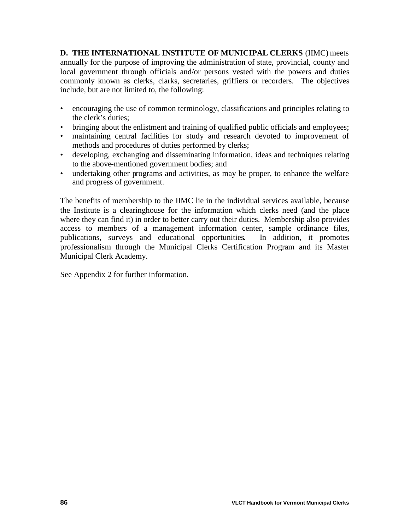**D. THE INTERNATIONAL INSTITUTE OF MUNICIPAL CLERKS** (IIMC) meets annually for the purpose of improving the administration of state, provincial, county and local government through officials and/or persons vested with the powers and duties commonly known as clerks, clarks, secretaries, griffiers or recorders. The objectives include, but are not limited to, the following:

- encouraging the use of common terminology, classifications and principles relating to the clerk's duties;
- bringing about the enlistment and training of qualified public officials and employees;
- maintaining central facilities for study and research devoted to improvement of methods and procedures of duties performed by clerks;
- developing, exchanging and disseminating information, ideas and techniques relating to the above-mentioned government bodies; and
- undertaking other programs and activities, as may be proper, to enhance the welfare and progress of government.

The benefits of membership to the IIMC lie in the individual services available, because the Institute is a clearinghouse for the information which clerks need (and the place where they can find it) in order to better carry out their duties. Membership also provides access to members of a management information center, sample ordinance files, publications, surveys and educational opportunities. In addition, it promotes professionalism through the Municipal Clerks Certification Program and its Master Municipal Clerk Academy.

See Appendix 2 for further information.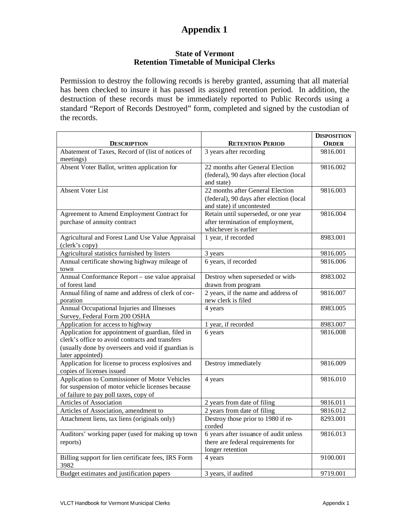#### **State of Vermont Retention Timetable of Municipal Clerks**

Permission to destroy the following records is hereby granted, assuming that all material has been checked to insure it has passed its assigned retention period. In addition, the destruction of these records must be immediately reported to Public Records using a standard "Report of Records Destroyed" form, completed and signed by the custodian of the records.

|                                                                            |                                                                       | <b>DISPOSITION</b> |
|----------------------------------------------------------------------------|-----------------------------------------------------------------------|--------------------|
| <b>DESCRIPTION</b>                                                         | <b>RETENTION PERIOD</b>                                               | <b>ORDER</b>       |
| Abatement of Taxes, Record of (list of notices of<br>meetings)             | 3 years after recording                                               | 9816.001           |
| Absent Voter Ballot, written application for                               | 22 months after General Election                                      | 9816.002           |
|                                                                            | (federal), 90 days after election (local<br>and state)                |                    |
| <b>Absent Voter List</b>                                                   | 22 months after General Election                                      | 9816.003           |
|                                                                            | (federal), 90 days after election (local<br>and state) if uncontested |                    |
| Agreement to Amend Employment Contract for                                 | Retain until superseded, or one year                                  | 9816.004           |
| purchase of annuity contract                                               | after termination of employment,                                      |                    |
|                                                                            | whichever is earlier                                                  |                    |
| Agricultural and Forest Land Use Value Appraisal<br>(clerk's copy)         | 1 year, if recorded                                                   | 8983.001           |
| Agricultural statistics furnished by listers                               | 3 years                                                               | 9816.005           |
| Annual certificate showing highway mileage of<br>town                      | 6 years, if recorded                                                  | 9816.006           |
| Annual Conformance Report - use value appraisal                            | Destroy when superseded or with-                                      | 8983.002           |
| of forest land                                                             | drawn from program                                                    |                    |
| Annual filing of name and address of clerk of cor-<br>poration             | 2 years, if the name and address of<br>new clerk is filed             | 9816.007           |
| Annual Occupational Injuries and Illnesses                                 | 4 years                                                               | 8983.005           |
| Survey, Federal Form 200 OSHA                                              |                                                                       |                    |
| Application for access to highway                                          | 1 year, if recorded                                                   | 8983.007           |
| Application for appointment of guardian, filed in                          | 6 years                                                               | 9816.008           |
| clerk's office to avoid contracts and transfers                            |                                                                       |                    |
| (usually done by overseers and void if guardian is                         |                                                                       |                    |
| later appointed)                                                           |                                                                       |                    |
| Application for license to process explosives and                          | Destroy immediately                                                   | 9816.009           |
| copies of licenses issued<br>Application to Commissioner of Motor Vehicles | 4 years                                                               | 9816.010           |
| for suspension of motor vehicle licenses because                           |                                                                       |                    |
| of failure to pay poll taxes, copy of                                      |                                                                       |                    |
| Articles of Association                                                    | 2 years from date of filing                                           | 9816.011           |
| Articles of Association, amendment to                                      | 2 years from date of filing                                           | 9816.012           |
| Attachment liens, tax liens (originals only)                               | Destroy those prior to 1980 if re-                                    | 8293.001           |
|                                                                            | corded                                                                |                    |
| Auditors' working paper (used for making up town                           | 6 years after issuance of audit unless                                | 9816.013           |
| reports)                                                                   | there are federal requirements for                                    |                    |
|                                                                            | longer retention                                                      |                    |
| Billing support for lien certificate fees, IRS Form                        | 4 years                                                               | 9100.001           |
| 3982                                                                       |                                                                       |                    |
| Budget estimates and justification papers                                  | 3 years, if audited                                                   | 9719.001           |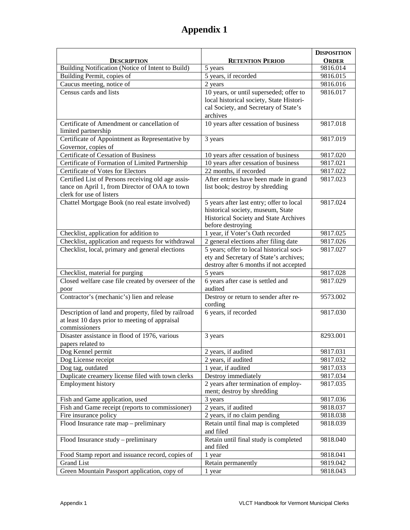|                                                                    |                                                   | <b>DISPOSITION</b> |
|--------------------------------------------------------------------|---------------------------------------------------|--------------------|
| DESCRIPTION                                                        | <b>RETENTION PERIOD</b>                           | <b>ORDER</b>       |
| Building Notification (Notice of Intent to Build)                  | 5 years                                           | 9816.014           |
| Building Permit, copies of                                         | 5 years, if recorded                              | 9816.015           |
| Caucus meeting, notice of                                          | 2 years                                           | 9816.016           |
| Census cards and lists                                             | 10 years, or until superseded; offer to           | 9816.017           |
|                                                                    | local historical society, State Histori-          |                    |
|                                                                    | cal Society, and Secretary of State's             |                    |
|                                                                    | archives                                          |                    |
| Certificate of Amendment or cancellation of<br>limited partnership | 10 years after cessation of business              | 9817.018           |
| Certificate of Appointment as Representative by                    | 3 years                                           | 9817.019           |
| Governor, copies of                                                |                                                   |                    |
| Certificate of Cessation of Business                               | 10 years after cessation of business              | 9817.020           |
| Certificate of Formation of Limited Partnership                    | 10 years after cessation of business              | 9817.021           |
| Certificate of Votes for Electors                                  | 22 months, if recorded                            | 9817.022           |
| Certified List of Persons receiving old age assis-                 | After entries have been made in grand             | 9817.023           |
| tance on April 1, from Director of OAA to town                     | list book; destroy by shredding                   |                    |
| clerk for use of listers                                           |                                                   |                    |
| Chattel Mortgage Book (no real estate involved)                    | 5 years after last entry; offer to local          | 9817.024           |
|                                                                    | historical society, museum, State                 |                    |
|                                                                    | Historical Society and State Archives             |                    |
|                                                                    | before destroying                                 |                    |
| Checklist, application for addition to                             | 1 year, if Voter's Oath recorded                  | 9817.025           |
| Checklist, application and requests for withdrawal                 | 2 general elections after filing date             | 9817.026           |
| Checklist, local, primary and general elections                    | 5 years; offer to local historical soci-          | 9817.027           |
|                                                                    | ety and Secretary of State's archives;            |                    |
| Checklist, material for purging                                    | destroy after 6 months if not accepted<br>5 years | 9817.028           |
| Closed welfare case file created by overseer of the                | 6 years after case is settled and                 | 9817.029           |
|                                                                    | audited                                           |                    |
| poor<br>Contractor's (mechanic's) lien and release                 | Destroy or return to sender after re-             | 9573.002           |
|                                                                    | cording                                           |                    |
| Description of land and property, filed by railroad                | 6 years, if recorded                              | 9817.030           |
| at least 10 days prior to meeting of appraisal                     |                                                   |                    |
| commissioners                                                      |                                                   |                    |
| Disaster assistance in flood of 1976, various                      | 3 years                                           | 8293.001           |
| papers related to                                                  |                                                   |                    |
| Dog Kennel permit                                                  | 2 years, if audited                               | 9817.031           |
| Dog License receipt                                                | 2 years, if audited                               | 9817.032           |
| Dog tag, outdated                                                  | 1 year, if audited                                | 9817.033           |
| Duplicate creamery license filed with town clerks                  | Destroy immediately                               | 9817.034           |
| Employment history                                                 | 2 years after termination of employ-              | 9817.035           |
|                                                                    | ment; destroy by shredding                        |                    |
| Fish and Game application, used                                    | 3 years                                           | 9817.036           |
| Fish and Game receipt (reports to commissioner)                    | 2 years, if audited                               | 9818.037           |
| Fire insurance policy                                              | 2 years, if no claim pending                      | 9818.038           |
| Flood Insurance rate map – preliminary                             | Retain until final map is completed               | 9818.039           |
|                                                                    | and filed                                         |                    |
| Flood Insurance study - preliminary                                | Retain until final study is completed             | 9818.040           |
|                                                                    | and filed                                         |                    |
| Food Stamp report and issuance record, copies of                   | 1 year                                            | 9818.041           |
| <b>Grand List</b>                                                  | Retain permanently                                | 9819.042           |
| Green Mountain Passport application, copy of                       | 1 year                                            | 9818.043           |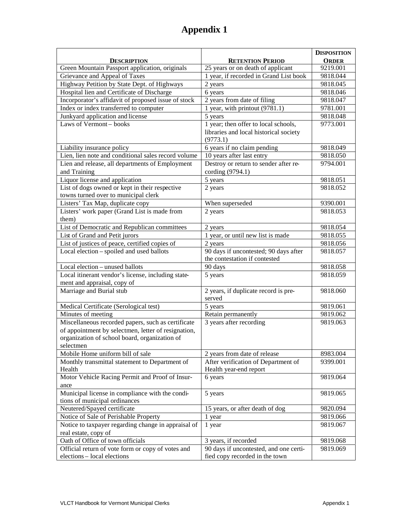|                                                     |                                        | <b>DISPOSITION</b> |
|-----------------------------------------------------|----------------------------------------|--------------------|
| <b>DESCRIPTION</b>                                  | <b>RETENTION PERIOD</b>                | <b>ORDER</b>       |
| Green Mountain Passport application, originals      | 25 years or on death of applicant      | 9219.001           |
| Grievance and Appeal of Taxes                       | 1 year, if recorded in Grand List book | 9818.044           |
| Highway Petition by State Dept. of Highways         | 2 years                                | 9818.045           |
| Hospital lien and Certificate of Discharge          | 6 years                                | 9818.046           |
| Incorporator's affidavit of proposed issue of stock | 2 years from date of filing            | 9818.047           |
| Index or index transferred to computer              | 1 year, with printout (9781.1)         | 9781.001           |
| Junkyard application and license                    | 5 years                                | 9818.048           |
| Laws of Vermont-books                               | 1 year; then offer to local schools,   | 9773.001           |
|                                                     | libraries and local historical society |                    |
|                                                     | (9773.1)                               |                    |
| Liability insurance policy                          | 6 years if no claim pending            | 9818.049           |
| Lien, lien note and conditional sales record volume | 10 years after last entry              | 9818.050           |
| Lien and release, all departments of Employment     | Destroy or return to sender after re-  | 9794.001           |
| and Training                                        | cording (9794.1)                       |                    |
| Liquor license and application                      | 5 years                                | 9818.051           |
| List of dogs owned or kept in their respective      | 2 years                                | 9818.052           |
| towns turned over to municipal clerk                |                                        |                    |
| Listers' Tax Map, duplicate copy                    | When superseded                        | 9390.001           |
| Listers' work paper (Grand List is made from        | 2 years                                | 9818.053           |
| them)                                               |                                        |                    |
| List of Democratic and Republican committees        | 2 years                                | 9818.054           |
| List of Grand and Petit jurors                      | 1 year, or until new list is made      | 9818.055           |
| List of justices of peace, certified copies of      | 2 years                                | 9818.056           |
| Local election - spoiled and used ballots           | 90 days if uncontested; 90 days after  | 9818.057           |
|                                                     | the contestation if contested          |                    |
| Local election - unused ballots                     | 90 days                                | 9818.058           |
| Local itinerant vendor's license, including state-  | 5 years                                | 9818.059           |
| ment and appraisal, copy of                         |                                        |                    |
| Marriage and Burial stub                            | 2 years, if duplicate record is pre-   | 9818.060           |
|                                                     | served                                 |                    |
| Medical Certificate (Serological test)              | 5 years                                | 9819.061           |
| Minutes of meeting                                  | Retain permanently                     | 9819.062           |
| Miscellaneous recorded papers, such as certificate  | 3 years after recording                | 9819.063           |
| of appointment by selectmen, letter of resignation, |                                        |                    |
| organization of school board, organization of       |                                        |                    |
| selectmen                                           |                                        |                    |
| Mobile Home uniform bill of sale                    | 2 years from date of release           | 8983.004           |
| Monthly transmittal statement to Department of      | After verification of Department of    | 9399.001           |
| Health                                              | Health year-end report                 |                    |
| Motor Vehicle Racing Permit and Proof of Insur-     | 6 years                                | 9819.064           |
| ance                                                |                                        |                    |
| Municipal license in compliance with the condi-     | 5 years                                | 9819.065           |
| tions of municipal ordinances                       |                                        |                    |
| Neutered/Spayed certificate                         | 15 years, or after death of dog        | 9820.094           |
| Notice of Sale of Perishable Property               | 1 year                                 | 9819.066           |
| Notice to taxpayer regarding change in appraisal of | 1 year                                 | 9819.067           |
| real estate, copy of                                |                                        |                    |
| Oath of Office of town officials                    | 3 years, if recorded                   | 9819.068           |
| Official return of vote form or copy of votes and   | 90 days if uncontested, and one certi- | 9819.069           |
| elections - local elections                         | fied copy recorded in the town         |                    |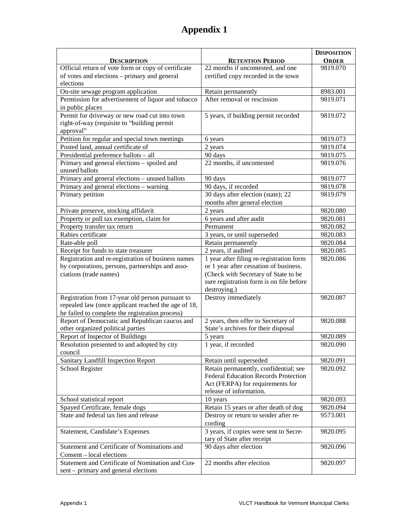|                                                                               |                                                       | <b>DISPOSITION</b> |
|-------------------------------------------------------------------------------|-------------------------------------------------------|--------------------|
| <b>DESCRIPTION</b>                                                            | <b>RETENTION PERIOD</b>                               | <b>ORDER</b>       |
| Official return of vote form or copy of certificate                           | 22 months if uncontested, and one                     | 9819.070           |
| of votes and elections - primary and general<br>elections                     | certified copy recorded in the town                   |                    |
| On-site sewage program application                                            | Retain permanently                                    | 8983.001           |
| Permission for advertisement of liquor and tobacco                            | After removal or rescission                           | 9819.071           |
| in public places                                                              |                                                       |                    |
| Permit for driveway or new road cut into town                                 | 5 years, if building permit recorded                  | 9819.072           |
| right-of-way (requisite to "building permit                                   |                                                       |                    |
| approval"                                                                     |                                                       |                    |
| Petition for regular and special town meetings                                | 6 years                                               | 9819.073           |
| Posted land, annual certificate of                                            | 2 years                                               | 9819.074           |
| Presidential preference ballots - all                                         | 90 days                                               | 9819.075           |
| Primary and general elections - spoiled and                                   | $\overline{22}$ months, if uncontested                | 9819.076           |
| unused ballots                                                                |                                                       |                    |
| Primary and general elections - unused ballots                                | 90 days                                               | 9819.077           |
| Primary and general elections - warning                                       | 90 days, if recorded                                  | 9819.078           |
| Primary petition                                                              | 30 days after election (state); 22                    | 9819.079           |
|                                                                               | months after general election                         |                    |
| Private preserve, stocking affidavit                                          | 2 years                                               | 9820.080           |
| Property or poll tax exemption, claim for                                     | 6 years and after audit                               | 9820.081           |
| Property transfer tax return                                                  | Permanent                                             | 9820.082           |
| Rabies certificate                                                            | 3 years, or until superseded                          | 9820.083           |
| Rate-able poll                                                                | Retain permanently                                    | 9820.084           |
| Receipt for funds to state treasurer                                          | 2 years, if audited                                   | 9820.085           |
| Registration and re-registration of business names                            | $\overline{1}$ year after filing re-registration form | 9820.086           |
| by corporations, persons, partnerships and asso-                              | or 1 year after cessation of business.                |                    |
| ciations (trade names)                                                        | (Check with Secretary of State to be                  |                    |
|                                                                               | sure registration form is on file before              |                    |
| Registration from 17-year old person pursuant to                              | destroying.)<br>Destroy immediately                   | 9820.087           |
| repealed law (once applicant reached the age of 18,                           |                                                       |                    |
| he failed to complete the registration process)                               |                                                       |                    |
| Report of Democratic and Republican caucus and                                | 2 years, then offer to Secretary of                   | 9820.088           |
| other organized political parties                                             | State's archives for their disposal                   |                    |
| Report of Inspector of Buildings                                              | 5 years                                               | 9820.089           |
| Resolution presented to and adopted by city                                   | 1 year, if recorded                                   | 9820.090           |
| council                                                                       |                                                       |                    |
| Sanitary Landfill Inspection Report                                           | Retain until superseded                               | 9820.091           |
| School Register                                                               | Retain permanently, confidential; see                 | 9820.092           |
|                                                                               | <b>Federal Education Records Protection</b>           |                    |
|                                                                               | Act (FERPA) for requirements for                      |                    |
|                                                                               | release of information.                               |                    |
| School statistical report                                                     | 10 years                                              | 9820.093           |
| Spayed Certificate, female dogs                                               | Retain 15 years or after death of dog                 | 9820.094           |
| State and federal tax lien and release                                        | Destroy or return to sender after re-                 | 9573.001           |
|                                                                               | cording                                               |                    |
| Statement, Candidate's Expenses                                               | $\overline{3}$ years, if copies were sent to Secre-   | 9820.095           |
|                                                                               | tary of State after receipt                           |                    |
| Statement and Certificate of Nominations and                                  | 90 days after election                                | 9820.096           |
| Consent - local elections<br>Statement and Certificate of Nomination and Con- | 22 months after election                              |                    |
| sent – primary and general elections                                          |                                                       | 9820.097           |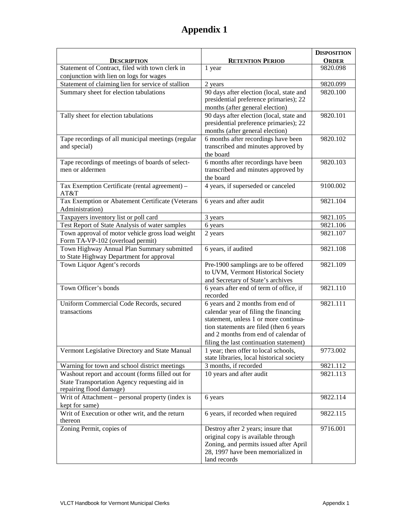|                                                                                      |                                                     | <b>DISPOSITION</b> |
|--------------------------------------------------------------------------------------|-----------------------------------------------------|--------------------|
| <b>DESCRIPTION</b>                                                                   | <b>RETENTION PERIOD</b>                             | <b>ORDER</b>       |
| Statement of Contract, filed with town clerk in                                      | 1 year                                              | 9820.098           |
| conjunction with lien on logs for wages                                              |                                                     |                    |
| Statement of claiming lien for service of stallion                                   | 2 years                                             | 9820.099           |
| Summary sheet for election tabulations                                               | 90 days after election (local, state and            | 9820.100           |
|                                                                                      | presidential preference primaries); 22              |                    |
|                                                                                      | months (after general election)                     |                    |
| Tally sheet for election tabulations                                                 | 90 days after election (local, state and            | 9820.101           |
|                                                                                      | presidential preference primaries); 22              |                    |
|                                                                                      | months (after general election)                     |                    |
| Tape recordings of all municipal meetings (regular                                   | 6 months after recordings have been                 | 9820.102           |
| and special)                                                                         | transcribed and minutes approved by                 |                    |
|                                                                                      | the board                                           |                    |
| Tape recordings of meetings of boards of select-                                     | 6 months after recordings have been                 | 9820.103           |
| men or aldermen                                                                      | transcribed and minutes approved by                 |                    |
|                                                                                      | the board                                           |                    |
| Tax Exemption Certificate (rental agreement) -                                       | 4 years, if superseded or canceled                  | 9100.002           |
| AT&T                                                                                 |                                                     |                    |
| Tax Exemption or Abatement Certificate (Veterans                                     | 6 years and after audit                             | 9821.104           |
| Administration)                                                                      |                                                     |                    |
| Taxpayers inventory list or poll card                                                | 3 years                                             | 9821.105           |
| Test Report of State Analysis of water samples                                       | 6 years                                             | 9821.106           |
| Town approval of motor vehicle gross load weight<br>Form TA-VP-102 (overload permit) | 2 years                                             | 9821.107           |
| Town Highway Annual Plan Summary submitted                                           | 6 years, if audited                                 | 9821.108           |
| to State Highway Department for approval                                             |                                                     |                    |
| Town Liquor Agent's records                                                          | Pre-1900 samplings are to be offered                | 9821.109           |
|                                                                                      | to UVM, Vermont Historical Society                  |                    |
|                                                                                      | and Secretary of State's archives                   |                    |
| Town Officer's bonds                                                                 | 6 years after end of term of office, if<br>recorded | 9821.110           |
| Uniform Commercial Code Records, secured                                             | 6 years and 2 months from end of                    | 9821.111           |
| transactions                                                                         | calendar year of filing the financing               |                    |
|                                                                                      | statement, unless 1 or more continua-               |                    |
|                                                                                      | tion statements are filed (then 6 years             |                    |
|                                                                                      | and 2 months from end of calendar of                |                    |
|                                                                                      | filing the last continuation statement)             |                    |
| Vermont Legislative Directory and State Manual                                       | 1 year; then offer to local schools,                | 9773.002           |
|                                                                                      | state libraries, local historical society           |                    |
| Warning for town and school district meetings                                        | 3 months, if recorded                               | 9821.112           |
| Washout report and account (forms filled out for                                     | 10 years and after audit                            | 9821.113           |
| State Transportation Agency requesting aid in                                        |                                                     |                    |
| repairing flood damage)                                                              |                                                     |                    |
| Writ of Attachment - personal property (index is                                     | 6 years                                             | 9822.114           |
| kept for same)                                                                       |                                                     |                    |
| Writ of Execution or other writ, and the return                                      | 6 years, if recorded when required                  | 9822.115           |
| thereon                                                                              |                                                     |                    |
| Zoning Permit, copies of                                                             | Destroy after 2 years; insure that                  | 9716.001           |
|                                                                                      | original copy is available through                  |                    |
|                                                                                      | Zoning, and permits issued after April              |                    |
|                                                                                      | 28, 1997 have been memorialized in                  |                    |
|                                                                                      | land records                                        |                    |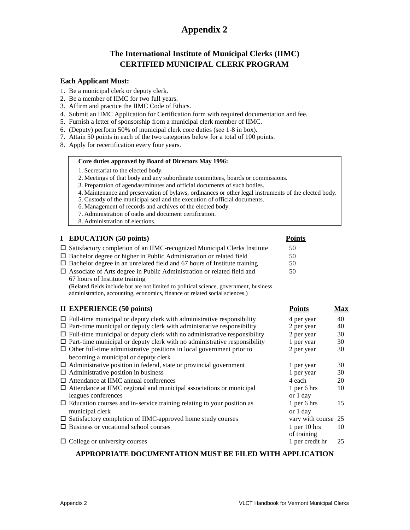## **The International Institute of Municipal Clerks (IIMC) CERTIFIED MUNICIPAL CLERK PROGRAM**

#### **Each Applicant Must:**

- 1. Be a municipal clerk or deputy clerk.
- 2. Be a member of IIMC for two full years.
- 3. Affirm and practice the IIMC Code of Ethics.
- 4. Submit an IIMC Application for Certification form with required documentation and fee.
- 5. Furnish a letter of sponsorship from a municipal clerk member of IIMC.
- 6. (Deputy) perform 50% of municipal clerk core duties (see 1-8 in box).
- 7. Attain 50 points in each of the two categories below for a total of 100 points.
- 8. Apply for recertification every four years.

#### **Core duties approved by Board of Directors May 1996:**

- 1. Secretariat to the elected body.
- 2. Meetings of that body and any subordinate committees, boards or commissions.
- 3. Preparation of agendas/minutes and official documents of such bodies.
- 4. Maintenance and preservation of bylaws, ordinances or other legal instruments of the elected body.
- 5. Custody of the municipal seal and the execution of official documents.
- 6. Management of records and archives of the elected body.
- 7. Administration of oaths and document certification.
- 8. Administration of elections.

#### **I EDUCATION (50 points) Points**

| $\Box$ Satisfactory completion of an IIMC-recognized Municipal Clerks Institute | 50  |
|---------------------------------------------------------------------------------|-----|
| $\Box$ Bachelor degree or higher in Public Administration or related field      | 50. |
| $\Box$ Bachelor degree in an unrelated field and 67 hours of Institute training | 50. |
| $\Box$ Associate of Arts degree in Public Administration or related field and   | 50. |

67 hours of Institute training (Related fields include but are not limited to political science, government, business administration, accounting, economics, finance or related social sciences.)

#### **II EXPERIENCE (50 points) Points Max**

| $\Box$ Full-time municipal or deputy clerk with administrative responsibility    | 4 per year          | 40 |
|----------------------------------------------------------------------------------|---------------------|----|
| $\Box$ Part-time municipal or deputy clerk with administrative responsibility    | 2 per year          | 40 |
| $\Box$ Full-time municipal or deputy clerk with no administrative responsibility | 2 per year          | 30 |
| $\Box$ Part-time municipal or deputy clerk with no administrative responsibility | 1 per year          | 30 |
| $\Box$ Other full-time administrative positions in local government prior to     | 2 per year          | 30 |
| becoming a municipal or deputy clerk                                             |                     |    |
| $\Box$ Administrative position in federal, state or provincial government        | 1 per year          | 30 |
| $\Box$ Administrative position in business                                       | 1 per year          | 30 |
| $\Box$ Attendance at IIMC annual conferences                                     | 4 each              | 20 |
| $\Box$ Attendance at IIMC regional and municipal associations or municipal       | $1$ per 6 hrs       | 10 |
| leagues conferences                                                              | or 1 day            |    |
| $\Box$ Education courses and in-service training relating to your position as    | $1$ per 6 hrs       | 15 |
| municipal clerk                                                                  | or 1 day            |    |
| $\Box$ Satisfactory completion of IIMC-approved home study courses               | vary with course 25 |    |
| $\Box$ Business or vocational school courses                                     | $1$ per $10$ hrs    | 10 |
|                                                                                  | of training         |    |
| $\Box$ College or university courses                                             | 1 per credit hr     | 25 |
|                                                                                  |                     |    |

#### **APPROPRIATE DOCUMENTATION MUST BE FILED WITH APPLICATION**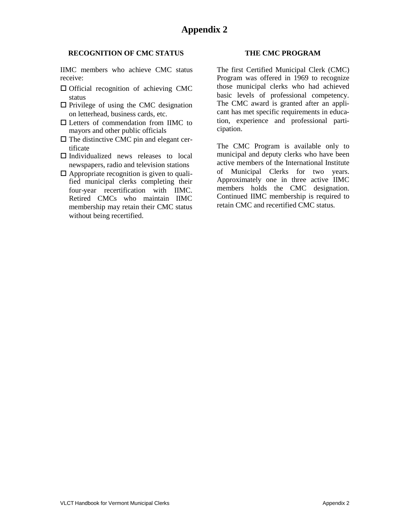#### **RECOGNITION OF CMC STATUS**

IIMC members who achieve CMC status receive:

- $\Box$  Official recognition of achieving CMC status
- $\Box$  Privilege of using the CMC designation on letterhead, business cards, etc.
- □ Letters of commendation from IIMC to mayors and other public officials
- $\Box$  The distinctive CMC pin and elegant certificate
- $\Box$  Individualized news releases to local newspapers, radio and television stations
- $\Box$  Appropriate recognition is given to qualified municipal clerks completing their four-year recertification with IIMC. Retired CMCs who maintain IIMC membership may retain their CMC status without being recertified.

#### **THE CMC PROGRAM**

The first Certified Municipal Clerk (CMC) Program was offered in 1969 to recognize those municipal clerks who had achieved basic levels of professional competency. The CMC award is granted after an applicant has met specific requirements in education, experience and professional participation.

The CMC Program is available only to municipal and deputy clerks who have been active members of the International Institute of Municipal Clerks for two years. Approximately one in three active IIMC members holds the CMC designation. Continued IIMC membership is required to retain CMC and recertified CMC status.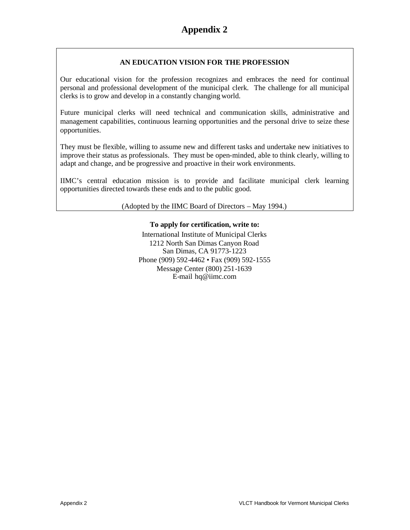#### **AN EDUCATION VISION FOR THE PROFESSION**

Our educational vision for the profession recognizes and embraces the need for continual personal and professional development of the municipal clerk. The challenge for all municipal clerks is to grow and develop in a constantly changing world.

Future municipal clerks will need technical and communication skills, administrative and management capabilities, continuous learning opportunities and the personal drive to seize these opportunities.

They must be flexible, willing to assume new and different tasks and undertake new initiatives to improve their status as professionals. They must be open-minded, able to think clearly, willing to adapt and change, and be progressive and proactive in their work environments.

IIMC's central education mission is to provide and facilitate municipal clerk learning opportunities directed towards these ends and to the public good.

(Adopted by the IIMC Board of Directors – May 1994.)

#### **To apply for certification, write to:**

International Institute of Municipal Clerks 1212 North San Dimas Canyon Road San Dimas, CA 91773-1223 Phone (909) 592-4462 • Fax (909) 592-1555 Message Center (800) 251-1639 E-mail [hq@iimc.com](mailto:hq@iimc.com)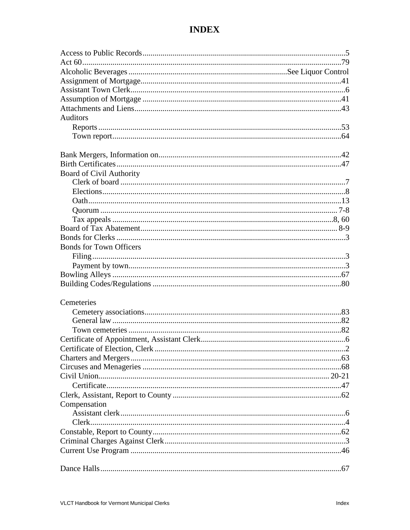| Auditors                        |  |
|---------------------------------|--|
|                                 |  |
|                                 |  |
|                                 |  |
|                                 |  |
| <b>Board of Civil Authority</b> |  |
|                                 |  |
|                                 |  |
|                                 |  |
|                                 |  |
|                                 |  |
|                                 |  |
|                                 |  |
| <b>Bonds for Town Officers</b>  |  |
|                                 |  |
|                                 |  |
|                                 |  |
|                                 |  |
| Cemeteries                      |  |
|                                 |  |
|                                 |  |
|                                 |  |
|                                 |  |
|                                 |  |
|                                 |  |
|                                 |  |
|                                 |  |
|                                 |  |
|                                 |  |
| Compensation                    |  |
|                                 |  |
|                                 |  |
|                                 |  |
|                                 |  |
|                                 |  |
|                                 |  |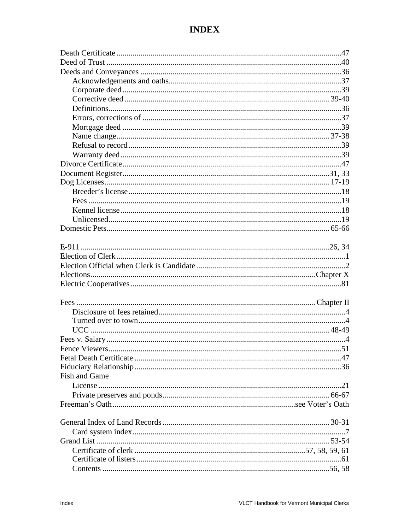| <b>Fish and Game</b> |  |
|----------------------|--|
|                      |  |
|                      |  |
|                      |  |
|                      |  |
|                      |  |
|                      |  |
|                      |  |
|                      |  |
|                      |  |
|                      |  |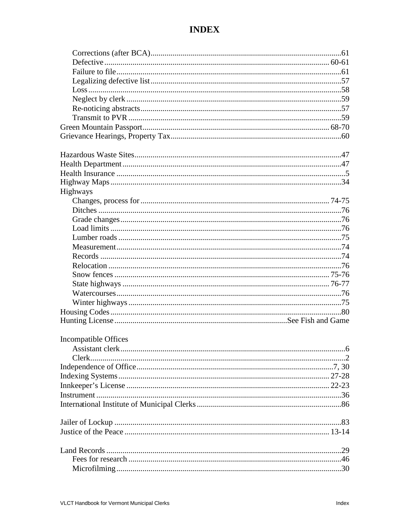| Highways                    |  |
|-----------------------------|--|
|                             |  |
|                             |  |
|                             |  |
|                             |  |
|                             |  |
|                             |  |
|                             |  |
|                             |  |
|                             |  |
|                             |  |
|                             |  |
|                             |  |
|                             |  |
|                             |  |
| <b>Incompatible Offices</b> |  |
|                             |  |
| Clerk.                      |  |
|                             |  |
|                             |  |
|                             |  |
|                             |  |
|                             |  |
|                             |  |
|                             |  |
|                             |  |
|                             |  |
|                             |  |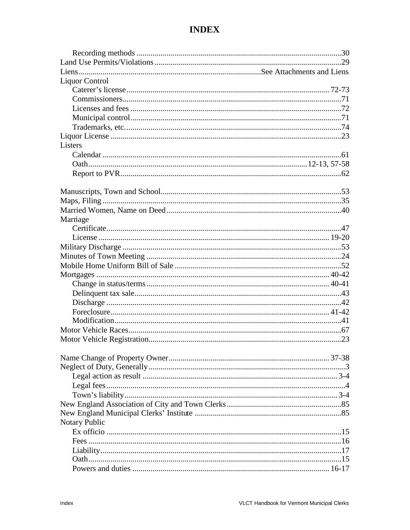| <b>Liquor Control</b> |  |
|-----------------------|--|
|                       |  |
|                       |  |
|                       |  |
|                       |  |
|                       |  |
|                       |  |
| Listers               |  |
|                       |  |
|                       |  |
|                       |  |
|                       |  |
|                       |  |
|                       |  |
|                       |  |
| Marriage              |  |
|                       |  |
|                       |  |
|                       |  |
|                       |  |
|                       |  |
|                       |  |
|                       |  |
|                       |  |
|                       |  |
|                       |  |
|                       |  |
|                       |  |
|                       |  |
|                       |  |
|                       |  |
|                       |  |
|                       |  |
|                       |  |
|                       |  |
|                       |  |
|                       |  |
|                       |  |
| <b>Notary Public</b>  |  |
|                       |  |
|                       |  |
|                       |  |
|                       |  |
|                       |  |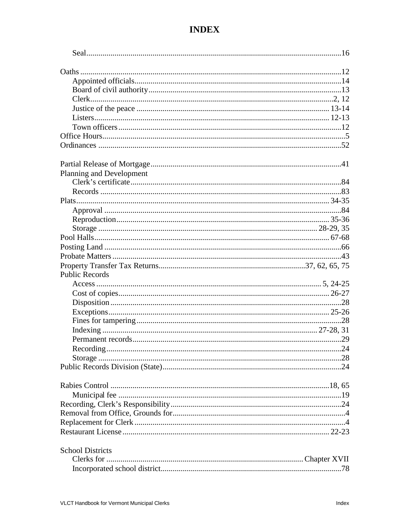| Planning and Development |  |
|--------------------------|--|
|                          |  |
|                          |  |
|                          |  |
|                          |  |
|                          |  |
|                          |  |
|                          |  |
|                          |  |
|                          |  |
|                          |  |
| <b>Public Records</b>    |  |
|                          |  |
|                          |  |
|                          |  |
|                          |  |
|                          |  |
|                          |  |
|                          |  |
|                          |  |
|                          |  |
|                          |  |
|                          |  |
|                          |  |
|                          |  |
|                          |  |
|                          |  |
|                          |  |
|                          |  |
|                          |  |
| <b>School Districts</b>  |  |
|                          |  |
|                          |  |